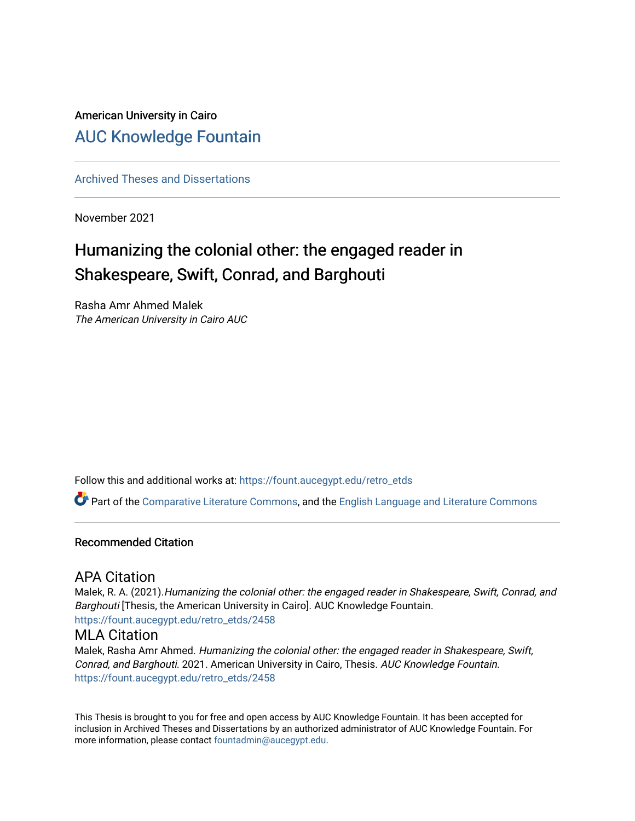## American University in Cairo [AUC Knowledge Fountain](https://fount.aucegypt.edu/)

[Archived Theses and Dissertations](https://fount.aucegypt.edu/retro_etds) 

November 2021

## Humanizing the colonial other: the engaged reader in Shakespeare, Swift, Conrad, and Barghouti

Rasha Amr Ahmed Malek The American University in Cairo AUC

Follow this and additional works at: [https://fount.aucegypt.edu/retro\\_etds](https://fount.aucegypt.edu/retro_etds?utm_source=fount.aucegypt.edu%2Fretro_etds%2F2458&utm_medium=PDF&utm_campaign=PDFCoverPages) 

Part of the [Comparative Literature Commons](http://network.bepress.com/hgg/discipline/454?utm_source=fount.aucegypt.edu%2Fretro_etds%2F2458&utm_medium=PDF&utm_campaign=PDFCoverPages), and the [English Language and Literature Commons](http://network.bepress.com/hgg/discipline/455?utm_source=fount.aucegypt.edu%2Fretro_etds%2F2458&utm_medium=PDF&utm_campaign=PDFCoverPages)

### Recommended Citation

### APA Citation

Malek, R. A. (2021).Humanizing the colonial other: the engaged reader in Shakespeare, Swift, Conrad, and Barghouti [Thesis, the American University in Cairo]. AUC Knowledge Fountain. [https://fount.aucegypt.edu/retro\\_etds/2458](https://fount.aucegypt.edu/retro_etds/2458?utm_source=fount.aucegypt.edu%2Fretro_etds%2F2458&utm_medium=PDF&utm_campaign=PDFCoverPages) 

### MLA Citation

Malek, Rasha Amr Ahmed. Humanizing the colonial other: the engaged reader in Shakespeare, Swift, Conrad, and Barghouti. 2021. American University in Cairo, Thesis. AUC Knowledge Fountain. [https://fount.aucegypt.edu/retro\\_etds/2458](https://fount.aucegypt.edu/retro_etds/2458?utm_source=fount.aucegypt.edu%2Fretro_etds%2F2458&utm_medium=PDF&utm_campaign=PDFCoverPages) 

This Thesis is brought to you for free and open access by AUC Knowledge Fountain. It has been accepted for inclusion in Archived Theses and Dissertations by an authorized administrator of AUC Knowledge Fountain. For more information, please contact [fountadmin@aucegypt.edu.](mailto:fountadmin@aucegypt.edu)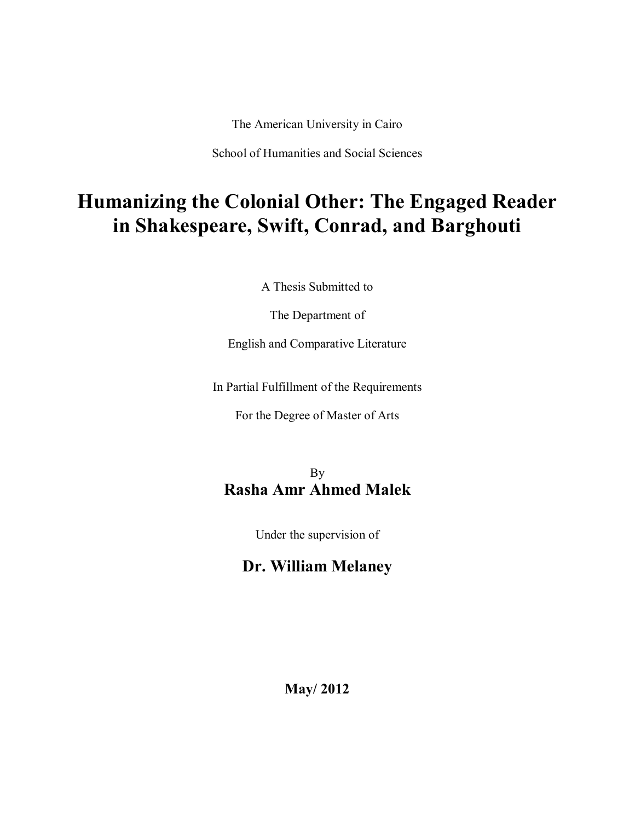The American University in Cairo

School of Humanities and Social Sciences

# **Humanizing the Colonial Other: The Engaged Reader in Shakespeare, Swift, Conrad, and Barghouti**

A Thesis Submitted to

The Department of

English and Comparative Literature

In Partial Fulfillment of the Requirements

For the Degree of Master of Arts

## By **Rasha Amr Ahmed Malek**

Under the supervision of

## **Dr. William Melaney**

**May/ 2012**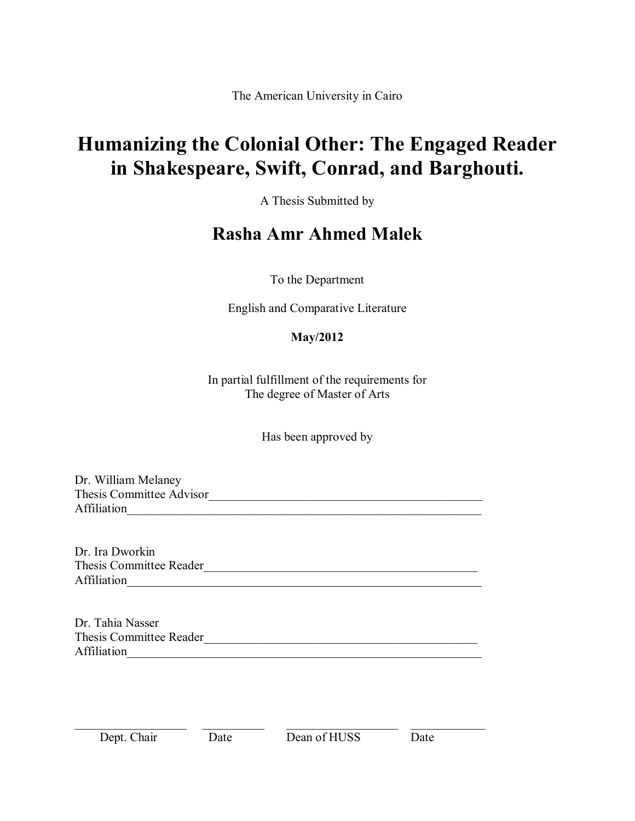The American University in Cairo

# **Humanizing the Colonial Other: The Engaged Reader in Shakespeare, Swift, Conrad, and Barghouti.**

A Thesis Submitted by

## **Rasha Amr Ahmed Malek**

To the Department

English and Comparative Literature

## **May/2012**

In partial fulfillment of the requirements for The degree of Master of Arts

Has been approved by

Dr. William Melaney Thesis Committee Advisor\_\_\_\_\_\_\_\_\_\_\_\_\_\_\_\_\_\_\_\_\_\_\_\_\_\_\_\_\_\_\_\_\_\_\_\_\_\_\_\_\_\_\_\_ Affiliation

Dr. Ira Dworkin Thesis Committee Reader\_\_\_\_\_\_\_\_\_\_\_\_\_\_\_\_\_\_\_\_\_\_\_\_\_\_\_\_\_\_\_\_\_\_\_\_\_\_\_\_\_\_\_\_ Affiliation

Dr. Tahia Nasser Thesis Committee Reader\_\_\_\_\_\_\_\_\_\_\_\_\_\_\_\_\_\_\_\_\_\_\_\_\_\_\_\_\_\_\_\_\_\_\_\_\_\_\_\_\_\_\_\_ Affiliation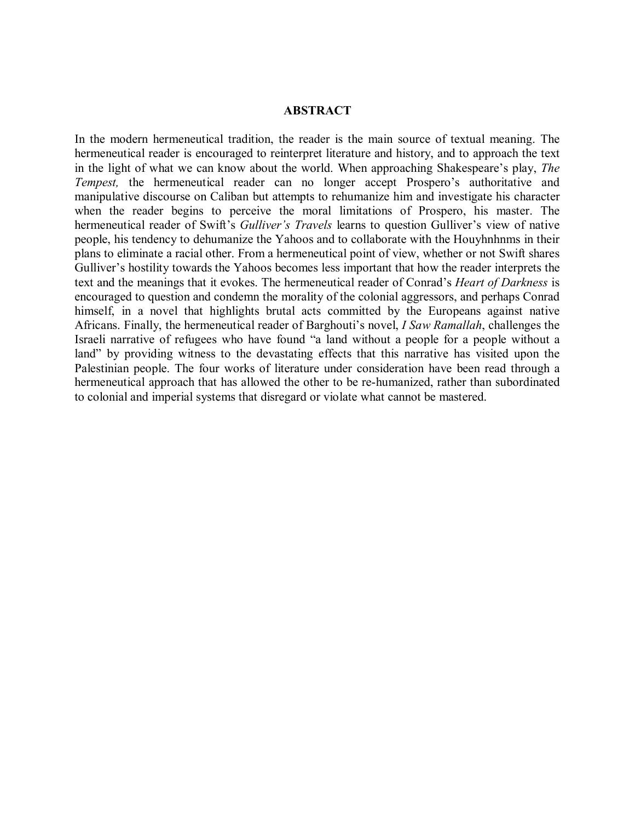### **ABSTRACT**

In the modern hermeneutical tradition, the reader is the main source of textual meaning. The hermeneutical reader is encouraged to reinterpret literature and history, and to approach the text in the light of what we can know about the world. When approaching Shakespeare's play, *The Tempest,* the hermeneutical reader can no longer accept Prospero's authoritative and manipulative discourse on Caliban but attempts to rehumanize him and investigate his character when the reader begins to perceive the moral limitations of Prospero, his master. The hermeneutical reader of Swift's *Gulliver's Travels* learns to question Gulliver's view of native people, his tendency to dehumanize the Yahoos and to collaborate with the Houyhnhnms in their plans to eliminate a racial other. From a hermeneutical point of view, whether or not Swift shares Gulliver's hostility towards the Yahoos becomes less important that how the reader interprets the text and the meanings that it evokes. The hermeneutical reader of Conrad's *Heart of Darkness* is encouraged to question and condemn the morality of the colonial aggressors, and perhaps Conrad himself, in a novel that highlights brutal acts committed by the Europeans against native Africans. Finally, the hermeneutical reader of Barghouti's novel, *I Saw Ramallah*, challenges the Israeli narrative of refugees who have found "a land without a people for a people without a land" by providing witness to the devastating effects that this narrative has visited upon the Palestinian people. The four works of literature under consideration have been read through a hermeneutical approach that has allowed the other to be re-humanized, rather than subordinated to colonial and imperial systems that disregard or violate what cannot be mastered.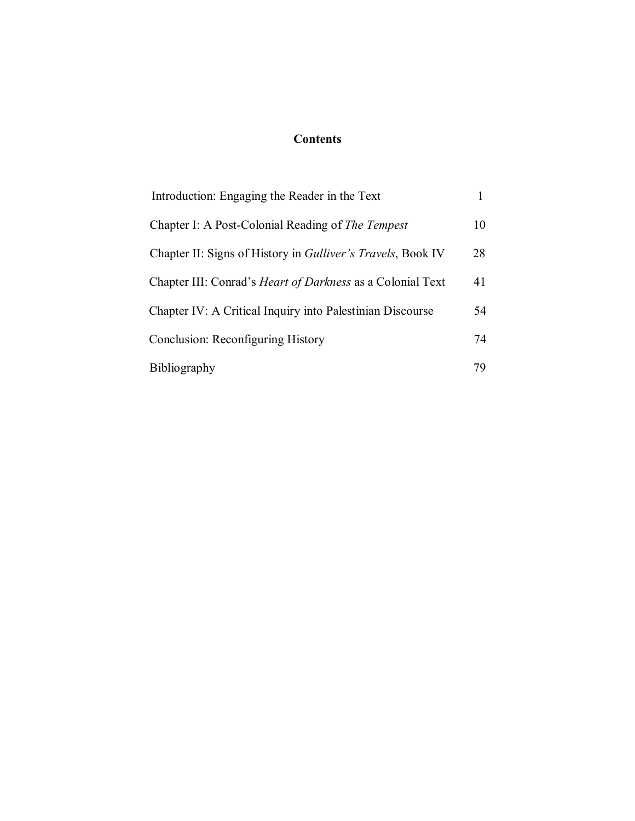### **Contents**

| Introduction: Engaging the Reader in the Text                       |    |
|---------------------------------------------------------------------|----|
| Chapter I: A Post-Colonial Reading of <i>The Tempest</i>            | 10 |
| Chapter II: Signs of History in <i>Gulliver's Travels</i> , Book IV | 28 |
| Chapter III: Conrad's <i>Heart of Darkness</i> as a Colonial Text   | 41 |
| Chapter IV: A Critical Inquiry into Palestinian Discourse           | 54 |
| Conclusion: Reconfiguring History                                   | 74 |
| Bibliography                                                        |    |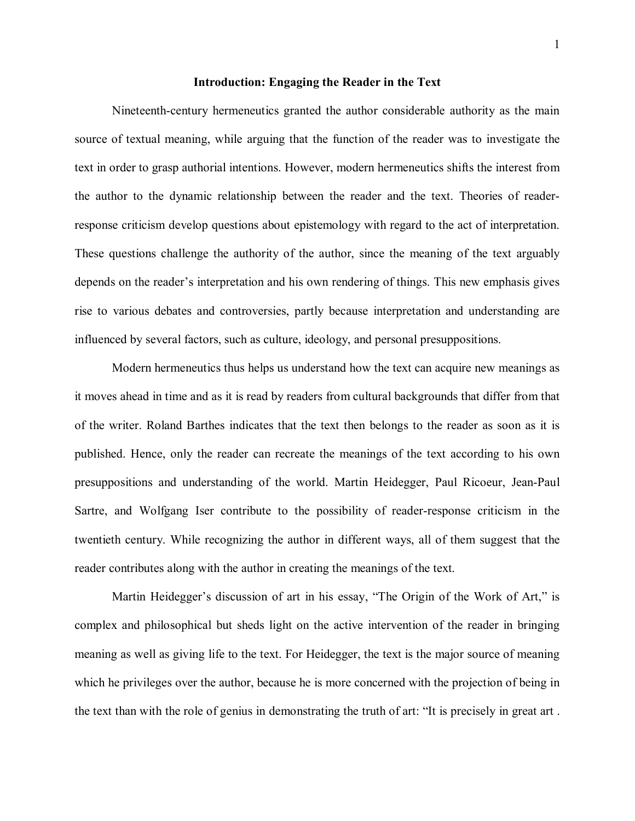#### **Introduction: Engaging the Reader in the Text**

Nineteenth-century hermeneutics granted the author considerable authority as the main source of textual meaning, while arguing that the function of the reader was to investigate the text in order to grasp authorial intentions. However, modern hermeneutics shifts the interest from the author to the dynamic relationship between the reader and the text. Theories of readerresponse criticism develop questions about epistemology with regard to the act of interpretation. These questions challenge the authority of the author, since the meaning of the text arguably depends on the reader's interpretation and his own rendering of things. This new emphasis gives rise to various debates and controversies, partly because interpretation and understanding are influenced by several factors, such as culture, ideology, and personal presuppositions.

Modern hermeneutics thus helps us understand how the text can acquire new meanings as it moves ahead in time and as it is read by readers from cultural backgrounds that differ from that of the writer. Roland Barthes indicates that the text then belongs to the reader as soon as it is published. Hence, only the reader can recreate the meanings of the text according to his own presuppositions and understanding of the world. Martin Heidegger, Paul Ricoeur, Jean-Paul Sartre, and Wolfgang Iser contribute to the possibility of reader-response criticism in the twentieth century. While recognizing the author in different ways, all of them suggest that the reader contributes along with the author in creating the meanings of the text.

Martin Heidegger's discussion of art in his essay, "The Origin of the Work of Art," is complex and philosophical but sheds light on the active intervention of the reader in bringing meaning as well as giving life to the text. For Heidegger, the text is the major source of meaning which he privileges over the author, because he is more concerned with the projection of being in the text than with the role of genius in demonstrating the truth of art: "It is precisely in great art .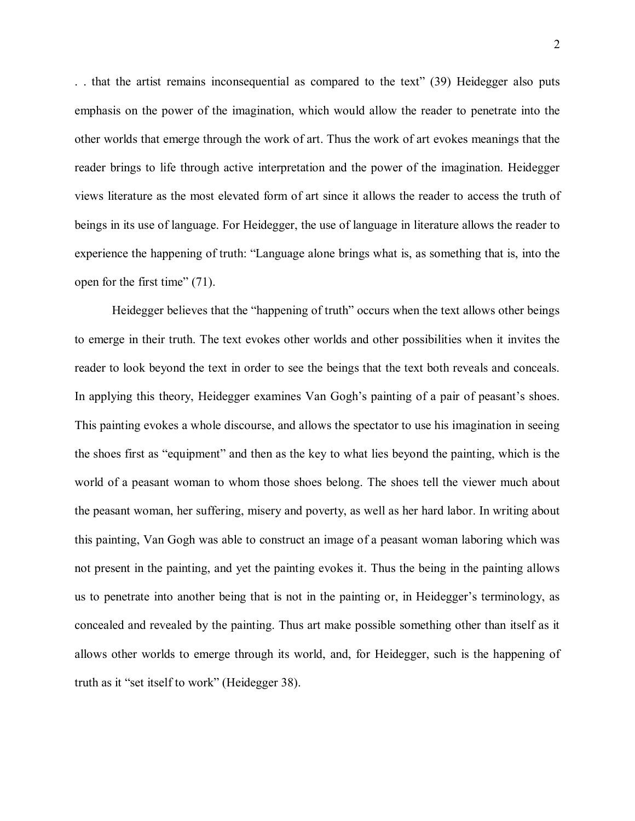. . that the artist remains inconsequential as compared to the text" (39) Heidegger also puts emphasis on the power of the imagination, which would allow the reader to penetrate into the other worlds that emerge through the work of art. Thus the work of art evokes meanings that the reader brings to life through active interpretation and the power of the imagination. Heidegger views literature as the most elevated form of art since it allows the reader to access the truth of beings in its use of language. For Heidegger, the use of language in literature allows the reader to experience the happening of truth: "Language alone brings what is, as something that is, into the open for the first time" (71).

Heidegger believes that the "happening of truth" occurs when the text allows other beings to emerge in their truth. The text evokes other worlds and other possibilities when it invites the reader to look beyond the text in order to see the beings that the text both reveals and conceals. In applying this theory, Heidegger examines Van Gogh's painting of a pair of peasant's shoes. This painting evokes a whole discourse, and allows the spectator to use his imagination in seeing the shoes first as "equipment" and then as the key to what lies beyond the painting, which is the world of a peasant woman to whom those shoes belong. The shoes tell the viewer much about the peasant woman, her suffering, misery and poverty, as well as her hard labor. In writing about this painting, Van Gogh was able to construct an image of a peasant woman laboring which was not present in the painting, and yet the painting evokes it. Thus the being in the painting allows us to penetrate into another being that is not in the painting or, in Heidegger's terminology, as concealed and revealed by the painting. Thus art make possible something other than itself as it allows other worlds to emerge through its world, and, for Heidegger, such is the happening of truth as it "set itself to work" (Heidegger 38).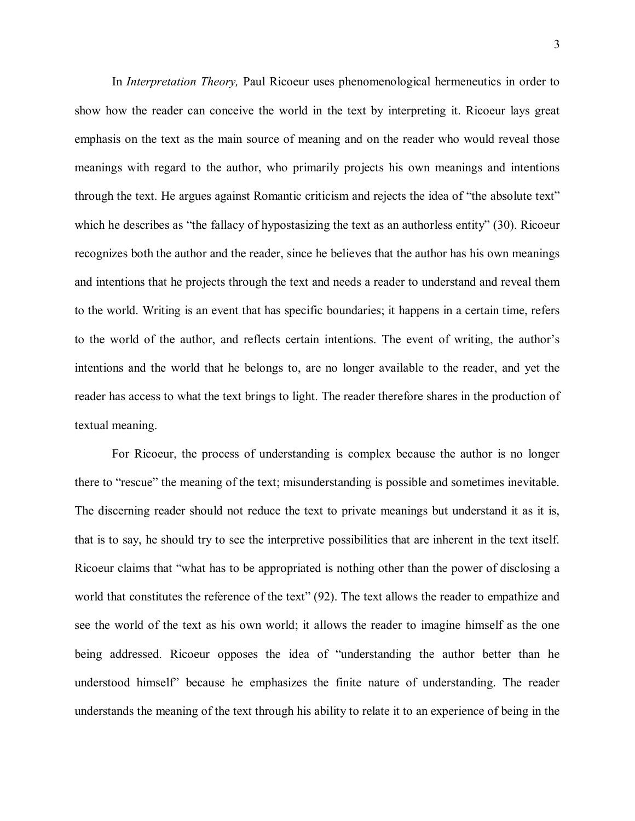In *Interpretation Theory,* Paul Ricoeur uses phenomenological hermeneutics in order to show how the reader can conceive the world in the text by interpreting it. Ricoeur lays great emphasis on the text as the main source of meaning and on the reader who would reveal those meanings with regard to the author, who primarily projects his own meanings and intentions through the text. He argues against Romantic criticism and rejects the idea of "the absolute text" which he describes as "the fallacy of hypostasizing the text as an authorless entity" (30). Ricoeur recognizes both the author and the reader, since he believes that the author has his own meanings and intentions that he projects through the text and needs a reader to understand and reveal them to the world. Writing is an event that has specific boundaries; it happens in a certain time, refers to the world of the author, and reflects certain intentions. The event of writing, the author's intentions and the world that he belongs to, are no longer available to the reader, and yet the reader has access to what the text brings to light. The reader therefore shares in the production of textual meaning.

For Ricoeur, the process of understanding is complex because the author is no longer there to "rescue" the meaning of the text; misunderstanding is possible and sometimes inevitable. The discerning reader should not reduce the text to private meanings but understand it as it is, that is to say, he should try to see the interpretive possibilities that are inherent in the text itself. Ricoeur claims that "what has to be appropriated is nothing other than the power of disclosing a world that constitutes the reference of the text" (92). The text allows the reader to empathize and see the world of the text as his own world; it allows the reader to imagine himself as the one being addressed. Ricoeur opposes the idea of "understanding the author better than he understood himself" because he emphasizes the finite nature of understanding. The reader understands the meaning of the text through his ability to relate it to an experience of being in the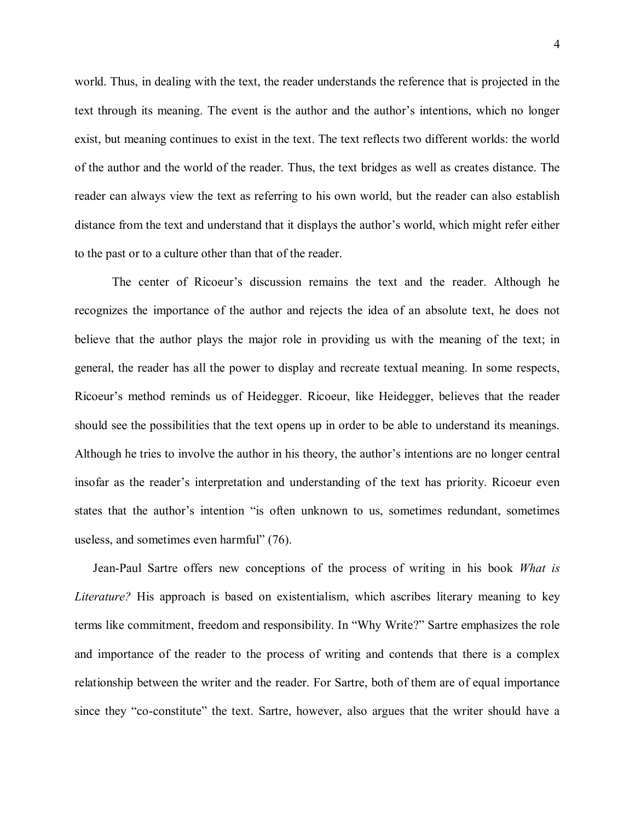world. Thus, in dealing with the text, the reader understands the reference that is projected in the text through its meaning. The event is the author and the author's intentions, which no longer exist, but meaning continues to exist in the text. The text reflects two different worlds: the world of the author and the world of the reader. Thus, the text bridges as well as creates distance. The reader can always view the text as referring to his own world, but the reader can also establish distance from the text and understand that it displays the author's world, which might refer either to the past or to a culture other than that of the reader.

The center of Ricoeur's discussion remains the text and the reader. Although he recognizes the importance of the author and rejects the idea of an absolute text, he does not believe that the author plays the major role in providing us with the meaning of the text; in general, the reader has all the power to display and recreate textual meaning. In some respects, Ricoeur's method reminds us of Heidegger. Ricoeur, like Heidegger, believes that the reader should see the possibilities that the text opens up in order to be able to understand its meanings. Although he tries to involve the author in his theory, the author's intentions are no longer central insofar as the reader's interpretation and understanding of the text has priority. Ricoeur even states that the author's intention "is often unknown to us, sometimes redundant, sometimes useless, and sometimes even harmful" (76).

 Jean-Paul Sartre offers new conceptions of the process of writing in his book *What is Literature?* His approach is based on existentialism, which ascribes literary meaning to key terms like commitment, freedom and responsibility. In "Why Write?" Sartre emphasizes the role and importance of the reader to the process of writing and contends that there is a complex relationship between the writer and the reader. For Sartre, both of them are of equal importance since they "co-constitute" the text. Sartre, however, also argues that the writer should have a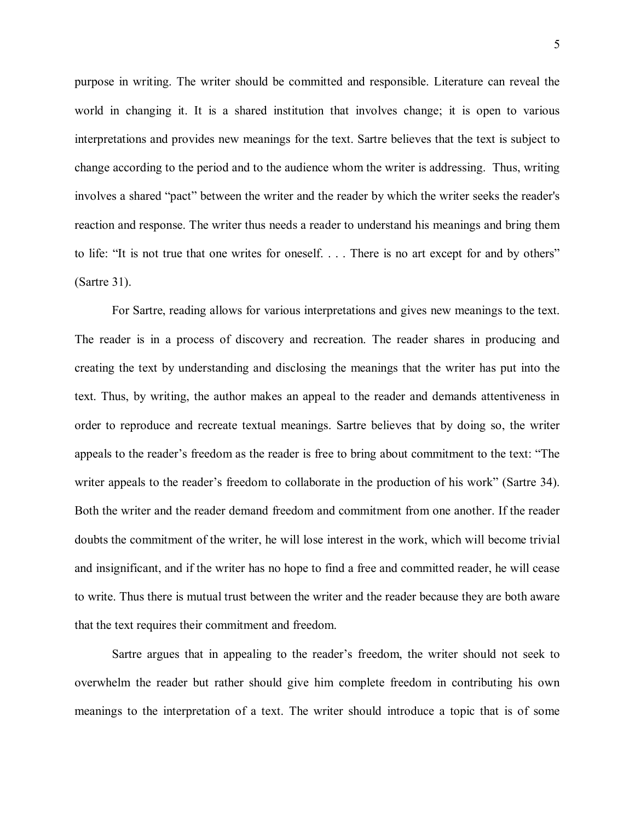purpose in writing. The writer should be committed and responsible. Literature can reveal the world in changing it. It is a shared institution that involves change; it is open to various interpretations and provides new meanings for the text. Sartre believes that the text is subject to change according to the period and to the audience whom the writer is addressing. Thus, writing involves a shared "pact" between the writer and the reader by which the writer seeks the reader's reaction and response. The writer thus needs a reader to understand his meanings and bring them to life: "It is not true that one writes for oneself. . . . There is no art except for and by others" (Sartre 31).

For Sartre, reading allows for various interpretations and gives new meanings to the text. The reader is in a process of discovery and recreation. The reader shares in producing and creating the text by understanding and disclosing the meanings that the writer has put into the text. Thus, by writing, the author makes an appeal to the reader and demands attentiveness in order to reproduce and recreate textual meanings. Sartre believes that by doing so, the writer appeals to the reader's freedom as the reader is free to bring about commitment to the text: "The writer appeals to the reader's freedom to collaborate in the production of his work" (Sartre 34). Both the writer and the reader demand freedom and commitment from one another. If the reader doubts the commitment of the writer, he will lose interest in the work, which will become trivial and insignificant, and if the writer has no hope to find a free and committed reader, he will cease to write. Thus there is mutual trust between the writer and the reader because they are both aware that the text requires their commitment and freedom.

Sartre argues that in appealing to the reader's freedom, the writer should not seek to overwhelm the reader but rather should give him complete freedom in contributing his own meanings to the interpretation of a text. The writer should introduce a topic that is of some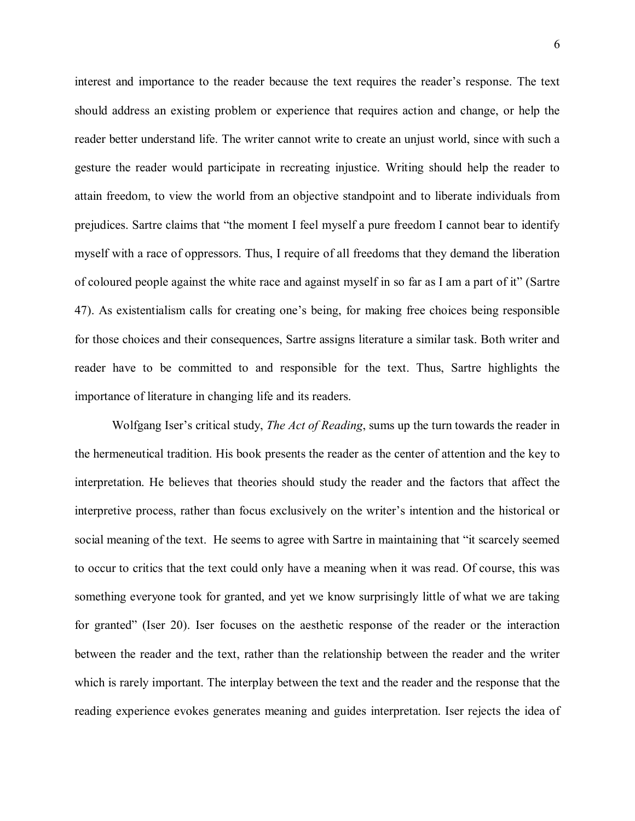interest and importance to the reader because the text requires the reader's response. The text should address an existing problem or experience that requires action and change, or help the reader better understand life. The writer cannot write to create an unjust world, since with such a gesture the reader would participate in recreating injustice. Writing should help the reader to attain freedom, to view the world from an objective standpoint and to liberate individuals from prejudices. Sartre claims that "the moment I feel myself a pure freedom I cannot bear to identify myself with a race of oppressors. Thus, I require of all freedoms that they demand the liberation of coloured people against the white race and against myself in so far as I am a part of it" (Sartre 47). As existentialism calls for creating one's being, for making free choices being responsible for those choices and their consequences, Sartre assigns literature a similar task. Both writer and reader have to be committed to and responsible for the text. Thus, Sartre highlights the importance of literature in changing life and its readers.

Wolfgang Iser's critical study, *The Act of Reading*, sums up the turn towards the reader in the hermeneutical tradition. His book presents the reader as the center of attention and the key to interpretation. He believes that theories should study the reader and the factors that affect the interpretive process, rather than focus exclusively on the writer's intention and the historical or social meaning of the text. He seems to agree with Sartre in maintaining that "it scarcely seemed to occur to critics that the text could only have a meaning when it was read. Of course, this was something everyone took for granted, and yet we know surprisingly little of what we are taking for granted" (Iser 20). Iser focuses on the aesthetic response of the reader or the interaction between the reader and the text, rather than the relationship between the reader and the writer which is rarely important. The interplay between the text and the reader and the response that the reading experience evokes generates meaning and guides interpretation. Iser rejects the idea of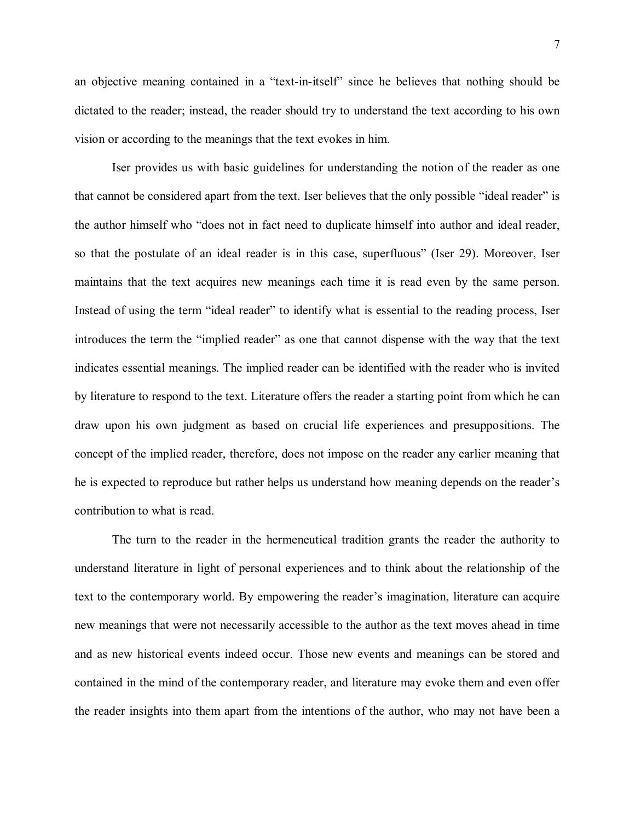an objective meaning contained in a "text-in-itself" since he believes that nothing should be dictated to the reader; instead, the reader should try to understand the text according to his own vision or according to the meanings that the text evokes in him.

Iser provides us with basic guidelines for understanding the notion of the reader as one that cannot be considered apart from the text. Iser believes that the only possible "ideal reader" is the author himself who "does not in fact need to duplicate himself into author and ideal reader, so that the postulate of an ideal reader is in this case, superfluous" (Iser 29). Moreover, Iser maintains that the text acquires new meanings each time it is read even by the same person. Instead of using the term "ideal reader" to identify what is essential to the reading process, Iser introduces the term the "implied reader" as one that cannot dispense with the way that the text indicates essential meanings. The implied reader can be identified with the reader who is invited by literature to respond to the text. Literature offers the reader a starting point from which he can draw upon his own judgment as based on crucial life experiences and presuppositions. The concept of the implied reader, therefore, does not impose on the reader any earlier meaning that he is expected to reproduce but rather helps us understand how meaning depends on the reader's contribution to what is read.

The turn to the reader in the hermeneutical tradition grants the reader the authority to understand literature in light of personal experiences and to think about the relationship of the text to the contemporary world. By empowering the reader's imagination, literature can acquire new meanings that were not necessarily accessible to the author as the text moves ahead in time and as new historical events indeed occur. Those new events and meanings can be stored and contained in the mind of the contemporary reader, and literature may evoke them and even offer the reader insights into them apart from the intentions of the author, who may not have been a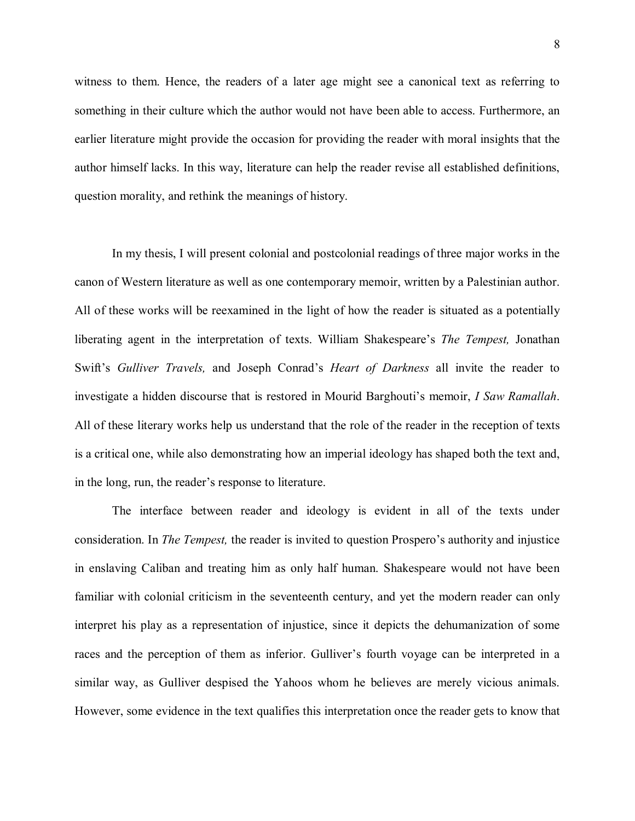witness to them. Hence, the readers of a later age might see a canonical text as referring to something in their culture which the author would not have been able to access. Furthermore, an earlier literature might provide the occasion for providing the reader with moral insights that the author himself lacks. In this way, literature can help the reader revise all established definitions, question morality, and rethink the meanings of history.

In my thesis, I will present colonial and postcolonial readings of three major works in the canon of Western literature as well as one contemporary memoir, written by a Palestinian author. All of these works will be reexamined in the light of how the reader is situated as a potentially liberating agent in the interpretation of texts. William Shakespeare's *The Tempest,* Jonathan Swift's *Gulliver Travels,* and Joseph Conrad's *Heart of Darkness* all invite the reader to investigate a hidden discourse that is restored in Mourid Barghouti's memoir, *I Saw Ramallah*. All of these literary works help us understand that the role of the reader in the reception of texts is a critical one, while also demonstrating how an imperial ideology has shaped both the text and, in the long, run, the reader's response to literature.

The interface between reader and ideology is evident in all of the texts under consideration. In *The Tempest,* the reader is invited to question Prospero's authority and injustice in enslaving Caliban and treating him as only half human. Shakespeare would not have been familiar with colonial criticism in the seventeenth century, and yet the modern reader can only interpret his play as a representation of injustice, since it depicts the dehumanization of some races and the perception of them as inferior. Gulliver's fourth voyage can be interpreted in a similar way, as Gulliver despised the Yahoos whom he believes are merely vicious animals. However, some evidence in the text qualifies this interpretation once the reader gets to know that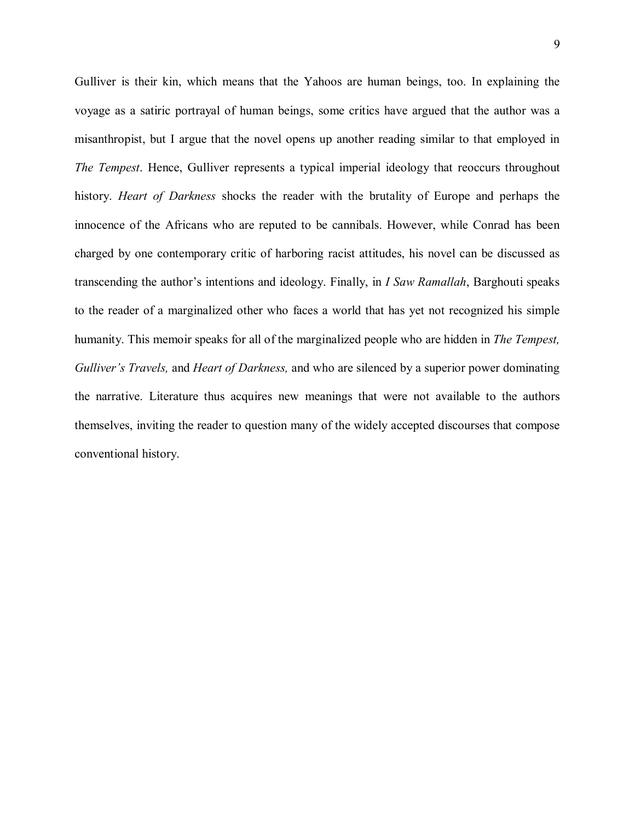Gulliver is their kin, which means that the Yahoos are human beings, too. In explaining the voyage as a satiric portrayal of human beings, some critics have argued that the author was a misanthropist, but I argue that the novel opens up another reading similar to that employed in *The Tempest*. Hence, Gulliver represents a typical imperial ideology that reoccurs throughout history. *Heart of Darkness* shocks the reader with the brutality of Europe and perhaps the innocence of the Africans who are reputed to be cannibals. However, while Conrad has been charged by one contemporary critic of harboring racist attitudes, his novel can be discussed as transcending the author's intentions and ideology. Finally, in *I Saw Ramallah*, Barghouti speaks to the reader of a marginalized other who faces a world that has yet not recognized his simple humanity. This memoir speaks for all of the marginalized people who are hidden in *The Tempest, Gulliver's Travels,* and *Heart of Darkness,* and who are silenced by a superior power dominating the narrative. Literature thus acquires new meanings that were not available to the authors themselves, inviting the reader to question many of the widely accepted discourses that compose conventional history.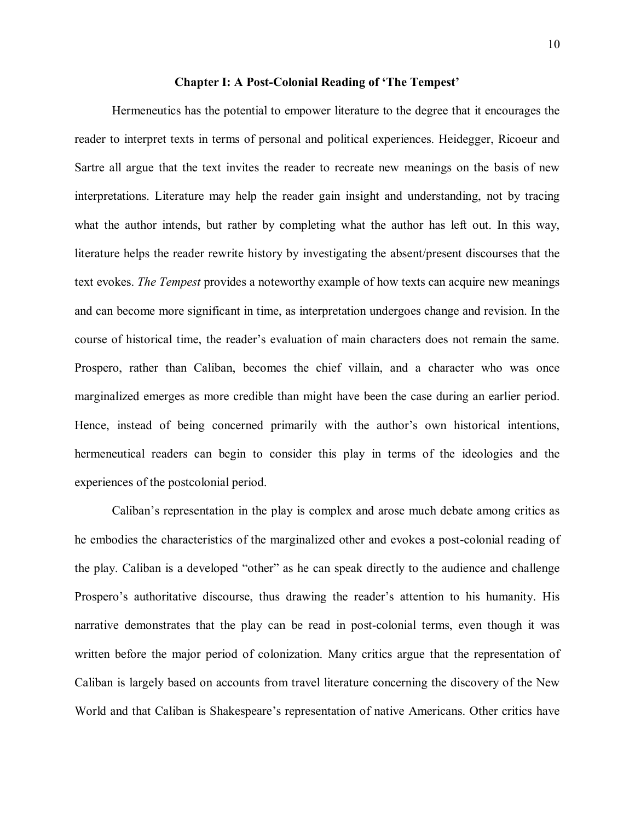#### **Chapter I: A Post-Colonial Reading of 'The Tempest'**

Hermeneutics has the potential to empower literature to the degree that it encourages the reader to interpret texts in terms of personal and political experiences. Heidegger, Ricoeur and Sartre all argue that the text invites the reader to recreate new meanings on the basis of new interpretations. Literature may help the reader gain insight and understanding, not by tracing what the author intends, but rather by completing what the author has left out. In this way, literature helps the reader rewrite history by investigating the absent/present discourses that the text evokes. *The Tempest* provides a noteworthy example of how texts can acquire new meanings and can become more significant in time, as interpretation undergoes change and revision. In the course of historical time, the reader's evaluation of main characters does not remain the same. Prospero, rather than Caliban, becomes the chief villain, and a character who was once marginalized emerges as more credible than might have been the case during an earlier period. Hence, instead of being concerned primarily with the author's own historical intentions, hermeneutical readers can begin to consider this play in terms of the ideologies and the experiences of the postcolonial period.

Caliban's representation in the play is complex and arose much debate among critics as he embodies the characteristics of the marginalized other and evokes a post-colonial reading of the play. Caliban is a developed "other" as he can speak directly to the audience and challenge Prospero's authoritative discourse, thus drawing the reader's attention to his humanity. His narrative demonstrates that the play can be read in post-colonial terms, even though it was written before the major period of colonization. Many critics argue that the representation of Caliban is largely based on accounts from travel literature concerning the discovery of the New World and that Caliban is Shakespeare's representation of native Americans. Other critics have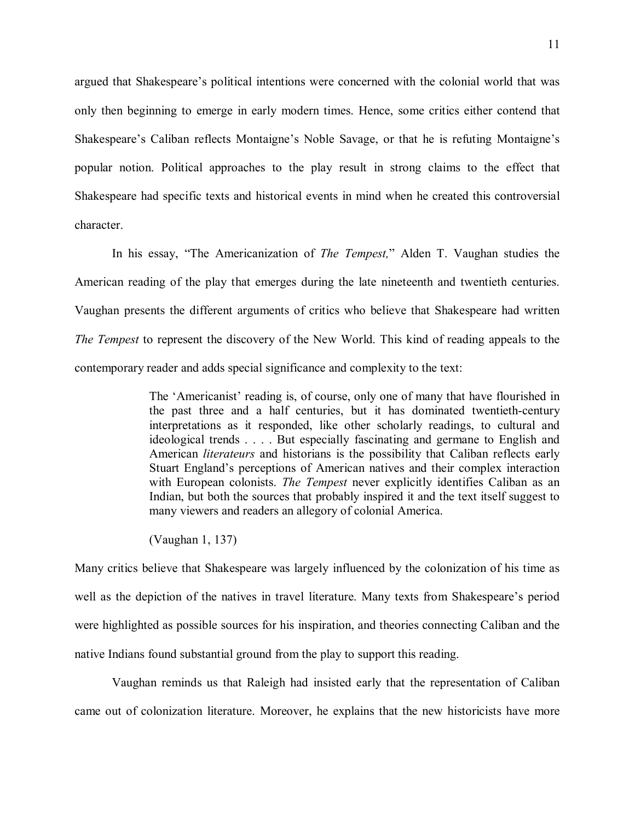argued that Shakespeare's political intentions were concerned with the colonial world that was only then beginning to emerge in early modern times. Hence, some critics either contend that Shakespeare's Caliban reflects Montaigne's Noble Savage, or that he is refuting Montaigne's popular notion. Political approaches to the play result in strong claims to the effect that Shakespeare had specific texts and historical events in mind when he created this controversial character.

In his essay, "The Americanization of *The Tempest,*" Alden T. Vaughan studies the American reading of the play that emerges during the late nineteenth and twentieth centuries. Vaughan presents the different arguments of critics who believe that Shakespeare had written *The Tempest* to represent the discovery of the New World. This kind of reading appeals to the contemporary reader and adds special significance and complexity to the text:

> The 'Americanist' reading is, of course, only one of many that have flourished in the past three and a half centuries, but it has dominated twentieth-century interpretations as it responded, like other scholarly readings, to cultural and ideological trends . . . . But especially fascinating and germane to English and American *literateurs* and historians is the possibility that Caliban reflects early Stuart England's perceptions of American natives and their complex interaction with European colonists. *The Tempest* never explicitly identifies Caliban as an Indian, but both the sources that probably inspired it and the text itself suggest to many viewers and readers an allegory of colonial America.

(Vaughan 1, 137)

Many critics believe that Shakespeare was largely influenced by the colonization of his time as well as the depiction of the natives in travel literature. Many texts from Shakespeare's period were highlighted as possible sources for his inspiration, and theories connecting Caliban and the native Indians found substantial ground from the play to support this reading.

Vaughan reminds us that Raleigh had insisted early that the representation of Caliban came out of colonization literature. Moreover, he explains that the new historicists have more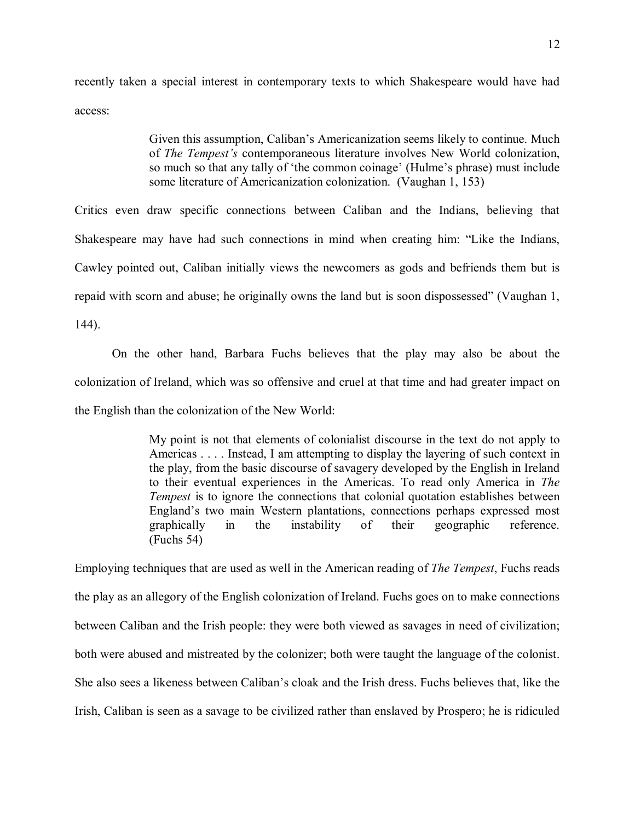recently taken a special interest in contemporary texts to which Shakespeare would have had access:

> Given this assumption, Caliban's Americanization seems likely to continue. Much of *The Tempest's* contemporaneous literature involves New World colonization, so much so that any tally of 'the common coinage' (Hulme's phrase) must include some literature of Americanization colonization. (Vaughan 1, 153)

Critics even draw specific connections between Caliban and the Indians, believing that Shakespeare may have had such connections in mind when creating him: "Like the Indians, Cawley pointed out, Caliban initially views the newcomers as gods and befriends them but is repaid with scorn and abuse; he originally owns the land but is soon dispossessed" (Vaughan 1, 144).

On the other hand, Barbara Fuchs believes that the play may also be about the colonization of Ireland, which was so offensive and cruel at that time and had greater impact on the English than the colonization of the New World:

> My point is not that elements of colonialist discourse in the text do not apply to Americas . . . . Instead, I am attempting to display the layering of such context in the play, from the basic discourse of savagery developed by the English in Ireland to their eventual experiences in the Americas. To read only America in *The Tempest* is to ignore the connections that colonial quotation establishes between England's two main Western plantations, connections perhaps expressed most graphically in the instability of their geographic reference. graphically in the instability of their geographic reference. (Fuchs 54)

Employing techniques that are used as well in the American reading of *The Tempest*, Fuchs reads the play as an allegory of the English colonization of Ireland. Fuchs goes on to make connections between Caliban and the Irish people: they were both viewed as savages in need of civilization; both were abused and mistreated by the colonizer; both were taught the language of the colonist. She also sees a likeness between Caliban's cloak and the Irish dress. Fuchs believes that, like the Irish, Caliban is seen as a savage to be civilized rather than enslaved by Prospero; he is ridiculed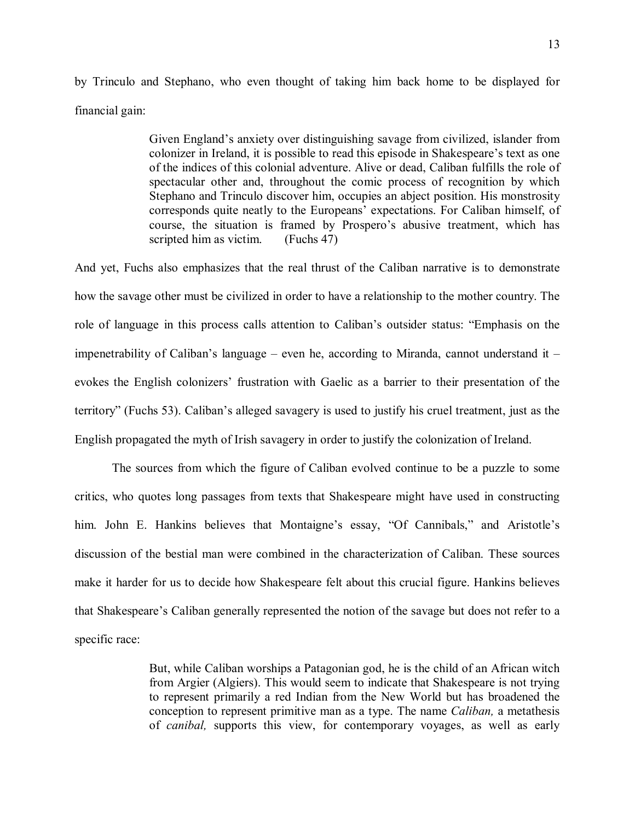by Trinculo and Stephano, who even thought of taking him back home to be displayed for financial gain:

> Given England's anxiety over distinguishing savage from civilized, islander from colonizer in Ireland, it is possible to read this episode in Shakespeare's text as one of the indices of this colonial adventure. Alive or dead, Caliban fulfills the role of spectacular other and, throughout the comic process of recognition by which Stephano and Trinculo discover him, occupies an abject position. His monstrosity corresponds quite neatly to the Europeans' expectations. For Caliban himself, of course, the situation is framed by Prospero's abusive treatment, which has scripted him as victim. (Fuchs 47)

And yet, Fuchs also emphasizes that the real thrust of the Caliban narrative is to demonstrate how the savage other must be civilized in order to have a relationship to the mother country. The role of language in this process calls attention to Caliban's outsider status: "Emphasis on the impenetrability of Caliban's language – even he, according to Miranda, cannot understand it – evokes the English colonizers' frustration with Gaelic as a barrier to their presentation of the territory" (Fuchs 53). Caliban's alleged savagery is used to justify his cruel treatment, just as the English propagated the myth of Irish savagery in order to justify the colonization of Ireland.

The sources from which the figure of Caliban evolved continue to be a puzzle to some critics, who quotes long passages from texts that Shakespeare might have used in constructing him. John E. Hankins believes that Montaigne's essay, "Of Cannibals," and Aristotle's discussion of the bestial man were combined in the characterization of Caliban. These sources make it harder for us to decide how Shakespeare felt about this crucial figure. Hankins believes that Shakespeare's Caliban generally represented the notion of the savage but does not refer to a specific race:

> But, while Caliban worships a Patagonian god, he is the child of an African witch from Argier (Algiers). This would seem to indicate that Shakespeare is not trying to represent primarily a red Indian from the New World but has broadened the conception to represent primitive man as a type. The name *Caliban,* a metathesis of *canibal,* supports this view, for contemporary voyages, as well as early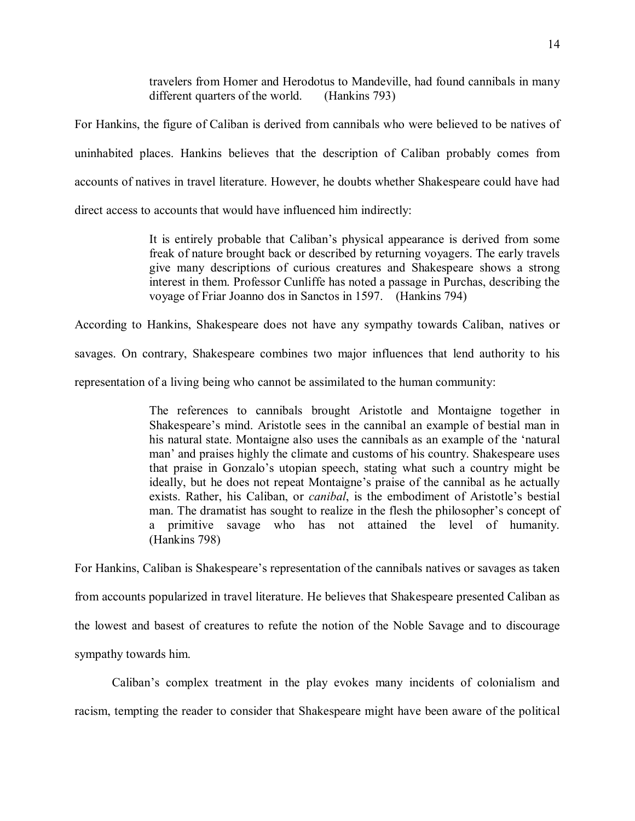travelers from Homer and Herodotus to Mandeville, had found cannibals in many different quarters of the world. (Hankins 793)

For Hankins, the figure of Caliban is derived from cannibals who were believed to be natives of uninhabited places. Hankins believes that the description of Caliban probably comes from accounts of natives in travel literature. However, he doubts whether Shakespeare could have had direct access to accounts that would have influenced him indirectly:

> It is entirely probable that Caliban's physical appearance is derived from some freak of nature brought back or described by returning voyagers. The early travels give many descriptions of curious creatures and Shakespeare shows a strong interest in them. Professor Cunliffe has noted a passage in Purchas, describing the voyage of Friar Joanno dos in Sanctos in 1597. (Hankins 794)

According to Hankins, Shakespeare does not have any sympathy towards Caliban, natives or savages. On contrary, Shakespeare combines two major influences that lend authority to his

representation of a living being who cannot be assimilated to the human community:

The references to cannibals brought Aristotle and Montaigne together in Shakespeare's mind. Aristotle sees in the cannibal an example of bestial man in his natural state. Montaigne also uses the cannibals as an example of the 'natural man' and praises highly the climate and customs of his country. Shakespeare uses that praise in Gonzalo's utopian speech, stating what such a country might be ideally, but he does not repeat Montaigne's praise of the cannibal as he actually exists. Rather, his Caliban, or *canibal*, is the embodiment of Aristotle's bestial man. The dramatist has sought to realize in the flesh the philosopher's concept of a primitive savage who has not attained the level of humanity. (Hankins 798)

For Hankins, Caliban is Shakespeare's representation of the cannibals natives or savages as taken from accounts popularized in travel literature. He believes that Shakespeare presented Caliban as the lowest and basest of creatures to refute the notion of the Noble Savage and to discourage sympathy towards him.

Caliban's complex treatment in the play evokes many incidents of colonialism and racism, tempting the reader to consider that Shakespeare might have been aware of the political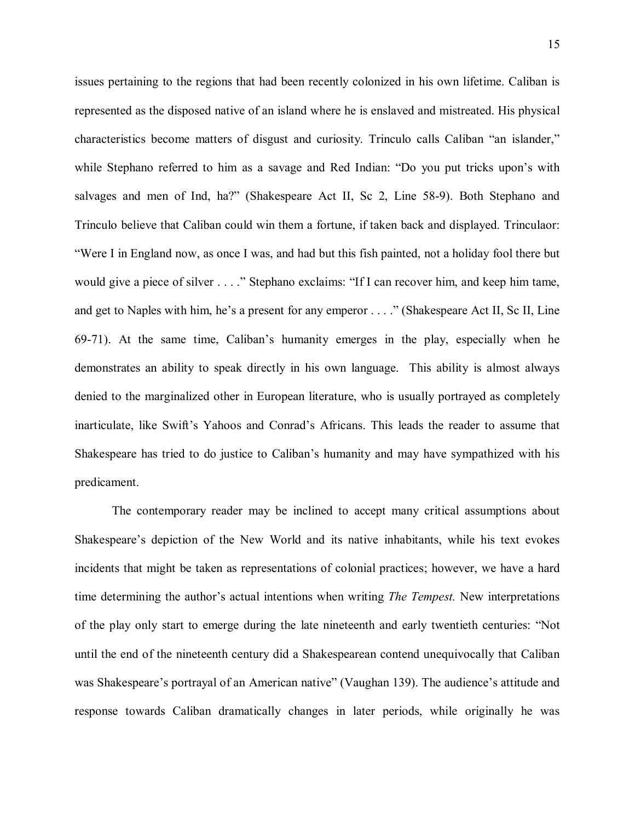issues pertaining to the regions that had been recently colonized in his own lifetime. Caliban is represented as the disposed native of an island where he is enslaved and mistreated. His physical characteristics become matters of disgust and curiosity. Trinculo calls Caliban "an islander," while Stephano referred to him as a savage and Red Indian: "Do you put tricks upon's with salvages and men of Ind, ha?" (Shakespeare Act II, Sc 2, Line 58-9). Both Stephano and Trinculo believe that Caliban could win them a fortune, if taken back and displayed. Trinculaor: "Were I in England now, as once I was, and had but this fish painted, not a holiday fool there but would give a piece of silver . . . ." Stephano exclaims: "If I can recover him, and keep him tame, and get to Naples with him, he's a present for any emperor . . . ." (Shakespeare Act II, Sc II, Line 69-71). At the same time, Caliban's humanity emerges in the play, especially when he demonstrates an ability to speak directly in his own language. This ability is almost always denied to the marginalized other in European literature, who is usually portrayed as completely inarticulate, like Swift's Yahoos and Conrad's Africans. This leads the reader to assume that Shakespeare has tried to do justice to Caliban's humanity and may have sympathized with his predicament.

The contemporary reader may be inclined to accept many critical assumptions about Shakespeare's depiction of the New World and its native inhabitants, while his text evokes incidents that might be taken as representations of colonial practices; however, we have a hard time determining the author's actual intentions when writing *The Tempest.* New interpretations of the play only start to emerge during the late nineteenth and early twentieth centuries: "Not until the end of the nineteenth century did a Shakespearean contend unequivocally that Caliban was Shakespeare's portrayal of an American native" (Vaughan 139). The audience's attitude and response towards Caliban dramatically changes in later periods, while originally he was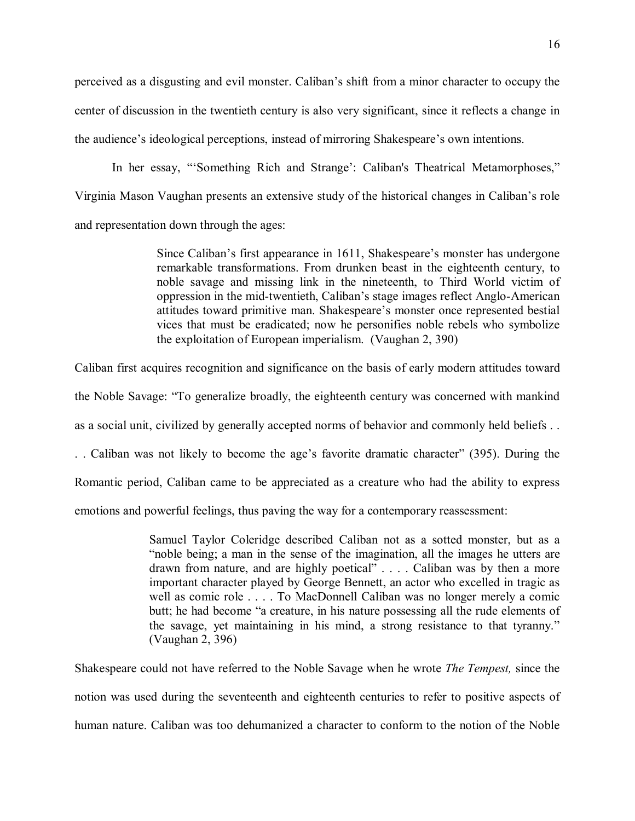perceived as a disgusting and evil monster. Caliban's shift from a minor character to occupy the center of discussion in the twentieth century is also very significant, since it reflects a change in the audience's ideological perceptions, instead of mirroring Shakespeare's own intentions.

In her essay, "'Something Rich and Strange': Caliban's Theatrical Metamorphoses," Virginia Mason Vaughan presents an extensive study of the historical changes in Caliban's role and representation down through the ages:

> Since Caliban's first appearance in 1611, Shakespeare's monster has undergone remarkable transformations. From drunken beast in the eighteenth century, to noble savage and missing link in the nineteenth, to Third World victim of oppression in the mid-twentieth, Caliban's stage images reflect Anglo-American attitudes toward primitive man. Shakespeare's monster once represented bestial vices that must be eradicated; now he personifies noble rebels who symbolize the exploitation of European imperialism. (Vaughan 2, 390)

Caliban first acquires recognition and significance on the basis of early modern attitudes toward

the Noble Savage: "To generalize broadly, the eighteenth century was concerned with mankind

as a social unit, civilized by generally accepted norms of behavior and commonly held beliefs . .

. . Caliban was not likely to become the age's favorite dramatic character" (395). During the

Romantic period, Caliban came to be appreciated as a creature who had the ability to express

emotions and powerful feelings, thus paving the way for a contemporary reassessment:

Samuel Taylor Coleridge described Caliban not as a sotted monster, but as a "noble being; a man in the sense of the imagination, all the images he utters are drawn from nature, and are highly poetical" . . . . Caliban was by then a more important character played by George Bennett, an actor who excelled in tragic as well as comic role . . . . To MacDonnell Caliban was no longer merely a comic butt; he had become "a creature, in his nature possessing all the rude elements of the savage, yet maintaining in his mind, a strong resistance to that tyranny." (Vaughan 2, 396)

Shakespeare could not have referred to the Noble Savage when he wrote *The Tempest,* since the notion was used during the seventeenth and eighteenth centuries to refer to positive aspects of human nature. Caliban was too dehumanized a character to conform to the notion of the Noble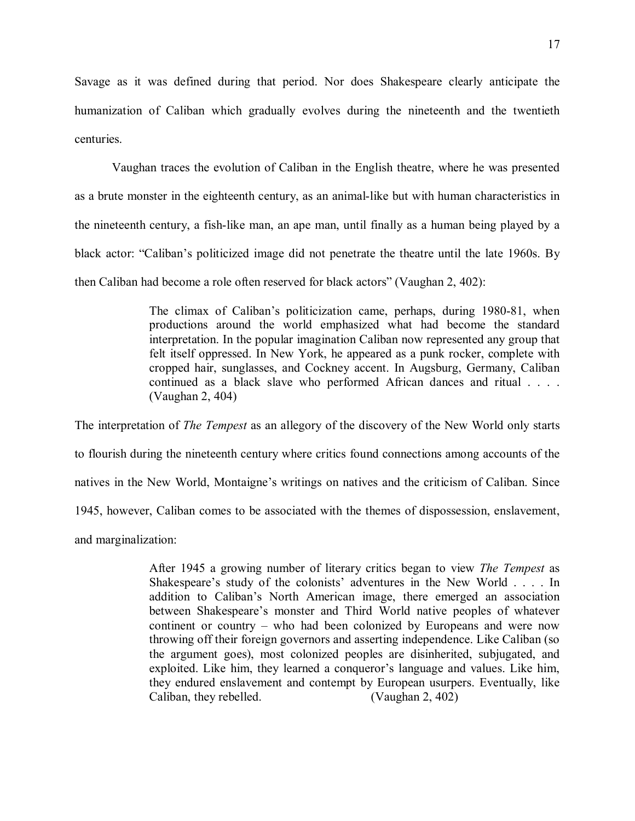Savage as it was defined during that period. Nor does Shakespeare clearly anticipate the humanization of Caliban which gradually evolves during the nineteenth and the twentieth centuries.

Vaughan traces the evolution of Caliban in the English theatre, where he was presented as a brute monster in the eighteenth century, as an animal-like but with human characteristics in the nineteenth century, a fish-like man, an ape man, until finally as a human being played by a black actor: "Caliban's politicized image did not penetrate the theatre until the late 1960s. By then Caliban had become a role often reserved for black actors" (Vaughan 2, 402):

> The climax of Caliban's politicization came, perhaps, during 1980-81, when productions around the world emphasized what had become the standard interpretation. In the popular imagination Caliban now represented any group that felt itself oppressed. In New York, he appeared as a punk rocker, complete with cropped hair, sunglasses, and Cockney accent. In Augsburg, Germany, Caliban continued as a black slave who performed African dances and ritual . . . . (Vaughan 2, 404)

The interpretation of *The Tempest* as an allegory of the discovery of the New World only starts to flourish during the nineteenth century where critics found connections among accounts of the natives in the New World, Montaigne's writings on natives and the criticism of Caliban. Since 1945, however, Caliban comes to be associated with the themes of dispossession, enslavement, and marginalization:

> After 1945 a growing number of literary critics began to view *The Tempest* as Shakespeare's study of the colonists' adventures in the New World . . . . In addition to Caliban's North American image, there emerged an association between Shakespeare's monster and Third World native peoples of whatever continent or country – who had been colonized by Europeans and were now throwing off their foreign governors and asserting independence. Like Caliban (so the argument goes), most colonized peoples are disinherited, subjugated, and exploited. Like him, they learned a conqueror's language and values. Like him, they endured enslavement and contempt by European usurpers. Eventually, like Caliban, they rebelled. (Vaughan 2, 402)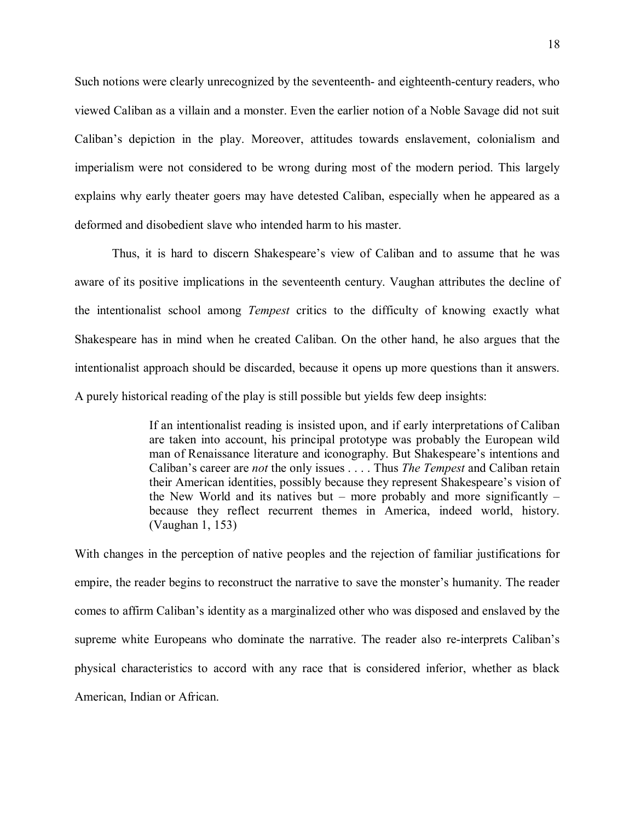Such notions were clearly unrecognized by the seventeenth- and eighteenth-century readers, who viewed Caliban as a villain and a monster. Even the earlier notion of a Noble Savage did not suit Caliban's depiction in the play. Moreover, attitudes towards enslavement, colonialism and imperialism were not considered to be wrong during most of the modern period. This largely explains why early theater goers may have detested Caliban, especially when he appeared as a deformed and disobedient slave who intended harm to his master.

Thus, it is hard to discern Shakespeare's view of Caliban and to assume that he was aware of its positive implications in the seventeenth century. Vaughan attributes the decline of the intentionalist school among *Tempest* critics to the difficulty of knowing exactly what Shakespeare has in mind when he created Caliban. On the other hand, he also argues that the intentionalist approach should be discarded, because it opens up more questions than it answers. A purely historical reading of the play is still possible but yields few deep insights:

> If an intentionalist reading is insisted upon, and if early interpretations of Caliban are taken into account, his principal prototype was probably the European wild man of Renaissance literature and iconography. But Shakespeare's intentions and Caliban's career are *not* the only issues . . . . Thus *The Tempest* and Caliban retain their American identities, possibly because they represent Shakespeare's vision of the New World and its natives but – more probably and more significantly – because they reflect recurrent themes in America, indeed world, history. (Vaughan 1, 153)

With changes in the perception of native peoples and the rejection of familiar justifications for empire, the reader begins to reconstruct the narrative to save the monster's humanity. The reader comes to affirm Caliban's identity as a marginalized other who was disposed and enslaved by the supreme white Europeans who dominate the narrative. The reader also re-interprets Caliban's physical characteristics to accord with any race that is considered inferior, whether as black American, Indian or African.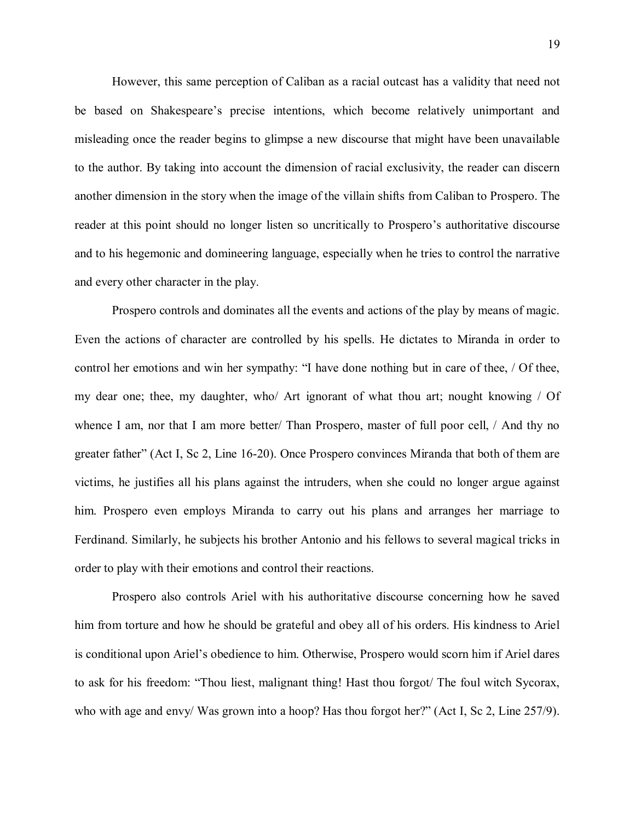However, this same perception of Caliban as a racial outcast has a validity that need not be based on Shakespeare's precise intentions, which become relatively unimportant and misleading once the reader begins to glimpse a new discourse that might have been unavailable to the author. By taking into account the dimension of racial exclusivity, the reader can discern another dimension in the story when the image of the villain shifts from Caliban to Prospero. The reader at this point should no longer listen so uncritically to Prospero's authoritative discourse and to his hegemonic and domineering language, especially when he tries to control the narrative and every other character in the play.

Prospero controls and dominates all the events and actions of the play by means of magic. Even the actions of character are controlled by his spells. He dictates to Miranda in order to control her emotions and win her sympathy: "I have done nothing but in care of thee, / Of thee, my dear one; thee, my daughter, who/ Art ignorant of what thou art; nought knowing / Of whence I am, nor that I am more better/ Than Prospero, master of full poor cell, / And thy no greater father" (Act I, Sc 2, Line 16-20). Once Prospero convinces Miranda that both of them are victims, he justifies all his plans against the intruders, when she could no longer argue against him. Prospero even employs Miranda to carry out his plans and arranges her marriage to Ferdinand. Similarly, he subjects his brother Antonio and his fellows to several magical tricks in order to play with their emotions and control their reactions.

Prospero also controls Ariel with his authoritative discourse concerning how he saved him from torture and how he should be grateful and obey all of his orders. His kindness to Ariel is conditional upon Ariel's obedience to him. Otherwise, Prospero would scorn him if Ariel dares to ask for his freedom: "Thou liest, malignant thing! Hast thou forgot/ The foul witch Sycorax, who with age and envy/ Was grown into a hoop? Has thou forgot her?" (Act I, Sc 2, Line 257/9).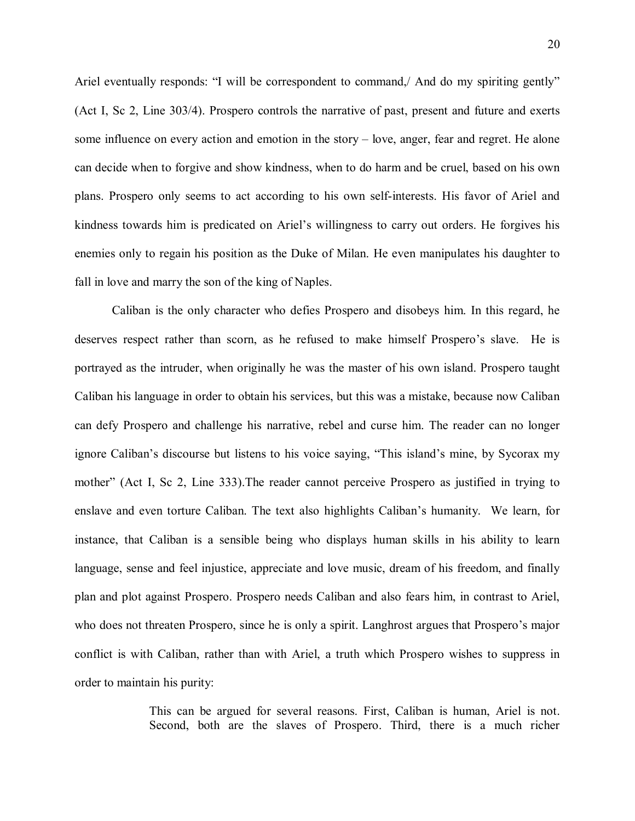Ariel eventually responds: "I will be correspondent to command. And do my spiriting gently" (Act I, Sc 2, Line 303/4). Prospero controls the narrative of past, present and future and exerts some influence on every action and emotion in the story – love, anger, fear and regret. He alone can decide when to forgive and show kindness, when to do harm and be cruel, based on his own plans. Prospero only seems to act according to his own self-interests. His favor of Ariel and kindness towards him is predicated on Ariel's willingness to carry out orders. He forgives his enemies only to regain his position as the Duke of Milan. He even manipulates his daughter to fall in love and marry the son of the king of Naples.

Caliban is the only character who defies Prospero and disobeys him. In this regard, he deserves respect rather than scorn, as he refused to make himself Prospero's slave. He is portrayed as the intruder, when originally he was the master of his own island. Prospero taught Caliban his language in order to obtain his services, but this was a mistake, because now Caliban can defy Prospero and challenge his narrative, rebel and curse him. The reader can no longer ignore Caliban's discourse but listens to his voice saying, "This island's mine, by Sycorax my mother" (Act I, Sc 2, Line 333).The reader cannot perceive Prospero as justified in trying to enslave and even torture Caliban. The text also highlights Caliban's humanity. We learn, for instance, that Caliban is a sensible being who displays human skills in his ability to learn language, sense and feel injustice, appreciate and love music, dream of his freedom, and finally plan and plot against Prospero. Prospero needs Caliban and also fears him, in contrast to Ariel, who does not threaten Prospero, since he is only a spirit. Langhrost argues that Prospero's major conflict is with Caliban, rather than with Ariel, a truth which Prospero wishes to suppress in order to maintain his purity:

> This can be argued for several reasons. First, Caliban is human, Ariel is not. Second, both are the slaves of Prospero. Third, there is a much richer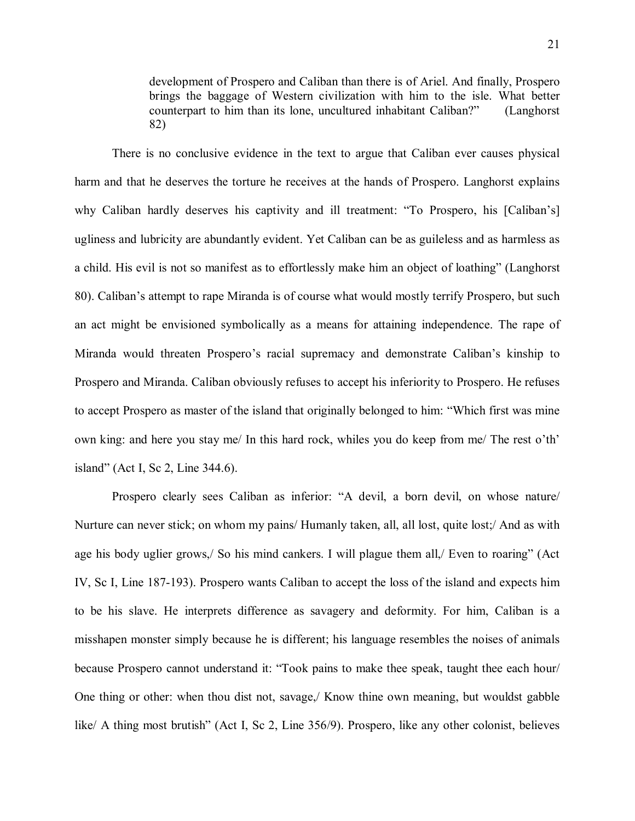development of Prospero and Caliban than there is of Ariel. And finally, Prospero brings the baggage of Western civilization with him to the isle. What better counterpart to him than its lone, uncultured inhabitant Caliban?" (Langhorst 82)

There is no conclusive evidence in the text to argue that Caliban ever causes physical harm and that he deserves the torture he receives at the hands of Prospero. Langhorst explains why Caliban hardly deserves his captivity and ill treatment: "To Prospero, his [Caliban's] ugliness and lubricity are abundantly evident. Yet Caliban can be as guileless and as harmless as a child. His evil is not so manifest as to effortlessly make him an object of loathing" (Langhorst 80). Caliban's attempt to rape Miranda is of course what would mostly terrify Prospero, but such an act might be envisioned symbolically as a means for attaining independence. The rape of Miranda would threaten Prospero's racial supremacy and demonstrate Caliban's kinship to Prospero and Miranda. Caliban obviously refuses to accept his inferiority to Prospero. He refuses to accept Prospero as master of the island that originally belonged to him: "Which first was mine own king: and here you stay me/ In this hard rock, whiles you do keep from me/ The rest o'th' island" (Act I, Sc 2, Line 344.6).

Prospero clearly sees Caliban as inferior: "A devil, a born devil, on whose nature/ Nurture can never stick; on whom my pains/ Humanly taken, all, all lost, quite lost;/ And as with age his body uglier grows,/ So his mind cankers. I will plague them all,/ Even to roaring" (Act IV, Sc I, Line 187-193). Prospero wants Caliban to accept the loss of the island and expects him to be his slave. He interprets difference as savagery and deformity. For him, Caliban is a misshapen monster simply because he is different; his language resembles the noises of animals because Prospero cannot understand it: "Took pains to make thee speak, taught thee each hour/ One thing or other: when thou dist not, savage,/ Know thine own meaning, but wouldst gabble like/ A thing most brutish" (Act I, Sc 2, Line 356/9). Prospero, like any other colonist, believes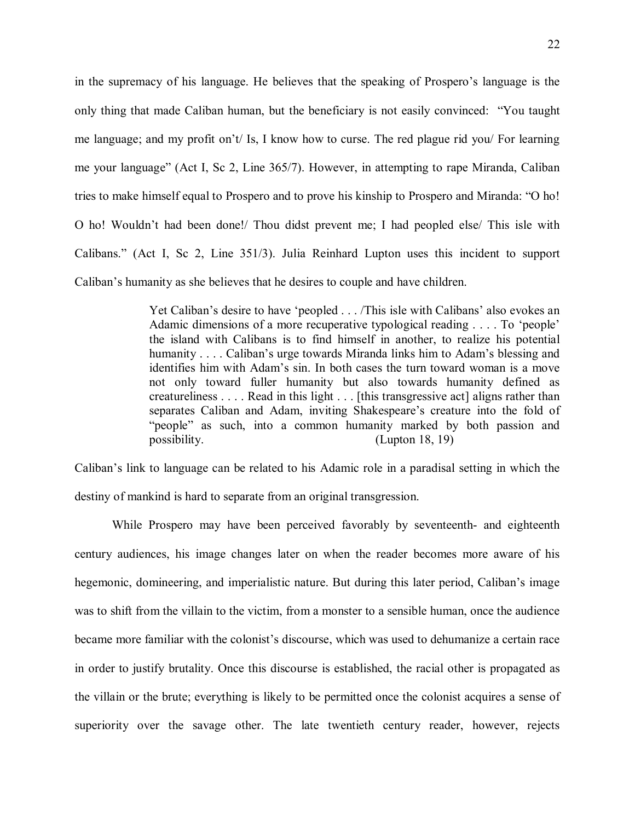in the supremacy of his language. He believes that the speaking of Prospero's language is the only thing that made Caliban human, but the beneficiary is not easily convinced: "You taught me language; and my profit on't/ Is, I know how to curse. The red plague rid you/ For learning me your language" (Act I, Sc 2, Line 365/7). However, in attempting to rape Miranda, Caliban tries to make himself equal to Prospero and to prove his kinship to Prospero and Miranda: "O ho! O ho! Wouldn't had been done!/ Thou didst prevent me; I had peopled else/ This isle with Calibans." (Act I, Sc 2, Line 351/3). Julia Reinhard Lupton uses this incident to support Caliban's humanity as she believes that he desires to couple and have children.

> Yet Caliban's desire to have 'peopled . . . /This isle with Calibans' also evokes an Adamic dimensions of a more recuperative typological reading . . . . To 'people' the island with Calibans is to find himself in another, to realize his potential humanity . . . . Caliban's urge towards Miranda links him to Adam's blessing and identifies him with Adam's sin. In both cases the turn toward woman is a move not only toward fuller humanity but also towards humanity defined as creatureliness . . . . Read in this light . . . [this transgressive act] aligns rather than separates Caliban and Adam, inviting Shakespeare's creature into the fold of "people" as such, into a common humanity marked by both passion and possibility. (Lupton 18, 19)

Caliban's link to language can be related to his Adamic role in a paradisal setting in which the destiny of mankind is hard to separate from an original transgression.

While Prospero may have been perceived favorably by seventeenth- and eighteenth century audiences, his image changes later on when the reader becomes more aware of his hegemonic, domineering, and imperialistic nature. But during this later period, Caliban's image was to shift from the villain to the victim, from a monster to a sensible human, once the audience became more familiar with the colonist's discourse, which was used to dehumanize a certain race in order to justify brutality. Once this discourse is established, the racial other is propagated as the villain or the brute; everything is likely to be permitted once the colonist acquires a sense of superiority over the savage other. The late twentieth century reader, however, rejects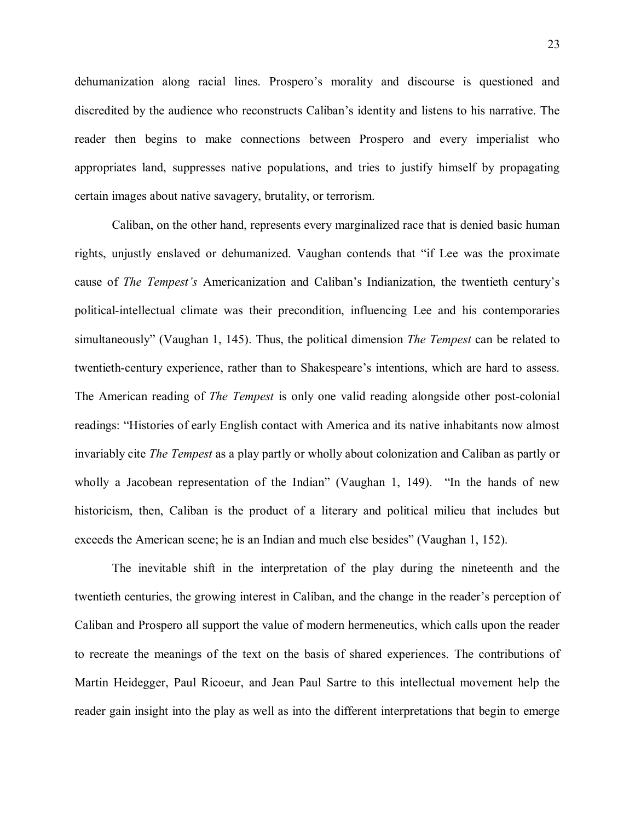dehumanization along racial lines. Prospero's morality and discourse is questioned and discredited by the audience who reconstructs Caliban's identity and listens to his narrative. The reader then begins to make connections between Prospero and every imperialist who appropriates land, suppresses native populations, and tries to justify himself by propagating certain images about native savagery, brutality, or terrorism.

Caliban, on the other hand, represents every marginalized race that is denied basic human rights, unjustly enslaved or dehumanized. Vaughan contends that "if Lee was the proximate cause of *The Tempest's* Americanization and Caliban's Indianization, the twentieth century's political-intellectual climate was their precondition, influencing Lee and his contemporaries simultaneously" (Vaughan 1, 145). Thus, the political dimension *The Tempest* can be related to twentieth-century experience, rather than to Shakespeare's intentions, which are hard to assess. The American reading of *The Tempest* is only one valid reading alongside other post-colonial readings: "Histories of early English contact with America and its native inhabitants now almost invariably cite *The Tempest* as a play partly or wholly about colonization and Caliban as partly or wholly a Jacobean representation of the Indian" (Vaughan 1, 149). "In the hands of new historicism, then, Caliban is the product of a literary and political milieu that includes but exceeds the American scene; he is an Indian and much else besides" (Vaughan 1, 152).

The inevitable shift in the interpretation of the play during the nineteenth and the twentieth centuries, the growing interest in Caliban, and the change in the reader's perception of Caliban and Prospero all support the value of modern hermeneutics, which calls upon the reader to recreate the meanings of the text on the basis of shared experiences. The contributions of Martin Heidegger, Paul Ricoeur, and Jean Paul Sartre to this intellectual movement help the reader gain insight into the play as well as into the different interpretations that begin to emerge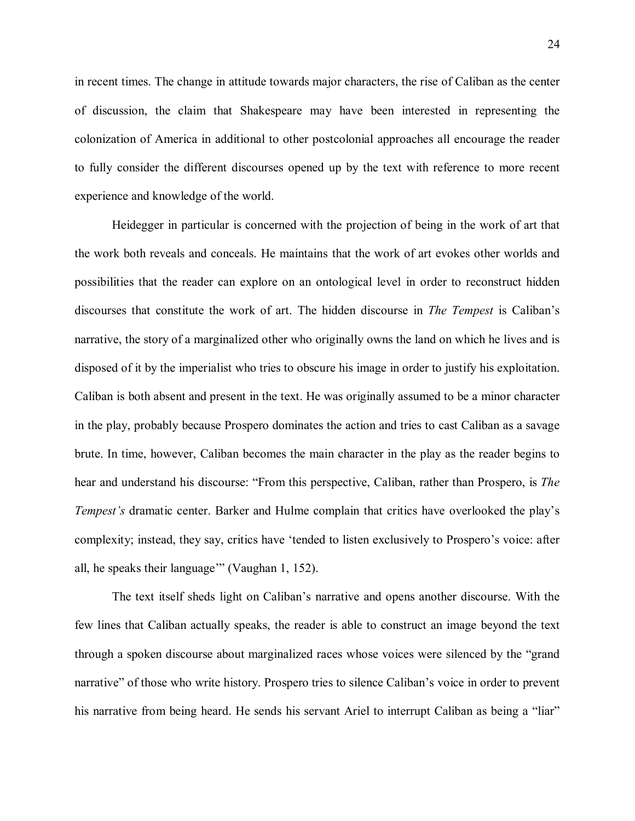in recent times. The change in attitude towards major characters, the rise of Caliban as the center of discussion, the claim that Shakespeare may have been interested in representing the colonization of America in additional to other postcolonial approaches all encourage the reader to fully consider the different discourses opened up by the text with reference to more recent experience and knowledge of the world.

Heidegger in particular is concerned with the projection of being in the work of art that the work both reveals and conceals. He maintains that the work of art evokes other worlds and possibilities that the reader can explore on an ontological level in order to reconstruct hidden discourses that constitute the work of art. The hidden discourse in *The Tempest* is Caliban's narrative, the story of a marginalized other who originally owns the land on which he lives and is disposed of it by the imperialist who tries to obscure his image in order to justify his exploitation. Caliban is both absent and present in the text. He was originally assumed to be a minor character in the play, probably because Prospero dominates the action and tries to cast Caliban as a savage brute. In time, however, Caliban becomes the main character in the play as the reader begins to hear and understand his discourse: "From this perspective, Caliban, rather than Prospero, is *The Tempest's* dramatic center. Barker and Hulme complain that critics have overlooked the play's complexity; instead, they say, critics have 'tended to listen exclusively to Prospero's voice: after all, he speaks their language'" (Vaughan 1, 152).

The text itself sheds light on Caliban's narrative and opens another discourse. With the few lines that Caliban actually speaks, the reader is able to construct an image beyond the text through a spoken discourse about marginalized races whose voices were silenced by the "grand narrative" of those who write history. Prospero tries to silence Caliban's voice in order to prevent his narrative from being heard. He sends his servant Ariel to interrupt Caliban as being a "liar"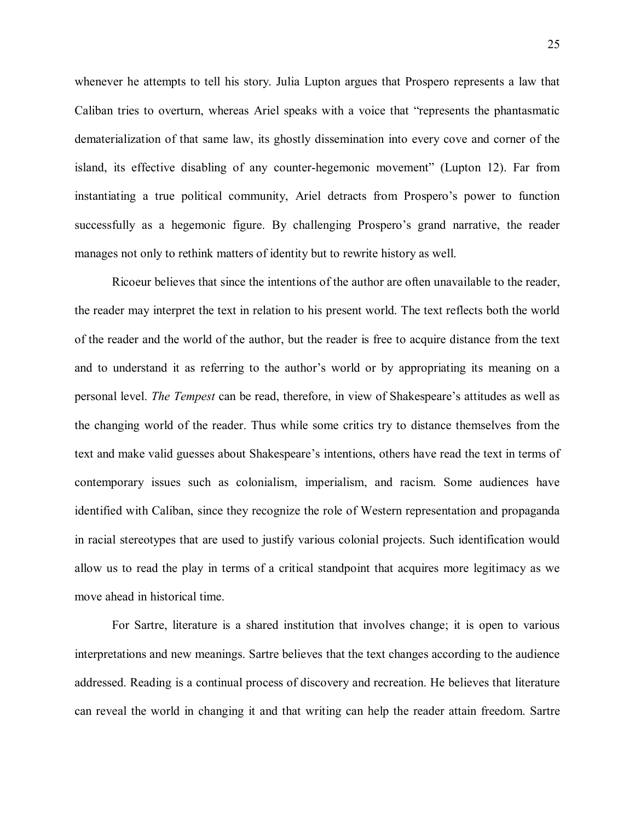whenever he attempts to tell his story. Julia Lupton argues that Prospero represents a law that Caliban tries to overturn, whereas Ariel speaks with a voice that "represents the phantasmatic dematerialization of that same law, its ghostly dissemination into every cove and corner of the island, its effective disabling of any counter-hegemonic movement" (Lupton 12). Far from instantiating a true political community, Ariel detracts from Prospero's power to function successfully as a hegemonic figure. By challenging Prospero's grand narrative, the reader manages not only to rethink matters of identity but to rewrite history as well.

Ricoeur believes that since the intentions of the author are often unavailable to the reader, the reader may interpret the text in relation to his present world. The text reflects both the world of the reader and the world of the author, but the reader is free to acquire distance from the text and to understand it as referring to the author's world or by appropriating its meaning on a personal level. *The Tempest* can be read, therefore, in view of Shakespeare's attitudes as well as the changing world of the reader. Thus while some critics try to distance themselves from the text and make valid guesses about Shakespeare's intentions, others have read the text in terms of contemporary issues such as colonialism, imperialism, and racism. Some audiences have identified with Caliban, since they recognize the role of Western representation and propaganda in racial stereotypes that are used to justify various colonial projects. Such identification would allow us to read the play in terms of a critical standpoint that acquires more legitimacy as we move ahead in historical time.

For Sartre, literature is a shared institution that involves change; it is open to various interpretations and new meanings. Sartre believes that the text changes according to the audience addressed. Reading is a continual process of discovery and recreation. He believes that literature can reveal the world in changing it and that writing can help the reader attain freedom. Sartre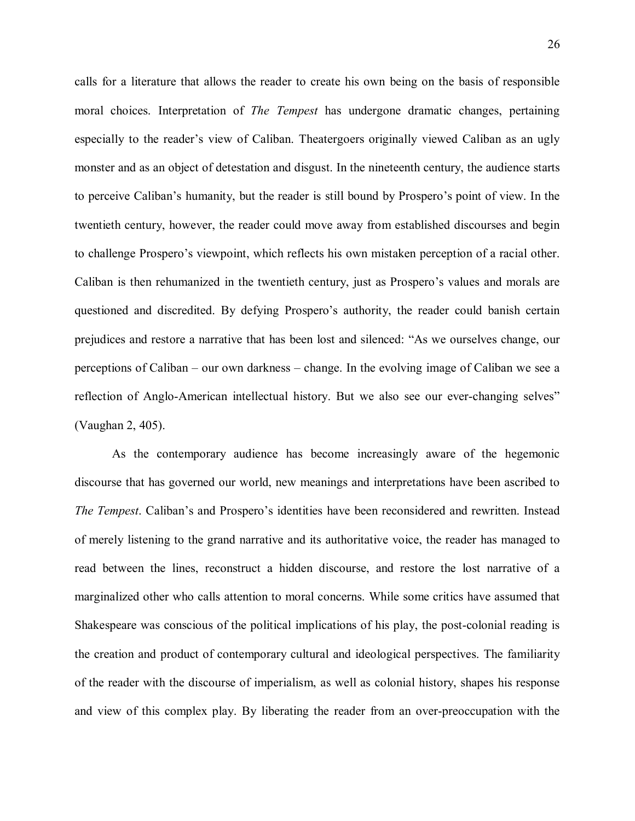calls for a literature that allows the reader to create his own being on the basis of responsible moral choices. Interpretation of *The Tempest* has undergone dramatic changes, pertaining especially to the reader's view of Caliban. Theatergoers originally viewed Caliban as an ugly monster and as an object of detestation and disgust. In the nineteenth century, the audience starts to perceive Caliban's humanity, but the reader is still bound by Prospero's point of view. In the twentieth century, however, the reader could move away from established discourses and begin to challenge Prospero's viewpoint, which reflects his own mistaken perception of a racial other. Caliban is then rehumanized in the twentieth century, just as Prospero's values and morals are questioned and discredited. By defying Prospero's authority, the reader could banish certain prejudices and restore a narrative that has been lost and silenced: "As we ourselves change, our perceptions of Caliban – our own darkness – change. In the evolving image of Caliban we see a reflection of Anglo-American intellectual history. But we also see our ever-changing selves" (Vaughan 2, 405).

As the contemporary audience has become increasingly aware of the hegemonic discourse that has governed our world, new meanings and interpretations have been ascribed to *The Tempest*. Caliban's and Prospero's identities have been reconsidered and rewritten. Instead of merely listening to the grand narrative and its authoritative voice, the reader has managed to read between the lines, reconstruct a hidden discourse, and restore the lost narrative of a marginalized other who calls attention to moral concerns. While some critics have assumed that Shakespeare was conscious of the political implications of his play, the post-colonial reading is the creation and product of contemporary cultural and ideological perspectives. The familiarity of the reader with the discourse of imperialism, as well as colonial history, shapes his response and view of this complex play. By liberating the reader from an over-preoccupation with the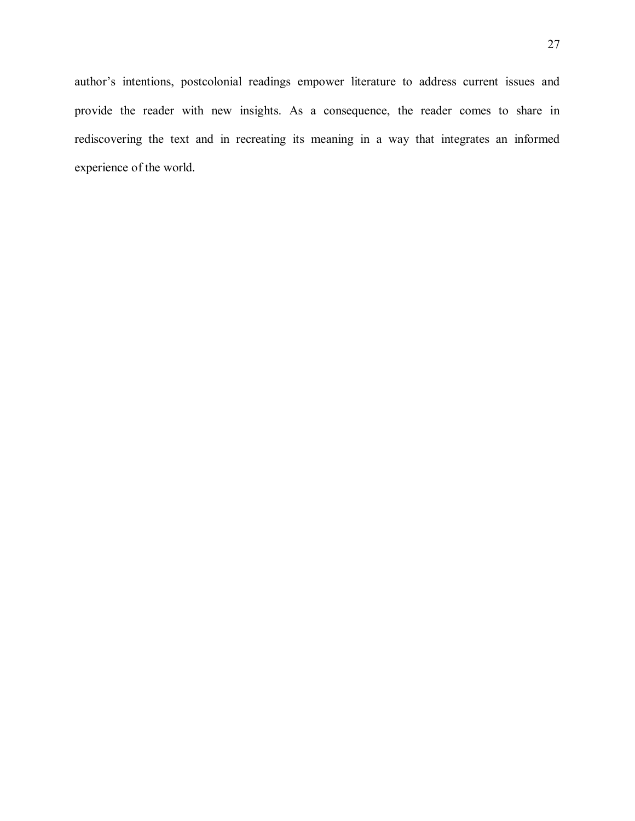author's intentions, postcolonial readings empower literature to address current issues and provide the reader with new insights. As a consequence, the reader comes to share in rediscovering the text and in recreating its meaning in a way that integrates an informed experience of the world.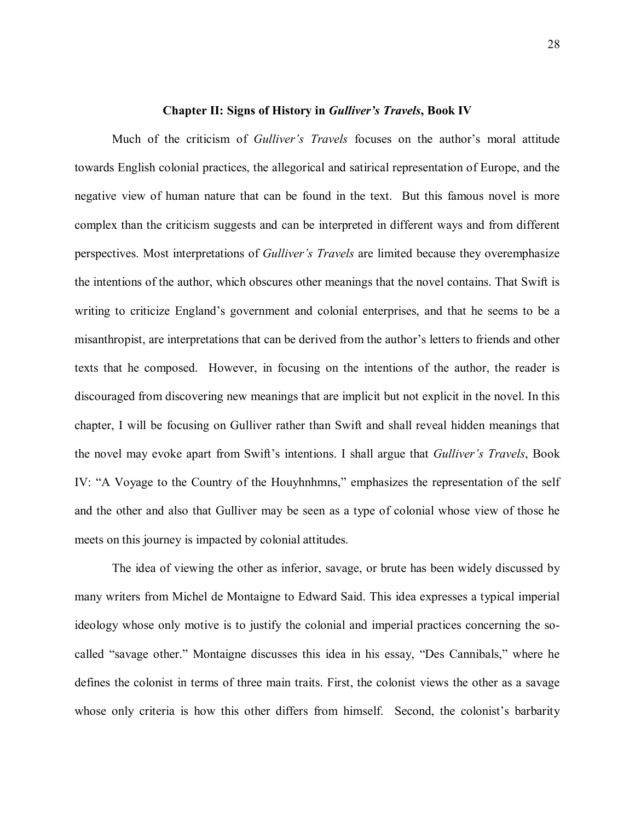#### **Chapter II: Signs of History in** *Gulliver's Travels***, Book IV**

Much of the criticism of *Gulliver's Travels* focuses on the author's moral attitude towards English colonial practices, the allegorical and satirical representation of Europe, and the negative view of human nature that can be found in the text. But this famous novel is more complex than the criticism suggests and can be interpreted in different ways and from different perspectives. Most interpretations of *Gulliver's Travels* are limited because they overemphasize the intentions of the author, which obscures other meanings that the novel contains. That Swift is writing to criticize England's government and colonial enterprises, and that he seems to be a misanthropist, are interpretations that can be derived from the author's letters to friends and other texts that he composed. However, in focusing on the intentions of the author, the reader is discouraged from discovering new meanings that are implicit but not explicit in the novel. In this chapter, I will be focusing on Gulliver rather than Swift and shall reveal hidden meanings that the novel may evoke apart from Swift's intentions. I shall argue that *Gulliver's Travels*, Book IV: "A Voyage to the Country of the Houyhnhmns," emphasizes the representation of the self and the other and also that Gulliver may be seen as a type of colonial whose view of those he meets on this journey is impacted by colonial attitudes.

The idea of viewing the other as inferior, savage, or brute has been widely discussed by many writers from Michel de Montaigne to Edward Said. This idea expresses a typical imperial ideology whose only motive is to justify the colonial and imperial practices concerning the socalled "savage other." Montaigne discusses this idea in his essay, "Des Cannibals," where he defines the colonist in terms of three main traits. First, the colonist views the other as a savage whose only criteria is how this other differs from himself. Second, the colonist's barbarity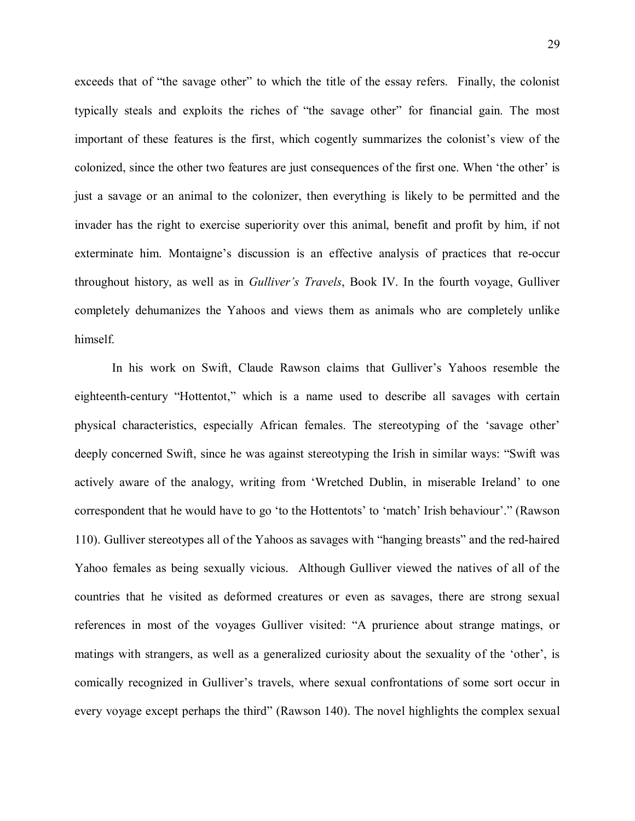exceeds that of "the savage other" to which the title of the essay refers. Finally, the colonist typically steals and exploits the riches of "the savage other" for financial gain. The most important of these features is the first, which cogently summarizes the colonist's view of the colonized, since the other two features are just consequences of the first one. When 'the other' is just a savage or an animal to the colonizer, then everything is likely to be permitted and the invader has the right to exercise superiority over this animal, benefit and profit by him, if not exterminate him. Montaigne's discussion is an effective analysis of practices that re-occur throughout history, as well as in *Gulliver's Travels*, Book IV. In the fourth voyage, Gulliver completely dehumanizes the Yahoos and views them as animals who are completely unlike himself.

In his work on Swift, Claude Rawson claims that Gulliver's Yahoos resemble the eighteenth-century "Hottentot," which is a name used to describe all savages with certain physical characteristics, especially African females. The stereotyping of the 'savage other' deeply concerned Swift, since he was against stereotyping the Irish in similar ways: "Swift was actively aware of the analogy, writing from 'Wretched Dublin, in miserable Ireland' to one correspondent that he would have to go 'to the Hottentots' to 'match' Irish behaviour'." (Rawson 110). Gulliver stereotypes all of the Yahoos as savages with "hanging breasts" and the red-haired Yahoo females as being sexually vicious. Although Gulliver viewed the natives of all of the countries that he visited as deformed creatures or even as savages, there are strong sexual references in most of the voyages Gulliver visited: "A prurience about strange matings, or matings with strangers, as well as a generalized curiosity about the sexuality of the 'other', is comically recognized in Gulliver's travels, where sexual confrontations of some sort occur in every voyage except perhaps the third" (Rawson 140). The novel highlights the complex sexual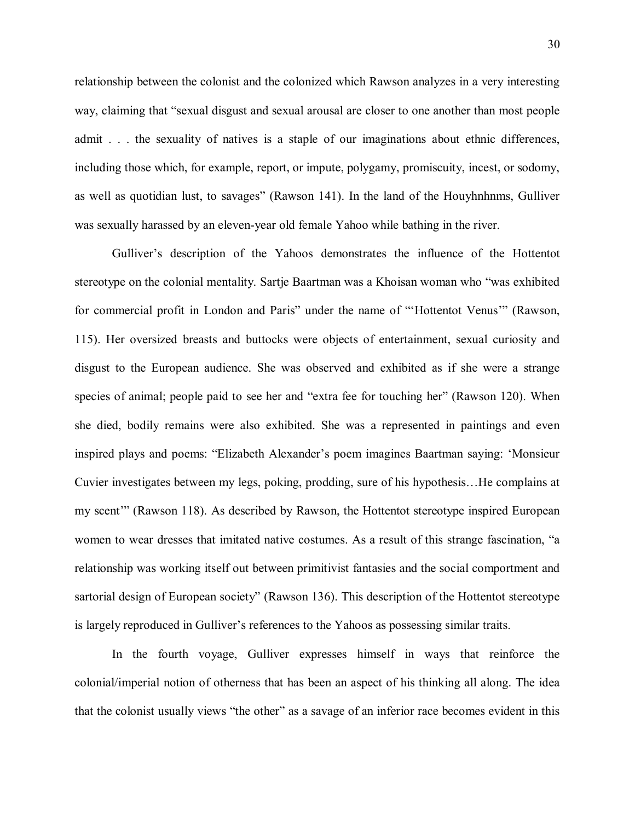relationship between the colonist and the colonized which Rawson analyzes in a very interesting way, claiming that "sexual disgust and sexual arousal are closer to one another than most people admit . . . the sexuality of natives is a staple of our imaginations about ethnic differences, including those which, for example, report, or impute, polygamy, promiscuity, incest, or sodomy, as well as quotidian lust, to savages" (Rawson 141). In the land of the Houyhnhnms, Gulliver was sexually harassed by an eleven-year old female Yahoo while bathing in the river.

Gulliver's description of the Yahoos demonstrates the influence of the Hottentot stereotype on the colonial mentality. Sartje Baartman was a Khoisan woman who "was exhibited for commercial profit in London and Paris" under the name of "'Hottentot Venus'" (Rawson, 115). Her oversized breasts and buttocks were objects of entertainment, sexual curiosity and disgust to the European audience. She was observed and exhibited as if she were a strange species of animal; people paid to see her and "extra fee for touching her" (Rawson 120). When she died, bodily remains were also exhibited. She was a represented in paintings and even inspired plays and poems: "Elizabeth Alexander's poem imagines Baartman saying: 'Monsieur Cuvier investigates between my legs, poking, prodding, sure of his hypothesis…He complains at my scent'" (Rawson 118). As described by Rawson, the Hottentot stereotype inspired European women to wear dresses that imitated native costumes. As a result of this strange fascination, "a relationship was working itself out between primitivist fantasies and the social comportment and sartorial design of European society" (Rawson 136). This description of the Hottentot stereotype is largely reproduced in Gulliver's references to the Yahoos as possessing similar traits.

In the fourth voyage, Gulliver expresses himself in ways that reinforce the colonial/imperial notion of otherness that has been an aspect of his thinking all along. The idea that the colonist usually views "the other" as a savage of an inferior race becomes evident in this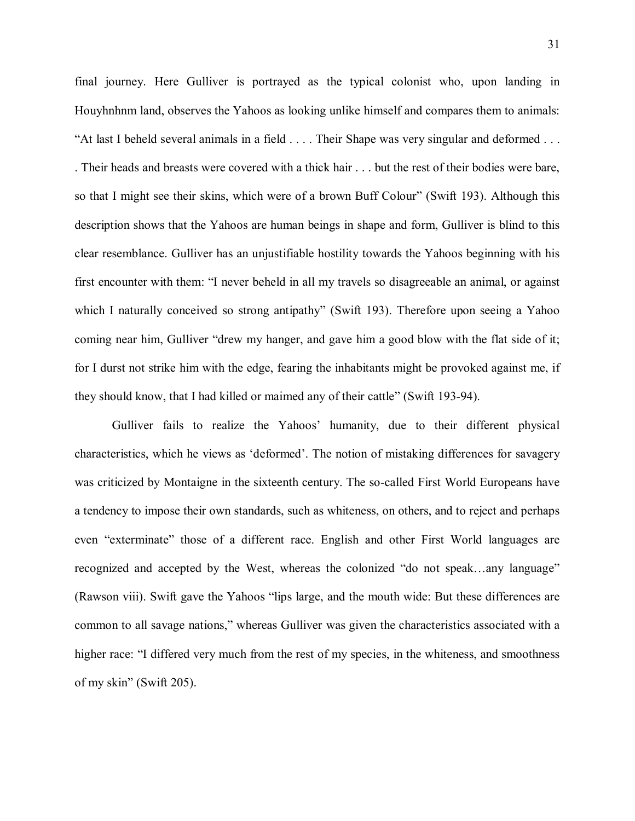final journey. Here Gulliver is portrayed as the typical colonist who, upon landing in Houyhnhnm land, observes the Yahoos as looking unlike himself and compares them to animals: "At last I beheld several animals in a field . . . . Their Shape was very singular and deformed . . . . Their heads and breasts were covered with a thick hair . . . but the rest of their bodies were bare, so that I might see their skins, which were of a brown Buff Colour" (Swift 193). Although this description shows that the Yahoos are human beings in shape and form, Gulliver is blind to this clear resemblance. Gulliver has an unjustifiable hostility towards the Yahoos beginning with his first encounter with them: "I never beheld in all my travels so disagreeable an animal, or against which I naturally conceived so strong antipathy" (Swift 193). Therefore upon seeing a Yahoo coming near him, Gulliver "drew my hanger, and gave him a good blow with the flat side of it; for I durst not strike him with the edge, fearing the inhabitants might be provoked against me, if they should know, that I had killed or maimed any of their cattle" (Swift 193-94).

Gulliver fails to realize the Yahoos' humanity, due to their different physical characteristics, which he views as 'deformed'. The notion of mistaking differences for savagery was criticized by Montaigne in the sixteenth century. The so-called First World Europeans have a tendency to impose their own standards, such as whiteness, on others, and to reject and perhaps even "exterminate" those of a different race. English and other First World languages are recognized and accepted by the West, whereas the colonized "do not speak…any language" (Rawson viii). Swift gave the Yahoos "lips large, and the mouth wide: But these differences are common to all savage nations," whereas Gulliver was given the characteristics associated with a higher race: "I differed very much from the rest of my species, in the whiteness, and smoothness of my skin" (Swift 205).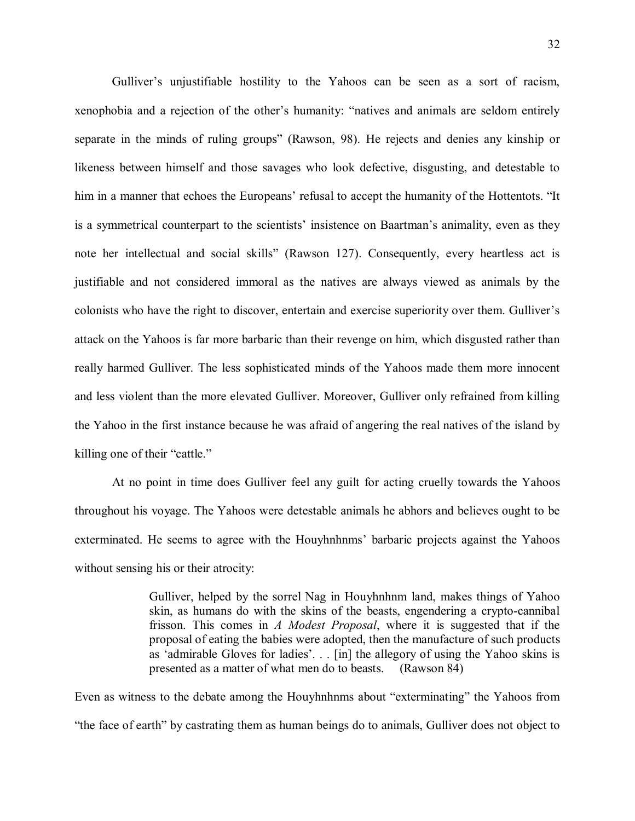Gulliver's unjustifiable hostility to the Yahoos can be seen as a sort of racism, xenophobia and a rejection of the other's humanity: "natives and animals are seldom entirely separate in the minds of ruling groups" (Rawson, 98). He rejects and denies any kinship or likeness between himself and those savages who look defective, disgusting, and detestable to him in a manner that echoes the Europeans' refusal to accept the humanity of the Hottentots. "It is a symmetrical counterpart to the scientists' insistence on Baartman's animality, even as they note her intellectual and social skills" (Rawson 127). Consequently, every heartless act is justifiable and not considered immoral as the natives are always viewed as animals by the colonists who have the right to discover, entertain and exercise superiority over them. Gulliver's attack on the Yahoos is far more barbaric than their revenge on him, which disgusted rather than really harmed Gulliver. The less sophisticated minds of the Yahoos made them more innocent and less violent than the more elevated Gulliver. Moreover, Gulliver only refrained from killing the Yahoo in the first instance because he was afraid of angering the real natives of the island by killing one of their "cattle."

At no point in time does Gulliver feel any guilt for acting cruelly towards the Yahoos throughout his voyage. The Yahoos were detestable animals he abhors and believes ought to be exterminated. He seems to agree with the Houyhnhnms' barbaric projects against the Yahoos without sensing his or their atrocity:

> Gulliver, helped by the sorrel Nag in Houyhnhnm land, makes things of Yahoo skin, as humans do with the skins of the beasts, engendering a crypto-cannibal frisson. This comes in *A Modest Proposal*, where it is suggested that if the proposal of eating the babies were adopted, then the manufacture of such products as 'admirable Gloves for ladies'. . . [in] the allegory of using the Yahoo skins is presented as a matter of what men do to beasts. (Rawson 84)

Even as witness to the debate among the Houyhnhnms about "exterminating" the Yahoos from "the face of earth" by castrating them as human beings do to animals, Gulliver does not object to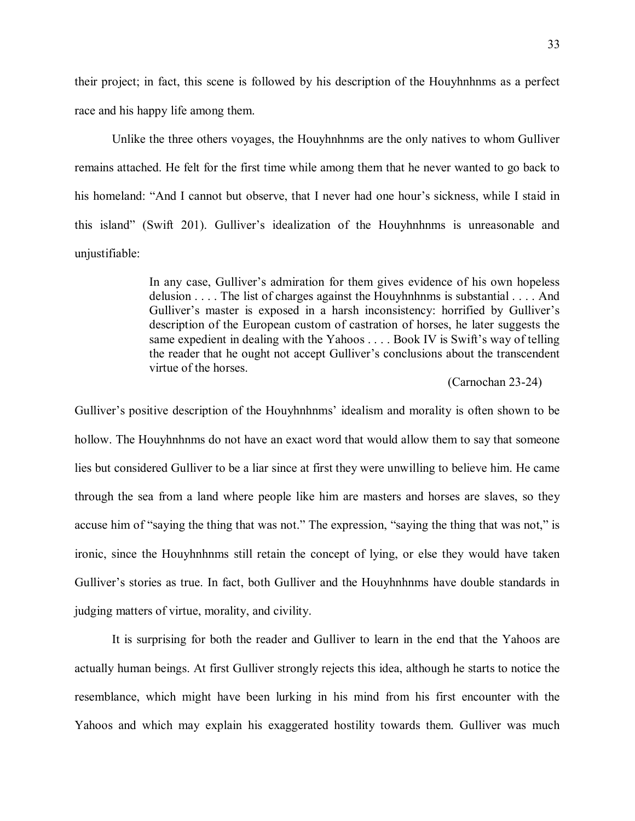their project; in fact, this scene is followed by his description of the Houyhnhnms as a perfect race and his happy life among them.

Unlike the three others voyages, the Houyhnhnms are the only natives to whom Gulliver remains attached. He felt for the first time while among them that he never wanted to go back to his homeland: "And I cannot but observe, that I never had one hour's sickness, while I staid in this island" (Swift 201). Gulliver's idealization of the Houyhnhnms is unreasonable and unjustifiable:

> In any case, Gulliver's admiration for them gives evidence of his own hopeless delusion . . . . The list of charges against the Houyhnhnms is substantial . . . . And Gulliver's master is exposed in a harsh inconsistency: horrified by Gulliver's description of the European custom of castration of horses, he later suggests the same expedient in dealing with the Yahoos . . . . Book IV is Swift's way of telling the reader that he ought not accept Gulliver's conclusions about the transcendent virtue of the horses.

## (Carnochan 23-24)

Gulliver's positive description of the Houyhnhnms' idealism and morality is often shown to be hollow. The Houyhnhnms do not have an exact word that would allow them to say that someone lies but considered Gulliver to be a liar since at first they were unwilling to believe him. He came through the sea from a land where people like him are masters and horses are slaves, so they accuse him of "saying the thing that was not." The expression, "saying the thing that was not," is ironic, since the Houyhnhnms still retain the concept of lying, or else they would have taken Gulliver's stories as true. In fact, both Gulliver and the Houyhnhnms have double standards in judging matters of virtue, morality, and civility.

It is surprising for both the reader and Gulliver to learn in the end that the Yahoos are actually human beings. At first Gulliver strongly rejects this idea, although he starts to notice the resemblance, which might have been lurking in his mind from his first encounter with the Yahoos and which may explain his exaggerated hostility towards them. Gulliver was much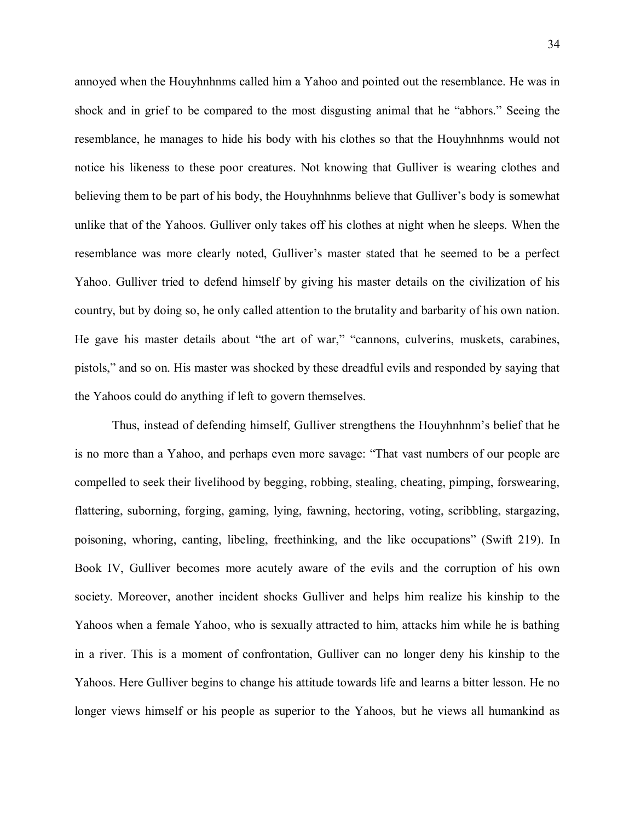annoyed when the Houyhnhnms called him a Yahoo and pointed out the resemblance. He was in shock and in grief to be compared to the most disgusting animal that he "abhors." Seeing the resemblance, he manages to hide his body with his clothes so that the Houyhnhnms would not notice his likeness to these poor creatures. Not knowing that Gulliver is wearing clothes and believing them to be part of his body, the Houyhnhnms believe that Gulliver's body is somewhat unlike that of the Yahoos. Gulliver only takes off his clothes at night when he sleeps. When the resemblance was more clearly noted, Gulliver's master stated that he seemed to be a perfect Yahoo. Gulliver tried to defend himself by giving his master details on the civilization of his country, but by doing so, he only called attention to the brutality and barbarity of his own nation. He gave his master details about "the art of war," "cannons, culverins, muskets, carabines, pistols," and so on. His master was shocked by these dreadful evils and responded by saying that the Yahoos could do anything if left to govern themselves.

Thus, instead of defending himself, Gulliver strengthens the Houyhnhnm's belief that he is no more than a Yahoo, and perhaps even more savage: "That vast numbers of our people are compelled to seek their livelihood by begging, robbing, stealing, cheating, pimping, forswearing, flattering, suborning, forging, gaming, lying, fawning, hectoring, voting, scribbling, stargazing, poisoning, whoring, canting, libeling, freethinking, and the like occupations" (Swift 219). In Book IV, Gulliver becomes more acutely aware of the evils and the corruption of his own society. Moreover, another incident shocks Gulliver and helps him realize his kinship to the Yahoos when a female Yahoo, who is sexually attracted to him, attacks him while he is bathing in a river. This is a moment of confrontation, Gulliver can no longer deny his kinship to the Yahoos. Here Gulliver begins to change his attitude towards life and learns a bitter lesson. He no longer views himself or his people as superior to the Yahoos, but he views all humankind as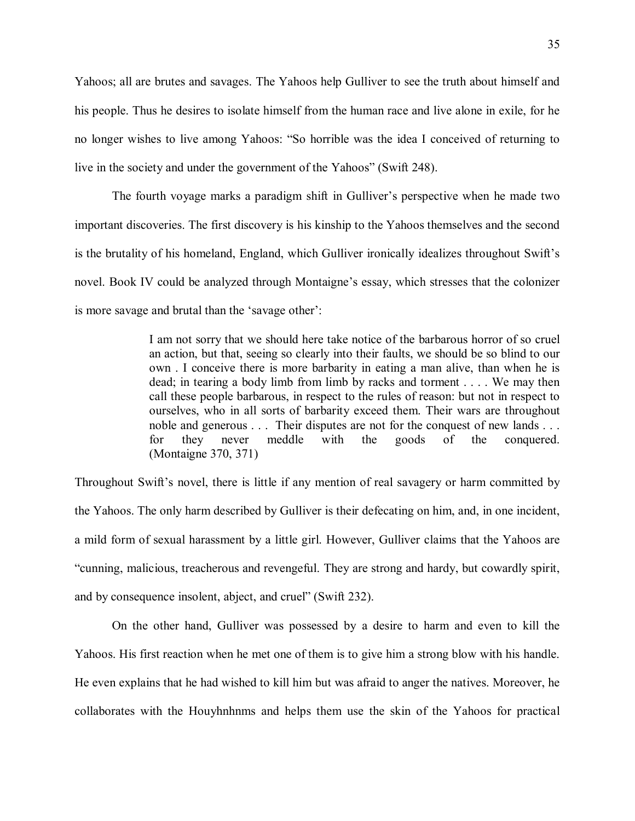Yahoos; all are brutes and savages. The Yahoos help Gulliver to see the truth about himself and his people. Thus he desires to isolate himself from the human race and live alone in exile, for he no longer wishes to live among Yahoos: "So horrible was the idea I conceived of returning to live in the society and under the government of the Yahoos" (Swift 248).

The fourth voyage marks a paradigm shift in Gulliver's perspective when he made two important discoveries. The first discovery is his kinship to the Yahoos themselves and the second is the brutality of his homeland, England, which Gulliver ironically idealizes throughout Swift's novel. Book IV could be analyzed through Montaigne's essay, which stresses that the colonizer is more savage and brutal than the 'savage other':

> I am not sorry that we should here take notice of the barbarous horror of so cruel an action, but that, seeing so clearly into their faults, we should be so blind to our own . I conceive there is more barbarity in eating a man alive, than when he is dead; in tearing a body limb from limb by racks and torment . . . . We may then call these people barbarous, in respect to the rules of reason: but not in respect to ourselves, who in all sorts of barbarity exceed them. Their wars are throughout noble and generous . . . Their disputes are not for the conquest of new lands . . . for they never meddle with the goods of the conquered. (Montaigne 370, 371)

Throughout Swift's novel, there is little if any mention of real savagery or harm committed by the Yahoos. The only harm described by Gulliver is their defecating on him, and, in one incident, a mild form of sexual harassment by a little girl. However, Gulliver claims that the Yahoos are "cunning, malicious, treacherous and revengeful. They are strong and hardy, but cowardly spirit, and by consequence insolent, abject, and cruel" (Swift 232).

On the other hand, Gulliver was possessed by a desire to harm and even to kill the Yahoos. His first reaction when he met one of them is to give him a strong blow with his handle. He even explains that he had wished to kill him but was afraid to anger the natives. Moreover, he collaborates with the Houyhnhnms and helps them use the skin of the Yahoos for practical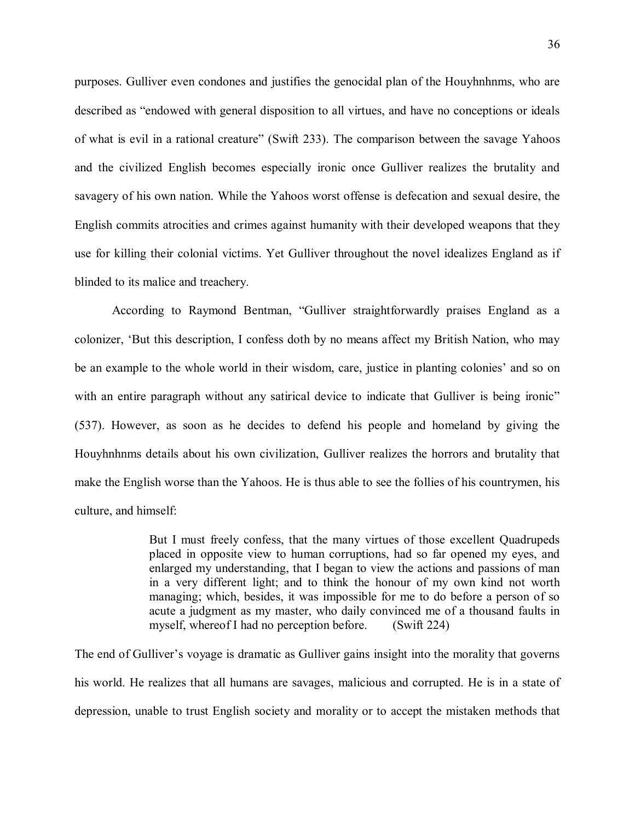purposes. Gulliver even condones and justifies the genocidal plan of the Houyhnhnms, who are described as "endowed with general disposition to all virtues, and have no conceptions or ideals of what is evil in a rational creature" (Swift 233). The comparison between the savage Yahoos and the civilized English becomes especially ironic once Gulliver realizes the brutality and savagery of his own nation. While the Yahoos worst offense is defecation and sexual desire, the English commits atrocities and crimes against humanity with their developed weapons that they use for killing their colonial victims. Yet Gulliver throughout the novel idealizes England as if blinded to its malice and treachery.

According to Raymond Bentman, "Gulliver straightforwardly praises England as a colonizer, 'But this description, I confess doth by no means affect my British Nation, who may be an example to the whole world in their wisdom, care, justice in planting colonies' and so on with an entire paragraph without any satirical device to indicate that Gulliver is being ironic" (537). However, as soon as he decides to defend his people and homeland by giving the Houyhnhnms details about his own civilization, Gulliver realizes the horrors and brutality that make the English worse than the Yahoos. He is thus able to see the follies of his countrymen, his culture, and himself:

> But I must freely confess, that the many virtues of those excellent Quadrupeds placed in opposite view to human corruptions, had so far opened my eyes, and enlarged my understanding, that I began to view the actions and passions of man in a very different light; and to think the honour of my own kind not worth managing; which, besides, it was impossible for me to do before a person of so acute a judgment as my master, who daily convinced me of a thousand faults in myself, whereof I had no perception before. (Swift 224)

The end of Gulliver's voyage is dramatic as Gulliver gains insight into the morality that governs his world. He realizes that all humans are savages, malicious and corrupted. He is in a state of depression, unable to trust English society and morality or to accept the mistaken methods that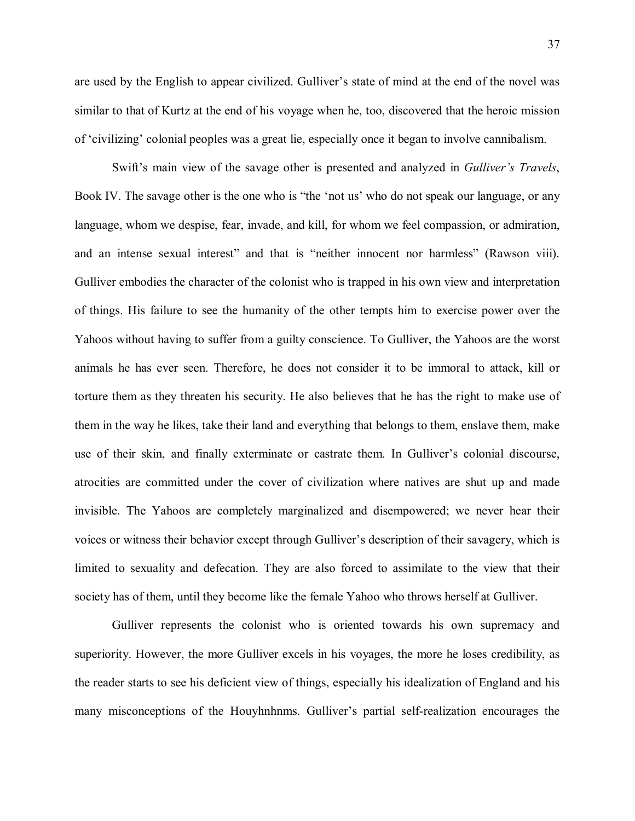are used by the English to appear civilized. Gulliver's state of mind at the end of the novel was similar to that of Kurtz at the end of his voyage when he, too, discovered that the heroic mission of 'civilizing' colonial peoples was a great lie, especially once it began to involve cannibalism.

Swift's main view of the savage other is presented and analyzed in *Gulliver's Travels*, Book IV. The savage other is the one who is "the 'not us' who do not speak our language, or any language, whom we despise, fear, invade, and kill, for whom we feel compassion, or admiration, and an intense sexual interest" and that is "neither innocent nor harmless" (Rawson viii). Gulliver embodies the character of the colonist who is trapped in his own view and interpretation of things. His failure to see the humanity of the other tempts him to exercise power over the Yahoos without having to suffer from a guilty conscience. To Gulliver, the Yahoos are the worst animals he has ever seen. Therefore, he does not consider it to be immoral to attack, kill or torture them as they threaten his security. He also believes that he has the right to make use of them in the way he likes, take their land and everything that belongs to them, enslave them, make use of their skin, and finally exterminate or castrate them. In Gulliver's colonial discourse, atrocities are committed under the cover of civilization where natives are shut up and made invisible. The Yahoos are completely marginalized and disempowered; we never hear their voices or witness their behavior except through Gulliver's description of their savagery, which is limited to sexuality and defecation. They are also forced to assimilate to the view that their society has of them, until they become like the female Yahoo who throws herself at Gulliver.

Gulliver represents the colonist who is oriented towards his own supremacy and superiority. However, the more Gulliver excels in his voyages, the more he loses credibility, as the reader starts to see his deficient view of things, especially his idealization of England and his many misconceptions of the Houyhnhnms. Gulliver's partial self-realization encourages the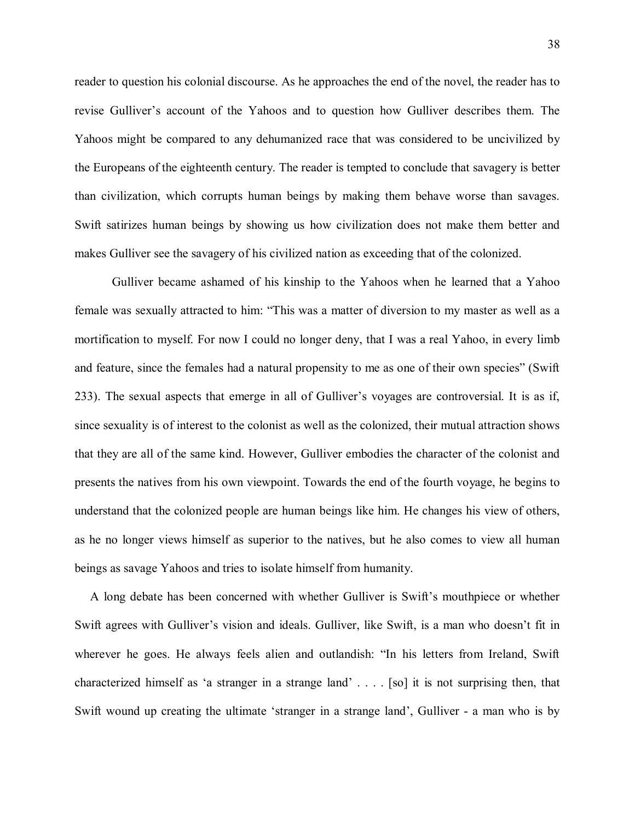reader to question his colonial discourse. As he approaches the end of the novel, the reader has to revise Gulliver's account of the Yahoos and to question how Gulliver describes them. The Yahoos might be compared to any dehumanized race that was considered to be uncivilized by the Europeans of the eighteenth century. The reader is tempted to conclude that savagery is better than civilization, which corrupts human beings by making them behave worse than savages. Swift satirizes human beings by showing us how civilization does not make them better and makes Gulliver see the savagery of his civilized nation as exceeding that of the colonized.

Gulliver became ashamed of his kinship to the Yahoos when he learned that a Yahoo female was sexually attracted to him: "This was a matter of diversion to my master as well as a mortification to myself. For now I could no longer deny, that I was a real Yahoo, in every limb and feature, since the females had a natural propensity to me as one of their own species" (Swift 233). The sexual aspects that emerge in all of Gulliver's voyages are controversial. It is as if, since sexuality is of interest to the colonist as well as the colonized, their mutual attraction shows that they are all of the same kind. However, Gulliver embodies the character of the colonist and presents the natives from his own viewpoint. Towards the end of the fourth voyage, he begins to understand that the colonized people are human beings like him. He changes his view of others, as he no longer views himself as superior to the natives, but he also comes to view all human beings as savage Yahoos and tries to isolate himself from humanity.

 A long debate has been concerned with whether Gulliver is Swift's mouthpiece or whether Swift agrees with Gulliver's vision and ideals. Gulliver, like Swift, is a man who doesn't fit in wherever he goes. He always feels alien and outlandish: "In his letters from Ireland, Swift characterized himself as 'a stranger in a strange land' . . . . [so] it is not surprising then, that Swift wound up creating the ultimate 'stranger in a strange land', Gulliver - a man who is by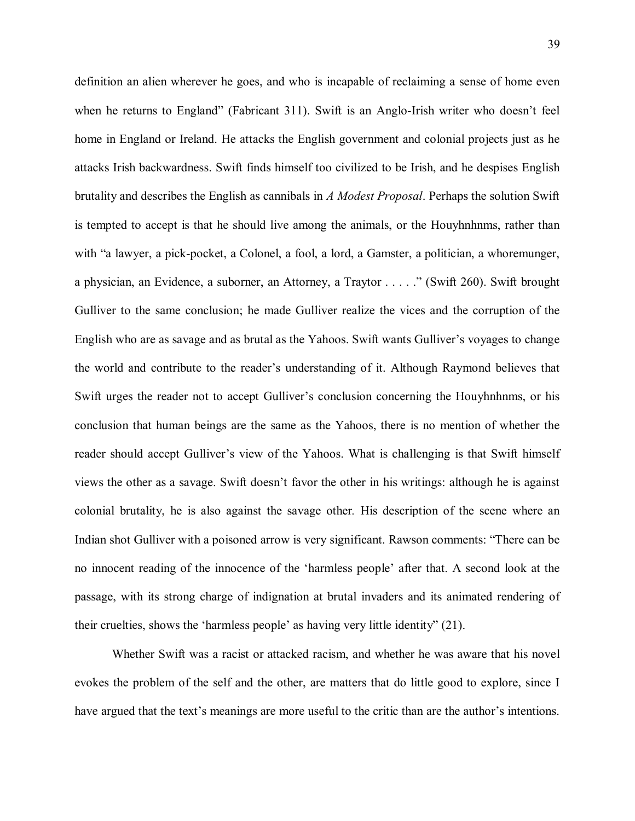definition an alien wherever he goes, and who is incapable of reclaiming a sense of home even when he returns to England" (Fabricant 311). Swift is an Anglo-Irish writer who doesn't feel home in England or Ireland. He attacks the English government and colonial projects just as he attacks Irish backwardness. Swift finds himself too civilized to be Irish, and he despises English brutality and describes the English as cannibals in *A Modest Proposal*. Perhaps the solution Swift is tempted to accept is that he should live among the animals, or the Houyhnhnms, rather than with "a lawyer, a pick-pocket, a Colonel, a fool, a lord, a Gamster, a politician, a whoremunger, a physician, an Evidence, a suborner, an Attorney, a Traytor . . . . ." (Swift 260). Swift brought Gulliver to the same conclusion; he made Gulliver realize the vices and the corruption of the English who are as savage and as brutal as the Yahoos. Swift wants Gulliver's voyages to change the world and contribute to the reader's understanding of it. Although Raymond believes that Swift urges the reader not to accept Gulliver's conclusion concerning the Houyhnhnms, or his conclusion that human beings are the same as the Yahoos, there is no mention of whether the reader should accept Gulliver's view of the Yahoos. What is challenging is that Swift himself views the other as a savage. Swift doesn't favor the other in his writings: although he is against colonial brutality, he is also against the savage other*.* His description of the scene where an Indian shot Gulliver with a poisoned arrow is very significant. Rawson comments: "There can be no innocent reading of the innocence of the 'harmless people' after that. A second look at the passage, with its strong charge of indignation at brutal invaders and its animated rendering of their cruelties, shows the 'harmless people' as having very little identity" (21).

Whether Swift was a racist or attacked racism, and whether he was aware that his novel evokes the problem of the self and the other, are matters that do little good to explore, since I have argued that the text's meanings are more useful to the critic than are the author's intentions.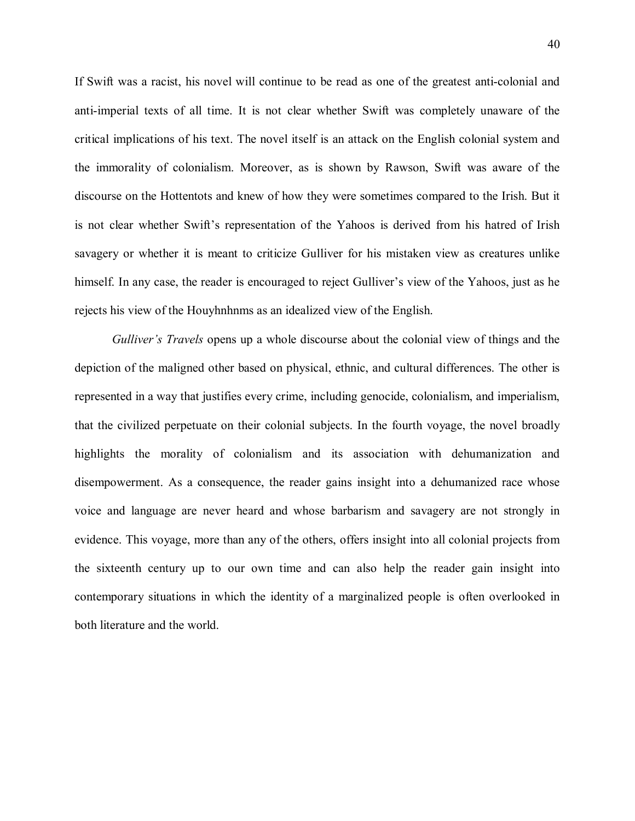If Swift was a racist, his novel will continue to be read as one of the greatest anti-colonial and anti-imperial texts of all time. It is not clear whether Swift was completely unaware of the critical implications of his text. The novel itself is an attack on the English colonial system and the immorality of colonialism. Moreover, as is shown by Rawson, Swift was aware of the discourse on the Hottentots and knew of how they were sometimes compared to the Irish. But it is not clear whether Swift's representation of the Yahoos is derived from his hatred of Irish savagery or whether it is meant to criticize Gulliver for his mistaken view as creatures unlike himself. In any case, the reader is encouraged to reject Gulliver's view of the Yahoos, just as he rejects his view of the Houyhnhnms as an idealized view of the English.

*Gulliver's Travels* opens up a whole discourse about the colonial view of things and the depiction of the maligned other based on physical, ethnic, and cultural differences. The other is represented in a way that justifies every crime, including genocide, colonialism, and imperialism, that the civilized perpetuate on their colonial subjects. In the fourth voyage, the novel broadly highlights the morality of colonialism and its association with dehumanization and disempowerment. As a consequence, the reader gains insight into a dehumanized race whose voice and language are never heard and whose barbarism and savagery are not strongly in evidence. This voyage, more than any of the others, offers insight into all colonial projects from the sixteenth century up to our own time and can also help the reader gain insight into contemporary situations in which the identity of a marginalized people is often overlooked in both literature and the world.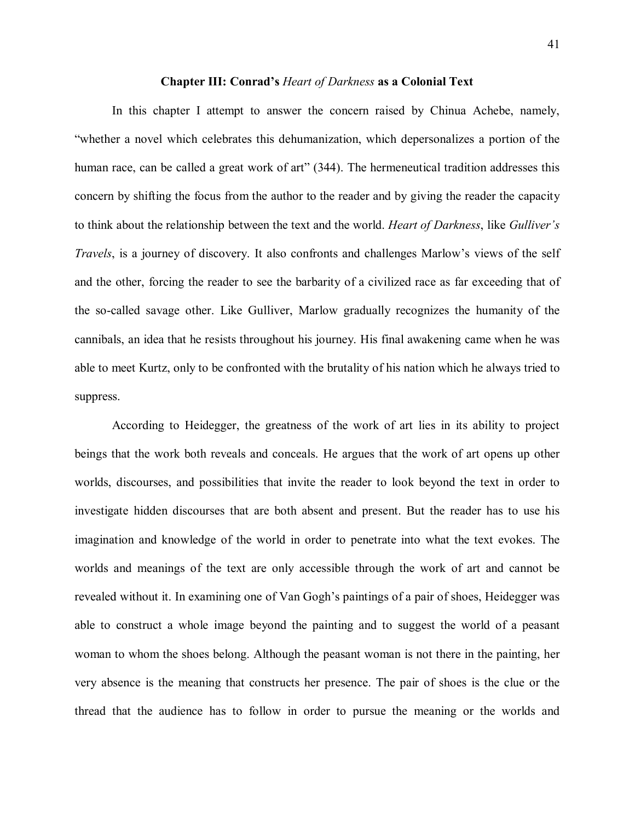## **Chapter III: Conrad's** *Heart of Darkness* **as a Colonial Text**

In this chapter I attempt to answer the concern raised by Chinua Achebe, namely, "whether a novel which celebrates this dehumanization, which depersonalizes a portion of the human race, can be called a great work of art" (344). The hermeneutical tradition addresses this concern by shifting the focus from the author to the reader and by giving the reader the capacity to think about the relationship between the text and the world. *Heart of Darkness*, like *Gulliver's Travels*, is a journey of discovery. It also confronts and challenges Marlow's views of the self and the other, forcing the reader to see the barbarity of a civilized race as far exceeding that of the so-called savage other. Like Gulliver, Marlow gradually recognizes the humanity of the cannibals, an idea that he resists throughout his journey. His final awakening came when he was able to meet Kurtz, only to be confronted with the brutality of his nation which he always tried to suppress.

According to Heidegger, the greatness of the work of art lies in its ability to project beings that the work both reveals and conceals. He argues that the work of art opens up other worlds, discourses, and possibilities that invite the reader to look beyond the text in order to investigate hidden discourses that are both absent and present. But the reader has to use his imagination and knowledge of the world in order to penetrate into what the text evokes. The worlds and meanings of the text are only accessible through the work of art and cannot be revealed without it. In examining one of Van Gogh's paintings of a pair of shoes, Heidegger was able to construct a whole image beyond the painting and to suggest the world of a peasant woman to whom the shoes belong. Although the peasant woman is not there in the painting, her very absence is the meaning that constructs her presence. The pair of shoes is the clue or the thread that the audience has to follow in order to pursue the meaning or the worlds and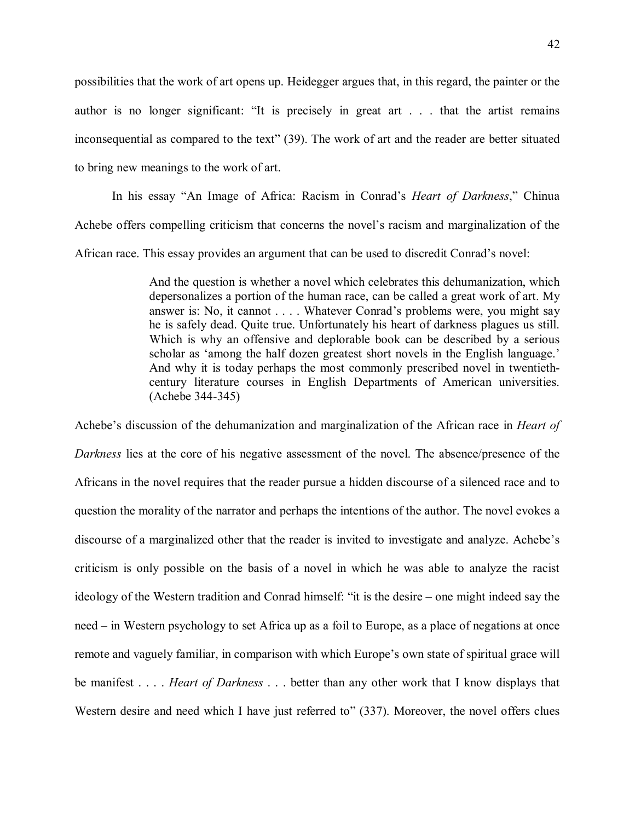possibilities that the work of art opens up. Heidegger argues that, in this regard, the painter or the author is no longer significant: "It is precisely in great art . . . that the artist remains inconsequential as compared to the text" (39). The work of art and the reader are better situated to bring new meanings to the work of art.

In his essay "An Image of Africa: Racism in Conrad's *Heart of Darkness*," Chinua Achebe offers compelling criticism that concerns the novel's racism and marginalization of the African race. This essay provides an argument that can be used to discredit Conrad's novel:

> And the question is whether a novel which celebrates this dehumanization, which depersonalizes a portion of the human race, can be called a great work of art. My answer is: No, it cannot . . . . Whatever Conrad's problems were, you might say he is safely dead. Quite true. Unfortunately his heart of darkness plagues us still. Which is why an offensive and deplorable book can be described by a serious scholar as 'among the half dozen greatest short novels in the English language.' And why it is today perhaps the most commonly prescribed novel in twentiethcentury literature courses in English Departments of American universities. (Achebe 344-345)

Achebe's discussion of the dehumanization and marginalization of the African race in *Heart of Darkness* lies at the core of his negative assessment of the novel. The absence/presence of the Africans in the novel requires that the reader pursue a hidden discourse of a silenced race and to question the morality of the narrator and perhaps the intentions of the author. The novel evokes a discourse of a marginalized other that the reader is invited to investigate and analyze. Achebe's criticism is only possible on the basis of a novel in which he was able to analyze the racist ideology of the Western tradition and Conrad himself: "it is the desire – one might indeed say the need – in Western psychology to set Africa up as a foil to Europe, as a place of negations at once remote and vaguely familiar, in comparison with which Europe's own state of spiritual grace will be manifest . . . . *Heart of Darkness* . . . better than any other work that I know displays that Western desire and need which I have just referred to" (337). Moreover, the novel offers clues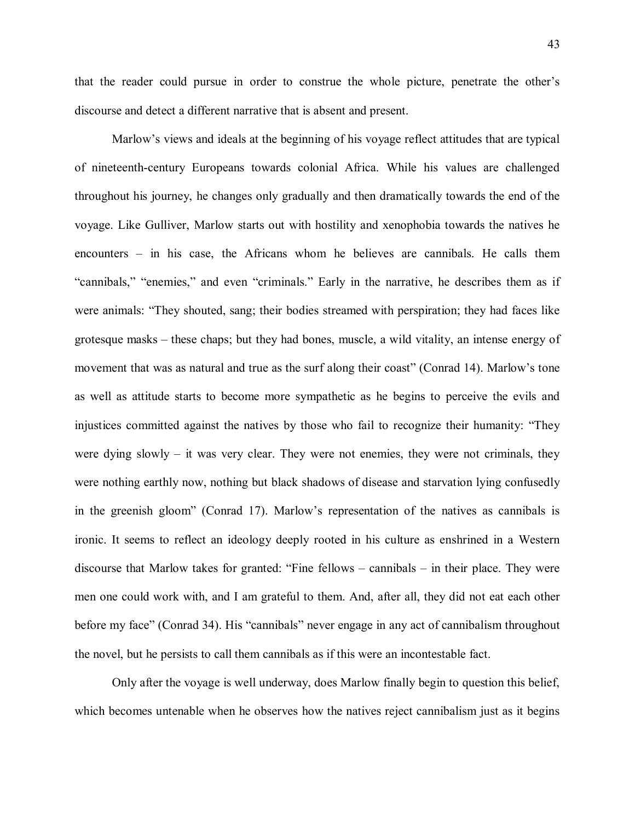that the reader could pursue in order to construe the whole picture, penetrate the other's discourse and detect a different narrative that is absent and present.

Marlow's views and ideals at the beginning of his voyage reflect attitudes that are typical of nineteenth-century Europeans towards colonial Africa. While his values are challenged throughout his journey, he changes only gradually and then dramatically towards the end of the voyage. Like Gulliver, Marlow starts out with hostility and xenophobia towards the natives he encounters – in his case, the Africans whom he believes are cannibals. He calls them "cannibals," "enemies," and even "criminals." Early in the narrative, he describes them as if were animals: "They shouted, sang; their bodies streamed with perspiration; they had faces like grotesque masks – these chaps; but they had bones, muscle, a wild vitality, an intense energy of movement that was as natural and true as the surf along their coast" (Conrad 14). Marlow's tone as well as attitude starts to become more sympathetic as he begins to perceive the evils and injustices committed against the natives by those who fail to recognize their humanity: "They were dying slowly – it was very clear. They were not enemies, they were not criminals, they were nothing earthly now, nothing but black shadows of disease and starvation lying confusedly in the greenish gloom" (Conrad 17). Marlow's representation of the natives as cannibals is ironic. It seems to reflect an ideology deeply rooted in his culture as enshrined in a Western discourse that Marlow takes for granted: "Fine fellows – cannibals – in their place. They were men one could work with, and I am grateful to them. And, after all, they did not eat each other before my face" (Conrad 34). His "cannibals" never engage in any act of cannibalism throughout the novel, but he persists to call them cannibals as if this were an incontestable fact.

Only after the voyage is well underway, does Marlow finally begin to question this belief, which becomes untenable when he observes how the natives reject cannibalism just as it begins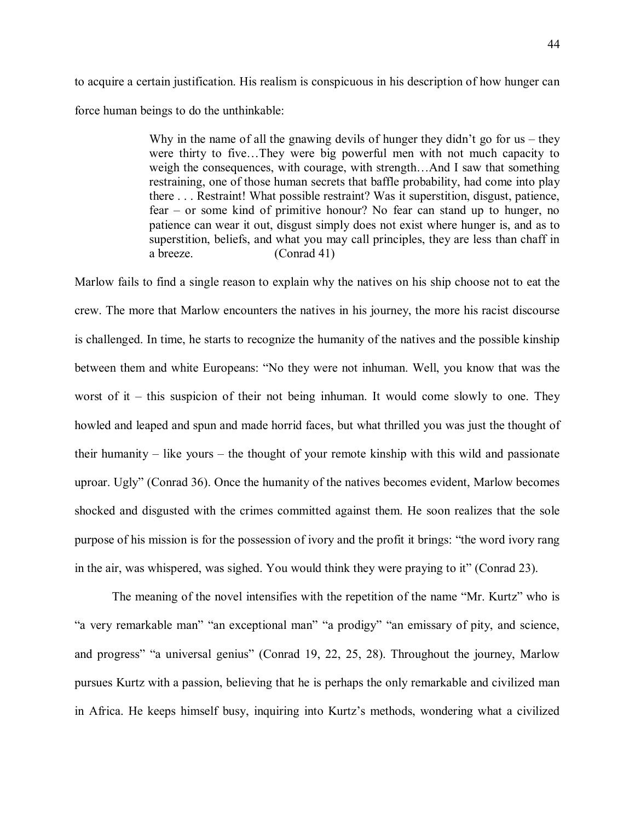to acquire a certain justification. His realism is conspicuous in his description of how hunger can force human beings to do the unthinkable:

> Why in the name of all the gnawing devils of hunger they didn't go for us – they were thirty to five…They were big powerful men with not much capacity to weigh the consequences, with courage, with strength…And I saw that something restraining, one of those human secrets that baffle probability, had come into play there . . . Restraint! What possible restraint? Was it superstition, disgust, patience, fear – or some kind of primitive honour? No fear can stand up to hunger, no patience can wear it out, disgust simply does not exist where hunger is, and as to superstition, beliefs, and what you may call principles, they are less than chaff in a breeze. (Conrad 41)

Marlow fails to find a single reason to explain why the natives on his ship choose not to eat the crew. The more that Marlow encounters the natives in his journey, the more his racist discourse is challenged. In time, he starts to recognize the humanity of the natives and the possible kinship between them and white Europeans: "No they were not inhuman. Well, you know that was the worst of it – this suspicion of their not being inhuman. It would come slowly to one. They howled and leaped and spun and made horrid faces, but what thrilled you was just the thought of their humanity – like yours – the thought of your remote kinship with this wild and passionate uproar. Ugly" (Conrad 36). Once the humanity of the natives becomes evident, Marlow becomes shocked and disgusted with the crimes committed against them. He soon realizes that the sole purpose of his mission is for the possession of ivory and the profit it brings: "the word ivory rang in the air, was whispered, was sighed. You would think they were praying to it" (Conrad 23).

The meaning of the novel intensifies with the repetition of the name "Mr. Kurtz" who is "a very remarkable man" "an exceptional man" "a prodigy" "an emissary of pity, and science, and progress" "a universal genius" (Conrad 19, 22, 25, 28). Throughout the journey, Marlow pursues Kurtz with a passion, believing that he is perhaps the only remarkable and civilized man in Africa. He keeps himself busy, inquiring into Kurtz's methods, wondering what a civilized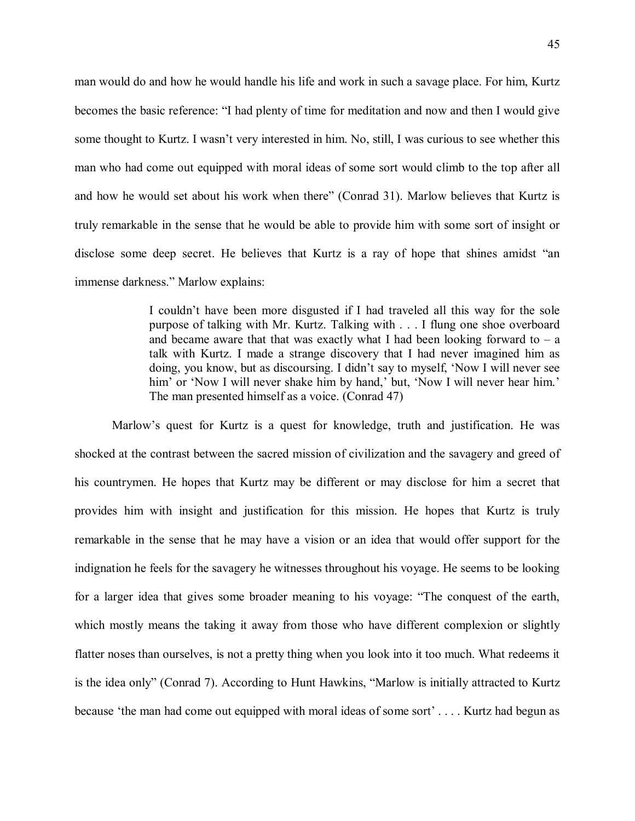man would do and how he would handle his life and work in such a savage place. For him, Kurtz becomes the basic reference: "I had plenty of time for meditation and now and then I would give some thought to Kurtz. I wasn't very interested in him. No, still, I was curious to see whether this man who had come out equipped with moral ideas of some sort would climb to the top after all and how he would set about his work when there" (Conrad 31). Marlow believes that Kurtz is truly remarkable in the sense that he would be able to provide him with some sort of insight or disclose some deep secret. He believes that Kurtz is a ray of hope that shines amidst "an immense darkness." Marlow explains:

> I couldn't have been more disgusted if I had traveled all this way for the sole purpose of talking with Mr. Kurtz. Talking with . . . I flung one shoe overboard and became aware that that was exactly what I had been looking forward to  $-$  a talk with Kurtz. I made a strange discovery that I had never imagined him as doing, you know, but as discoursing. I didn't say to myself, 'Now I will never see him' or 'Now I will never shake him by hand,' but, 'Now I will never hear him.' The man presented himself as a voice. (Conrad 47)

Marlow's quest for Kurtz is a quest for knowledge, truth and justification. He was shocked at the contrast between the sacred mission of civilization and the savagery and greed of his countrymen. He hopes that Kurtz may be different or may disclose for him a secret that provides him with insight and justification for this mission. He hopes that Kurtz is truly remarkable in the sense that he may have a vision or an idea that would offer support for the indignation he feels for the savagery he witnesses throughout his voyage. He seems to be looking for a larger idea that gives some broader meaning to his voyage: "The conquest of the earth, which mostly means the taking it away from those who have different complexion or slightly flatter noses than ourselves, is not a pretty thing when you look into it too much. What redeems it is the idea only" (Conrad 7). According to Hunt Hawkins, "Marlow is initially attracted to Kurtz because 'the man had come out equipped with moral ideas of some sort' . . . . Kurtz had begun as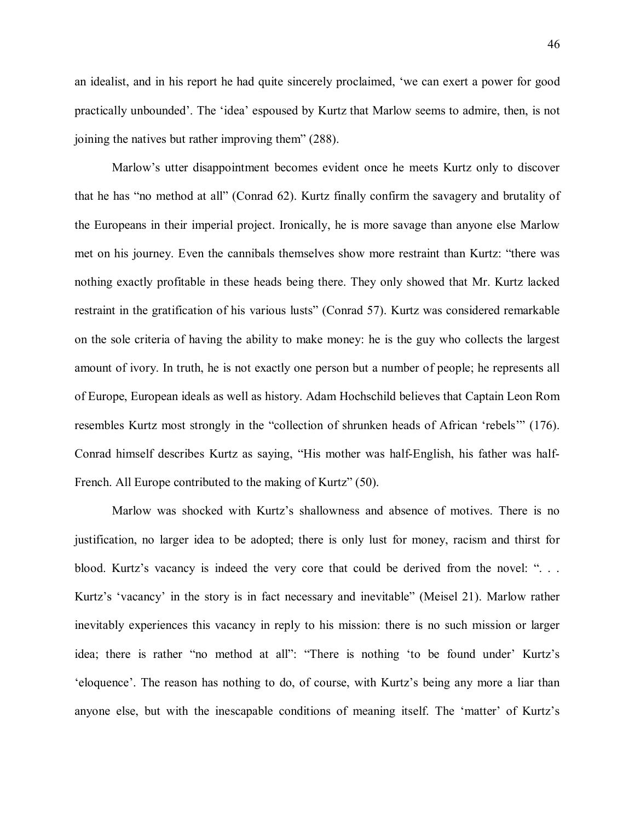an idealist, and in his report he had quite sincerely proclaimed, 'we can exert a power for good practically unbounded'. The 'idea' espoused by Kurtz that Marlow seems to admire, then, is not joining the natives but rather improving them" (288).

Marlow's utter disappointment becomes evident once he meets Kurtz only to discover that he has "no method at all" (Conrad 62). Kurtz finally confirm the savagery and brutality of the Europeans in their imperial project. Ironically, he is more savage than anyone else Marlow met on his journey. Even the cannibals themselves show more restraint than Kurtz: "there was nothing exactly profitable in these heads being there. They only showed that Mr. Kurtz lacked restraint in the gratification of his various lusts" (Conrad 57). Kurtz was considered remarkable on the sole criteria of having the ability to make money: he is the guy who collects the largest amount of ivory. In truth, he is not exactly one person but a number of people; he represents all of Europe, European ideals as well as history. Adam Hochschild believes that Captain Leon Rom resembles Kurtz most strongly in the "collection of shrunken heads of African 'rebels'" (176). Conrad himself describes Kurtz as saying, "His mother was half-English, his father was half-French. All Europe contributed to the making of Kurtz" (50).

Marlow was shocked with Kurtz's shallowness and absence of motives. There is no justification, no larger idea to be adopted; there is only lust for money, racism and thirst for blood. Kurtz's vacancy is indeed the very core that could be derived from the novel: "... Kurtz's 'vacancy' in the story is in fact necessary and inevitable" (Meisel 21). Marlow rather inevitably experiences this vacancy in reply to his mission: there is no such mission or larger idea; there is rather "no method at all": "There is nothing 'to be found under' Kurtz's 'eloquence'. The reason has nothing to do, of course, with Kurtz's being any more a liar than anyone else, but with the inescapable conditions of meaning itself. The 'matter' of Kurtz's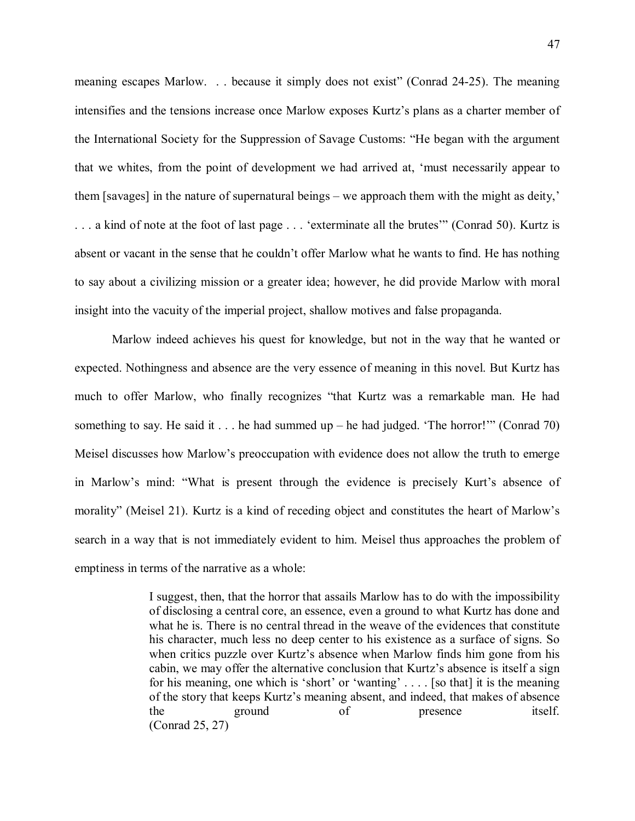meaning escapes Marlow. . . because it simply does not exist" (Conrad 24-25). The meaning intensifies and the tensions increase once Marlow exposes Kurtz's plans as a charter member of the International Society for the Suppression of Savage Customs: "He began with the argument that we whites, from the point of development we had arrived at, 'must necessarily appear to them [savages] in the nature of supernatural beings – we approach them with the might as deity,' . . . a kind of note at the foot of last page . . . 'exterminate all the brutes'" (Conrad 50). Kurtz is absent or vacant in the sense that he couldn't offer Marlow what he wants to find. He has nothing to say about a civilizing mission or a greater idea; however, he did provide Marlow with moral insight into the vacuity of the imperial project, shallow motives and false propaganda.

Marlow indeed achieves his quest for knowledge, but not in the way that he wanted or expected. Nothingness and absence are the very essence of meaning in this novel. But Kurtz has much to offer Marlow, who finally recognizes "that Kurtz was a remarkable man. He had something to say. He said it . . . he had summed up – he had judged. 'The horror!'" (Conrad 70) Meisel discusses how Marlow's preoccupation with evidence does not allow the truth to emerge in Marlow's mind: "What is present through the evidence is precisely Kurt's absence of morality" (Meisel 21). Kurtz is a kind of receding object and constitutes the heart of Marlow's search in a way that is not immediately evident to him. Meisel thus approaches the problem of emptiness in terms of the narrative as a whole:

> I suggest, then, that the horror that assails Marlow has to do with the impossibility of disclosing a central core, an essence, even a ground to what Kurtz has done and what he is. There is no central thread in the weave of the evidences that constitute his character, much less no deep center to his existence as a surface of signs. So when critics puzzle over Kurtz's absence when Marlow finds him gone from his cabin, we may offer the alternative conclusion that Kurtz's absence is itself a sign for his meaning, one which is 'short' or 'wanting' . . . . [so that] it is the meaning of the story that keeps Kurtz's meaning absent, and indeed, that makes of absence the ground of presence itself. (Conrad 25, 27)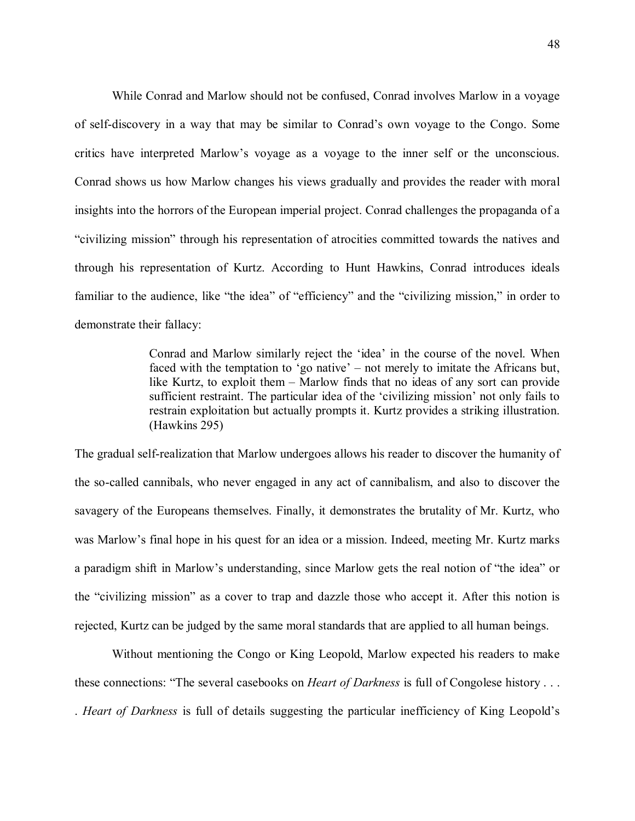While Conrad and Marlow should not be confused, Conrad involves Marlow in a voyage of self-discovery in a way that may be similar to Conrad's own voyage to the Congo. Some critics have interpreted Marlow's voyage as a voyage to the inner self or the unconscious. Conrad shows us how Marlow changes his views gradually and provides the reader with moral insights into the horrors of the European imperial project. Conrad challenges the propaganda of a "civilizing mission" through his representation of atrocities committed towards the natives and through his representation of Kurtz. According to Hunt Hawkins, Conrad introduces ideals familiar to the audience, like "the idea" of "efficiency" and the "civilizing mission," in order to demonstrate their fallacy:

> Conrad and Marlow similarly reject the 'idea' in the course of the novel. When faced with the temptation to 'go native' – not merely to imitate the Africans but, like Kurtz, to exploit them – Marlow finds that no ideas of any sort can provide sufficient restraint. The particular idea of the 'civilizing mission' not only fails to restrain exploitation but actually prompts it. Kurtz provides a striking illustration. (Hawkins 295)

The gradual self-realization that Marlow undergoes allows his reader to discover the humanity of the so-called cannibals, who never engaged in any act of cannibalism, and also to discover the savagery of the Europeans themselves. Finally, it demonstrates the brutality of Mr. Kurtz, who was Marlow's final hope in his quest for an idea or a mission. Indeed, meeting Mr. Kurtz marks a paradigm shift in Marlow's understanding, since Marlow gets the real notion of "the idea" or the "civilizing mission" as a cover to trap and dazzle those who accept it. After this notion is rejected, Kurtz can be judged by the same moral standards that are applied to all human beings.

Without mentioning the Congo or King Leopold, Marlow expected his readers to make these connections: "The several casebooks on *Heart of Darkness* is full of Congolese history . . . . *Heart of Darkness* is full of details suggesting the particular inefficiency of King Leopold's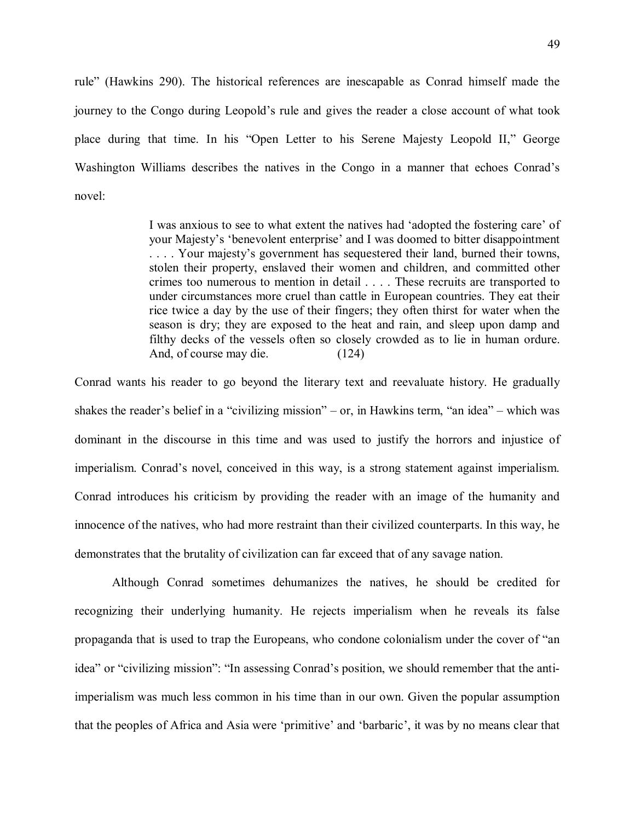rule" (Hawkins 290). The historical references are inescapable as Conrad himself made the journey to the Congo during Leopold's rule and gives the reader a close account of what took place during that time. In his "Open Letter to his Serene Majesty Leopold II," George Washington Williams describes the natives in the Congo in a manner that echoes Conrad's novel:

> I was anxious to see to what extent the natives had 'adopted the fostering care' of your Majesty's 'benevolent enterprise' and I was doomed to bitter disappointment . . . . Your majesty's government has sequestered their land, burned their towns, stolen their property, enslaved their women and children, and committed other crimes too numerous to mention in detail . . . . These recruits are transported to under circumstances more cruel than cattle in European countries. They eat their rice twice a day by the use of their fingers; they often thirst for water when the season is dry; they are exposed to the heat and rain, and sleep upon damp and filthy decks of the vessels often so closely crowded as to lie in human ordure. And, of course may die. (124)

Conrad wants his reader to go beyond the literary text and reevaluate history. He gradually shakes the reader's belief in a "civilizing mission" – or, in Hawkins term, "an idea" – which was dominant in the discourse in this time and was used to justify the horrors and injustice of imperialism. Conrad's novel, conceived in this way, is a strong statement against imperialism. Conrad introduces his criticism by providing the reader with an image of the humanity and innocence of the natives, who had more restraint than their civilized counterparts. In this way, he demonstrates that the brutality of civilization can far exceed that of any savage nation.

Although Conrad sometimes dehumanizes the natives, he should be credited for recognizing their underlying humanity. He rejects imperialism when he reveals its false propaganda that is used to trap the Europeans, who condone colonialism under the cover of "an idea" or "civilizing mission": "In assessing Conrad's position, we should remember that the antiimperialism was much less common in his time than in our own. Given the popular assumption that the peoples of Africa and Asia were 'primitive' and 'barbaric', it was by no means clear that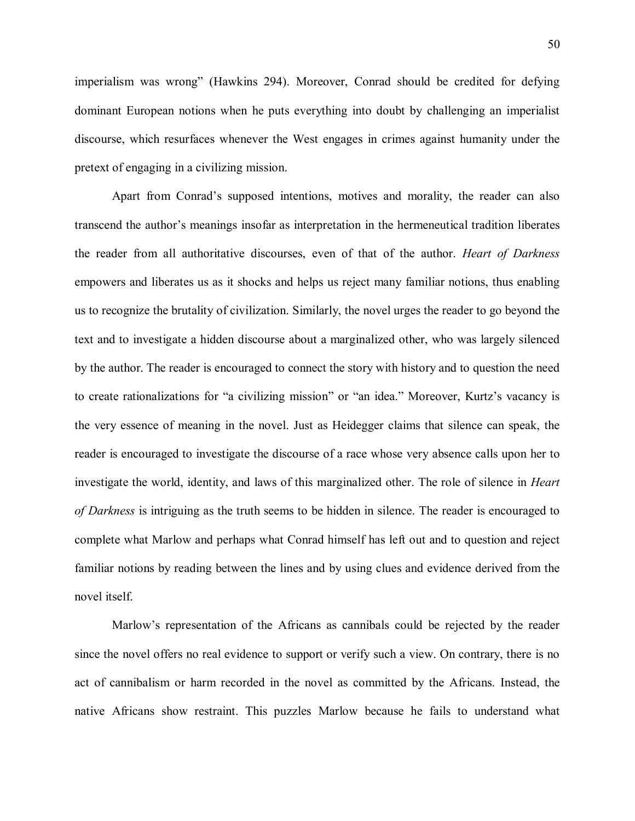imperialism was wrong" (Hawkins 294). Moreover, Conrad should be credited for defying dominant European notions when he puts everything into doubt by challenging an imperialist discourse, which resurfaces whenever the West engages in crimes against humanity under the pretext of engaging in a civilizing mission.

Apart from Conrad's supposed intentions, motives and morality, the reader can also transcend the author's meanings insofar as interpretation in the hermeneutical tradition liberates the reader from all authoritative discourses, even of that of the author. *Heart of Darkness* empowers and liberates us as it shocks and helps us reject many familiar notions, thus enabling us to recognize the brutality of civilization. Similarly, the novel urges the reader to go beyond the text and to investigate a hidden discourse about a marginalized other, who was largely silenced by the author. The reader is encouraged to connect the story with history and to question the need to create rationalizations for "a civilizing mission" or "an idea." Moreover, Kurtz's vacancy is the very essence of meaning in the novel. Just as Heidegger claims that silence can speak, the reader is encouraged to investigate the discourse of a race whose very absence calls upon her to investigate the world, identity, and laws of this marginalized other. The role of silence in *Heart of Darkness* is intriguing as the truth seems to be hidden in silence. The reader is encouraged to complete what Marlow and perhaps what Conrad himself has left out and to question and reject familiar notions by reading between the lines and by using clues and evidence derived from the novel itself.

Marlow's representation of the Africans as cannibals could be rejected by the reader since the novel offers no real evidence to support or verify such a view. On contrary, there is no act of cannibalism or harm recorded in the novel as committed by the Africans. Instead, the native Africans show restraint. This puzzles Marlow because he fails to understand what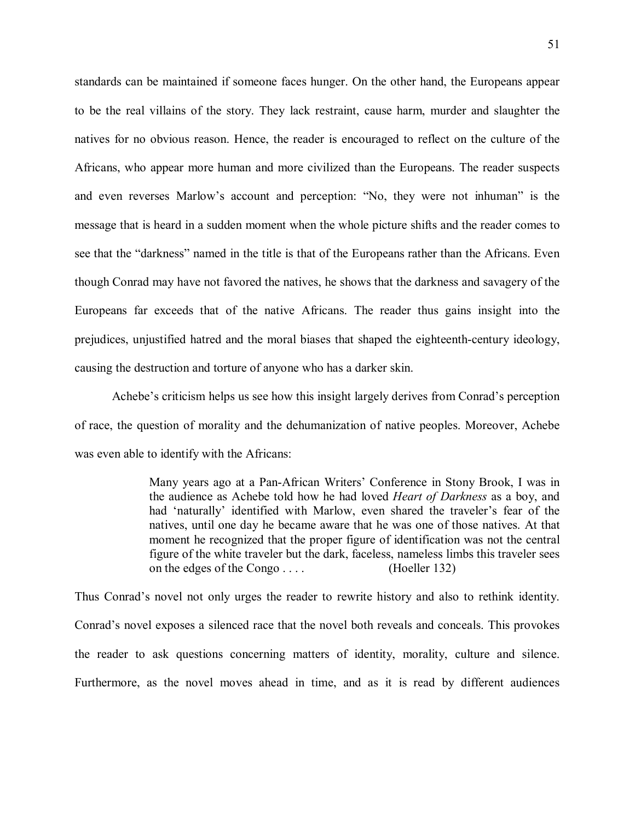standards can be maintained if someone faces hunger. On the other hand, the Europeans appear to be the real villains of the story. They lack restraint, cause harm, murder and slaughter the natives for no obvious reason. Hence, the reader is encouraged to reflect on the culture of the Africans, who appear more human and more civilized than the Europeans. The reader suspects and even reverses Marlow's account and perception: "No, they were not inhuman" is the message that is heard in a sudden moment when the whole picture shifts and the reader comes to see that the "darkness" named in the title is that of the Europeans rather than the Africans. Even though Conrad may have not favored the natives, he shows that the darkness and savagery of the Europeans far exceeds that of the native Africans. The reader thus gains insight into the prejudices, unjustified hatred and the moral biases that shaped the eighteenth-century ideology, causing the destruction and torture of anyone who has a darker skin.

Achebe's criticism helps us see how this insight largely derives from Conrad's perception of race, the question of morality and the dehumanization of native peoples. Moreover, Achebe was even able to identify with the Africans:

> Many years ago at a Pan-African Writers' Conference in Stony Brook, I was in the audience as Achebe told how he had loved *Heart of Darkness* as a boy, and had 'naturally' identified with Marlow, even shared the traveler's fear of the natives, until one day he became aware that he was one of those natives. At that moment he recognized that the proper figure of identification was not the central figure of the white traveler but the dark, faceless, nameless limbs this traveler sees on the edges of the Congo . . . . (Hoeller 132)

Thus Conrad's novel not only urges the reader to rewrite history and also to rethink identity. Conrad's novel exposes a silenced race that the novel both reveals and conceals. This provokes the reader to ask questions concerning matters of identity, morality, culture and silence. Furthermore, as the novel moves ahead in time, and as it is read by different audiences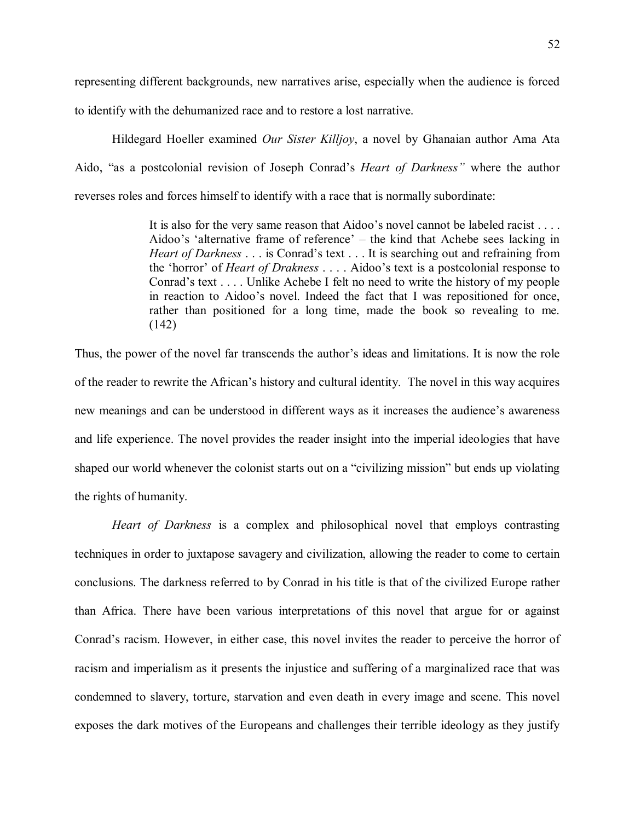representing different backgrounds, new narratives arise, especially when the audience is forced

to identify with the dehumanized race and to restore a lost narrative.

Hildegard Hoeller examined *Our Sister Killjoy*, a novel by Ghanaian author Ama Ata Aido, "as a postcolonial revision of Joseph Conrad's *Heart of Darkness"* where the author reverses roles and forces himself to identify with a race that is normally subordinate:

> It is also for the very same reason that Aidoo's novel cannot be labeled racist . . . . Aidoo's 'alternative frame of reference' – the kind that Achebe sees lacking in *Heart of Darkness* . . . is Conrad's text . . . It is searching out and refraining from the 'horror' of *Heart of Drakness* . . . . Aidoo's text is a postcolonial response to Conrad's text . . . . Unlike Achebe I felt no need to write the history of my people in reaction to Aidoo's novel. Indeed the fact that I was repositioned for once, rather than positioned for a long time, made the book so revealing to me. (142)

Thus, the power of the novel far transcends the author's ideas and limitations. It is now the role of the reader to rewrite the African's history and cultural identity. The novel in this way acquires new meanings and can be understood in different ways as it increases the audience's awareness and life experience. The novel provides the reader insight into the imperial ideologies that have shaped our world whenever the colonist starts out on a "civilizing mission" but ends up violating the rights of humanity.

*Heart of Darkness* is a complex and philosophical novel that employs contrasting techniques in order to juxtapose savagery and civilization, allowing the reader to come to certain conclusions. The darkness referred to by Conrad in his title is that of the civilized Europe rather than Africa. There have been various interpretations of this novel that argue for or against Conrad's racism. However, in either case, this novel invites the reader to perceive the horror of racism and imperialism as it presents the injustice and suffering of a marginalized race that was condemned to slavery, torture, starvation and even death in every image and scene. This novel exposes the dark motives of the Europeans and challenges their terrible ideology as they justify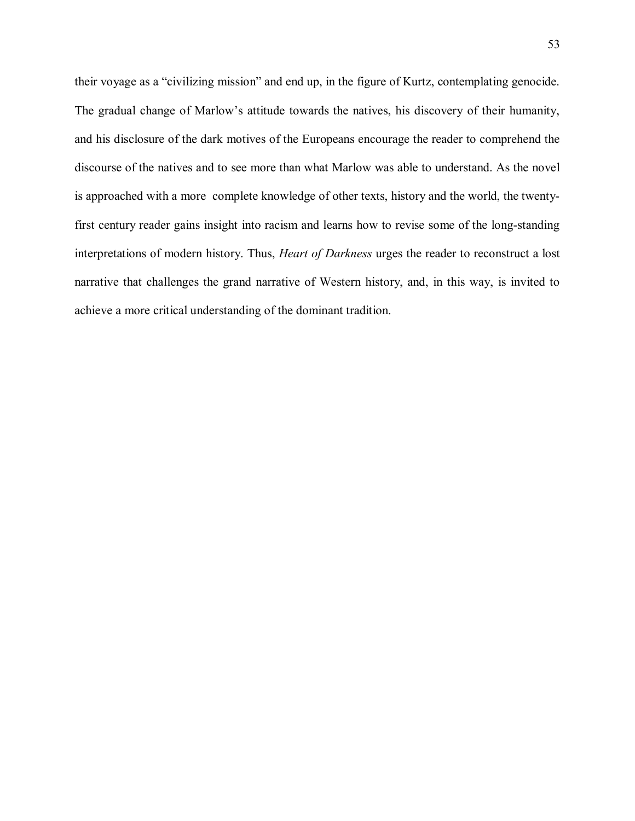their voyage as a "civilizing mission" and end up, in the figure of Kurtz, contemplating genocide. The gradual change of Marlow's attitude towards the natives, his discovery of their humanity, and his disclosure of the dark motives of the Europeans encourage the reader to comprehend the discourse of the natives and to see more than what Marlow was able to understand. As the novel is approached with a more complete knowledge of other texts, history and the world, the twentyfirst century reader gains insight into racism and learns how to revise some of the long-standing interpretations of modern history. Thus, *Heart of Darkness* urges the reader to reconstruct a lost narrative that challenges the grand narrative of Western history, and, in this way, is invited to achieve a more critical understanding of the dominant tradition.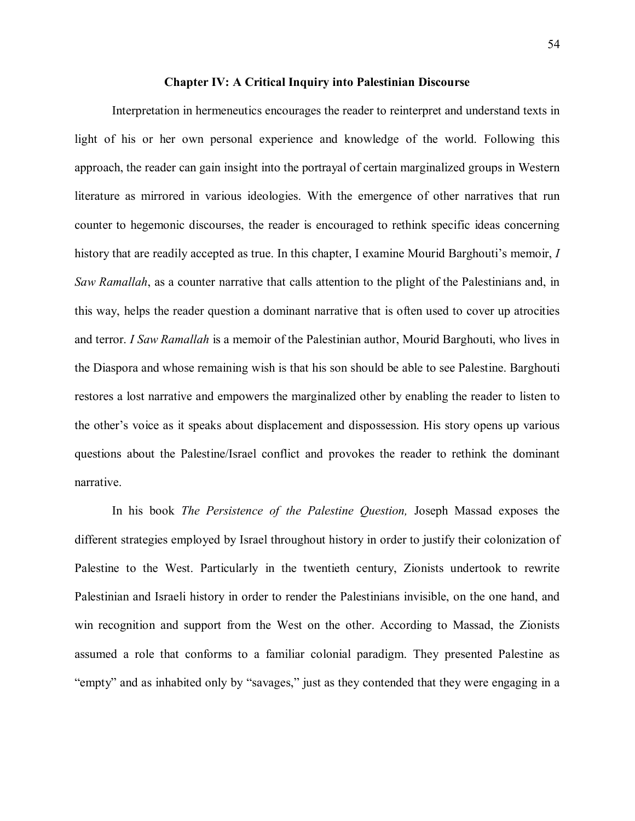## **Chapter IV: A Critical Inquiry into Palestinian Discourse**

Interpretation in hermeneutics encourages the reader to reinterpret and understand texts in light of his or her own personal experience and knowledge of the world. Following this approach, the reader can gain insight into the portrayal of certain marginalized groups in Western literature as mirrored in various ideologies. With the emergence of other narratives that run counter to hegemonic discourses, the reader is encouraged to rethink specific ideas concerning history that are readily accepted as true. In this chapter, I examine Mourid Barghouti's memoir, *I Saw Ramallah*, as a counter narrative that calls attention to the plight of the Palestinians and, in this way, helps the reader question a dominant narrative that is often used to cover up atrocities and terror. *I Saw Ramallah* is a memoir of the Palestinian author, Mourid Barghouti, who lives in the Diaspora and whose remaining wish is that his son should be able to see Palestine. Barghouti restores a lost narrative and empowers the marginalized other by enabling the reader to listen to the other's voice as it speaks about displacement and dispossession. His story opens up various questions about the Palestine/Israel conflict and provokes the reader to rethink the dominant narrative.

In his book *The Persistence of the Palestine Question,* Joseph Massad exposes the different strategies employed by Israel throughout history in order to justify their colonization of Palestine to the West. Particularly in the twentieth century, Zionists undertook to rewrite Palestinian and Israeli history in order to render the Palestinians invisible, on the one hand, and win recognition and support from the West on the other. According to Massad, the Zionists assumed a role that conforms to a familiar colonial paradigm. They presented Palestine as "empty" and as inhabited only by "savages," just as they contended that they were engaging in a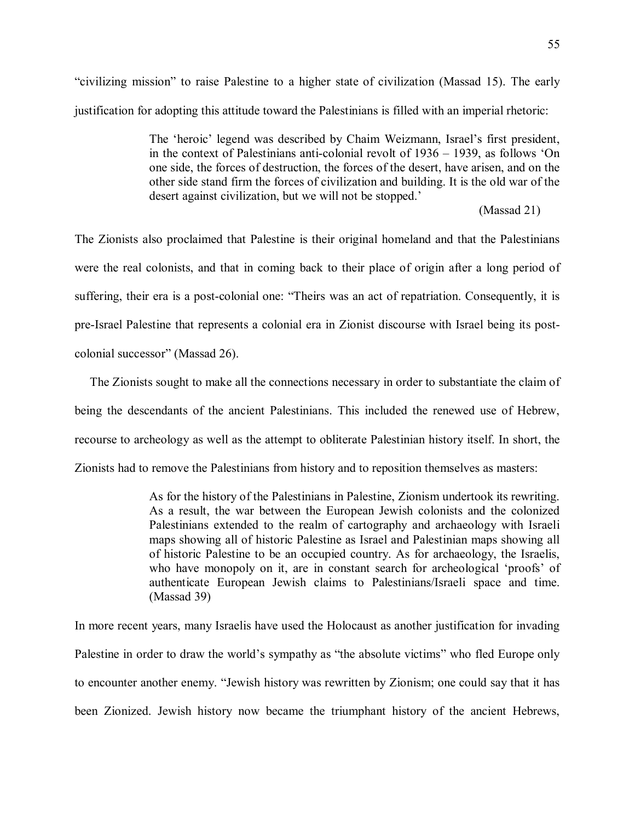"civilizing mission" to raise Palestine to a higher state of civilization (Massad 15). The early justification for adopting this attitude toward the Palestinians is filled with an imperial rhetoric:

> The 'heroic' legend was described by Chaim Weizmann, Israel's first president, in the context of Palestinians anti-colonial revolt of 1936 – 1939, as follows 'On one side, the forces of destruction, the forces of the desert, have arisen, and on the other side stand firm the forces of civilization and building. It is the old war of the desert against civilization, but we will not be stopped.'

## (Massad 21)

The Zionists also proclaimed that Palestine is their original homeland and that the Palestinians were the real colonists, and that in coming back to their place of origin after a long period of suffering, their era is a post-colonial one: "Theirs was an act of repatriation. Consequently, it is pre-Israel Palestine that represents a colonial era in Zionist discourse with Israel being its postcolonial successor" (Massad 26).

 The Zionists sought to make all the connections necessary in order to substantiate the claim of being the descendants of the ancient Palestinians. This included the renewed use of Hebrew, recourse to archeology as well as the attempt to obliterate Palestinian history itself. In short, the Zionists had to remove the Palestinians from history and to reposition themselves as masters:

> As for the history of the Palestinians in Palestine, Zionism undertook its rewriting. As a result, the war between the European Jewish colonists and the colonized Palestinians extended to the realm of cartography and archaeology with Israeli maps showing all of historic Palestine as Israel and Palestinian maps showing all of historic Palestine to be an occupied country. As for archaeology, the Israelis, who have monopoly on it, are in constant search for archeological 'proofs' of authenticate European Jewish claims to Palestinians/Israeli space and time. (Massad 39)

In more recent years, many Israelis have used the Holocaust as another justification for invading Palestine in order to draw the world's sympathy as "the absolute victims" who fled Europe only to encounter another enemy. "Jewish history was rewritten by Zionism; one could say that it has been Zionized. Jewish history now became the triumphant history of the ancient Hebrews,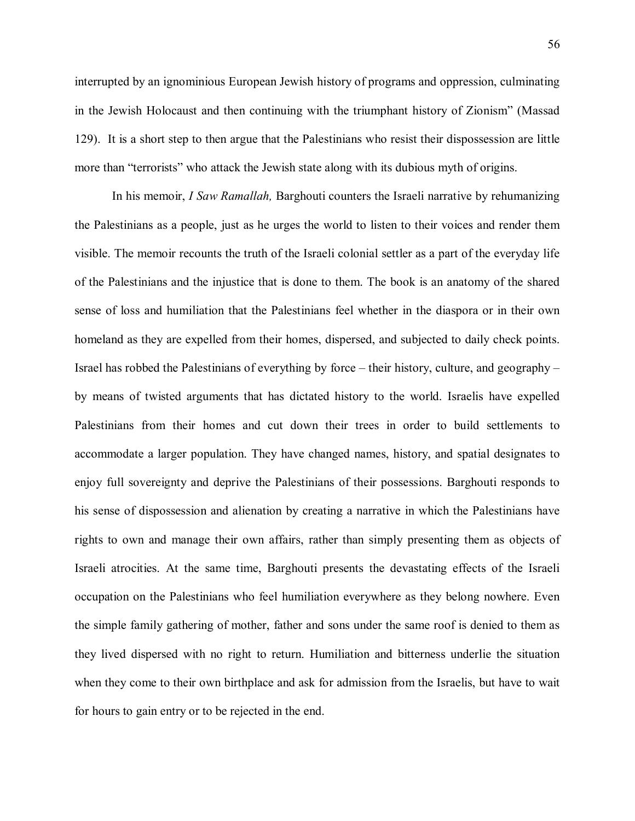interrupted by an ignominious European Jewish history of programs and oppression, culminating in the Jewish Holocaust and then continuing with the triumphant history of Zionism" (Massad 129). It is a short step to then argue that the Palestinians who resist their dispossession are little more than "terrorists" who attack the Jewish state along with its dubious myth of origins.

In his memoir, *I Saw Ramallah,* Barghouti counters the Israeli narrative by rehumanizing the Palestinians as a people, just as he urges the world to listen to their voices and render them visible. The memoir recounts the truth of the Israeli colonial settler as a part of the everyday life of the Palestinians and the injustice that is done to them. The book is an anatomy of the shared sense of loss and humiliation that the Palestinians feel whether in the diaspora or in their own homeland as they are expelled from their homes, dispersed, and subjected to daily check points. Israel has robbed the Palestinians of everything by force – their history, culture, and geography – by means of twisted arguments that has dictated history to the world. Israelis have expelled Palestinians from their homes and cut down their trees in order to build settlements to accommodate a larger population. They have changed names, history, and spatial designates to enjoy full sovereignty and deprive the Palestinians of their possessions. Barghouti responds to his sense of dispossession and alienation by creating a narrative in which the Palestinians have rights to own and manage their own affairs, rather than simply presenting them as objects of Israeli atrocities. At the same time, Barghouti presents the devastating effects of the Israeli occupation on the Palestinians who feel humiliation everywhere as they belong nowhere. Even the simple family gathering of mother, father and sons under the same roof is denied to them as they lived dispersed with no right to return. Humiliation and bitterness underlie the situation when they come to their own birthplace and ask for admission from the Israelis, but have to wait for hours to gain entry or to be rejected in the end.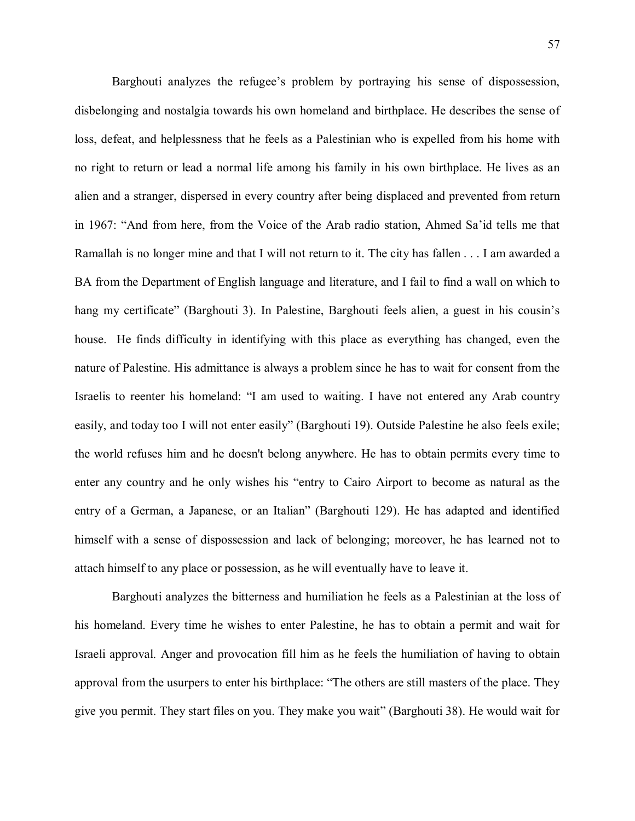Barghouti analyzes the refugee's problem by portraying his sense of dispossession, disbelonging and nostalgia towards his own homeland and birthplace. He describes the sense of loss, defeat, and helplessness that he feels as a Palestinian who is expelled from his home with no right to return or lead a normal life among his family in his own birthplace. He lives as an alien and a stranger, dispersed in every country after being displaced and prevented from return in 1967: "And from here, from the Voice of the Arab radio station, Ahmed Sa'id tells me that Ramallah is no longer mine and that I will not return to it. The city has fallen . . . I am awarded a BA from the Department of English language and literature, and I fail to find a wall on which to hang my certificate" (Barghouti 3). In Palestine, Barghouti feels alien, a guest in his cousin's house. He finds difficulty in identifying with this place as everything has changed, even the nature of Palestine. His admittance is always a problem since he has to wait for consent from the Israelis to reenter his homeland: "I am used to waiting. I have not entered any Arab country easily, and today too I will not enter easily" (Barghouti 19). Outside Palestine he also feels exile; the world refuses him and he doesn't belong anywhere. He has to obtain permits every time to enter any country and he only wishes his "entry to Cairo Airport to become as natural as the entry of a German, a Japanese, or an Italian" (Barghouti 129). He has adapted and identified himself with a sense of dispossession and lack of belonging; moreover, he has learned not to attach himself to any place or possession, as he will eventually have to leave it.

Barghouti analyzes the bitterness and humiliation he feels as a Palestinian at the loss of his homeland. Every time he wishes to enter Palestine, he has to obtain a permit and wait for Israeli approval. Anger and provocation fill him as he feels the humiliation of having to obtain approval from the usurpers to enter his birthplace: "The others are still masters of the place. They give you permit. They start files on you. They make you wait" (Barghouti 38). He would wait for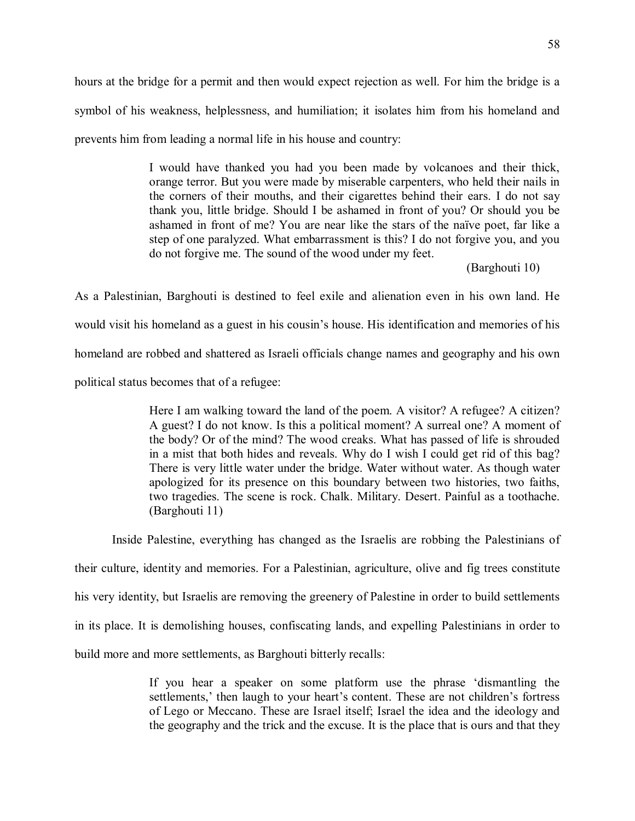hours at the bridge for a permit and then would expect rejection as well. For him the bridge is a symbol of his weakness, helplessness, and humiliation; it isolates him from his homeland and prevents him from leading a normal life in his house and country:

> I would have thanked you had you been made by volcanoes and their thick, orange terror. But you were made by miserable carpenters, who held their nails in the corners of their mouths, and their cigarettes behind their ears. I do not say thank you, little bridge. Should I be ashamed in front of you? Or should you be ashamed in front of me? You are near like the stars of the naïve poet, far like a step of one paralyzed. What embarrassment is this? I do not forgive you, and you do not forgive me. The sound of the wood under my feet.

> > (Barghouti 10)

As a Palestinian, Barghouti is destined to feel exile and alienation even in his own land. He would visit his homeland as a guest in his cousin's house. His identification and memories of his homeland are robbed and shattered as Israeli officials change names and geography and his own political status becomes that of a refugee:

> Here I am walking toward the land of the poem. A visitor? A refugee? A citizen? A guest? I do not know. Is this a political moment? A surreal one? A moment of the body? Or of the mind? The wood creaks. What has passed of life is shrouded in a mist that both hides and reveals. Why do I wish I could get rid of this bag? There is very little water under the bridge. Water without water. As though water apologized for its presence on this boundary between two histories, two faiths, two tragedies. The scene is rock. Chalk. Military. Desert. Painful as a toothache. (Barghouti 11)

Inside Palestine, everything has changed as the Israelis are robbing the Palestinians of

their culture, identity and memories. For a Palestinian, agriculture, olive and fig trees constitute

his very identity, but Israelis are removing the greenery of Palestine in order to build settlements

in its place. It is demolishing houses, confiscating lands, and expelling Palestinians in order to

build more and more settlements, as Barghouti bitterly recalls:

If you hear a speaker on some platform use the phrase 'dismantling the settlements,' then laugh to your heart's content. These are not children's fortress of Lego or Meccano. These are Israel itself; Israel the idea and the ideology and the geography and the trick and the excuse. It is the place that is ours and that they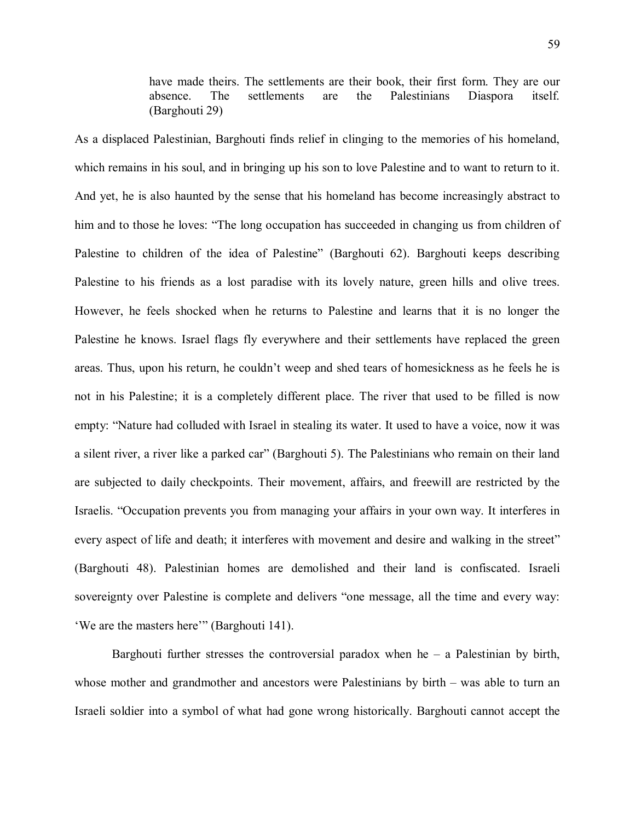have made theirs. The settlements are their book, their first form. They are our absence. The settlements are the Palestinians Diaspora itself. (Barghouti 29)

As a displaced Palestinian, Barghouti finds relief in clinging to the memories of his homeland, which remains in his soul, and in bringing up his son to love Palestine and to want to return to it. And yet, he is also haunted by the sense that his homeland has become increasingly abstract to him and to those he loves: "The long occupation has succeeded in changing us from children of Palestine to children of the idea of Palestine" (Barghouti 62). Barghouti keeps describing Palestine to his friends as a lost paradise with its lovely nature, green hills and olive trees. However, he feels shocked when he returns to Palestine and learns that it is no longer the Palestine he knows. Israel flags fly everywhere and their settlements have replaced the green areas. Thus, upon his return, he couldn't weep and shed tears of homesickness as he feels he is not in his Palestine; it is a completely different place. The river that used to be filled is now empty: "Nature had colluded with Israel in stealing its water. It used to have a voice, now it was a silent river, a river like a parked car" (Barghouti 5). The Palestinians who remain on their land are subjected to daily checkpoints. Their movement, affairs, and freewill are restricted by the Israelis. "Occupation prevents you from managing your affairs in your own way. It interferes in every aspect of life and death; it interferes with movement and desire and walking in the street" (Barghouti 48). Palestinian homes are demolished and their land is confiscated. Israeli sovereignty over Palestine is complete and delivers "one message, all the time and every way: 'We are the masters here'" (Barghouti 141).

Barghouti further stresses the controversial paradox when  $he - a$  Palestinian by birth, whose mother and grandmother and ancestors were Palestinians by birth – was able to turn an Israeli soldier into a symbol of what had gone wrong historically. Barghouti cannot accept the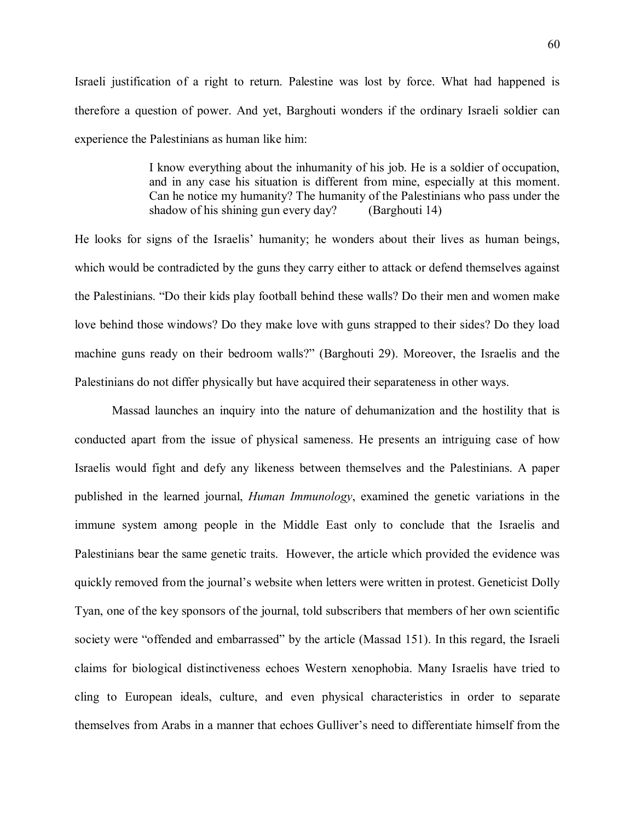Israeli justification of a right to return. Palestine was lost by force. What had happened is therefore a question of power. And yet, Barghouti wonders if the ordinary Israeli soldier can experience the Palestinians as human like him:

> I know everything about the inhumanity of his job. He is a soldier of occupation, and in any case his situation is different from mine, especially at this moment. Can he notice my humanity? The humanity of the Palestinians who pass under the shadow of his shining gun every day? (Barghouti 14)

He looks for signs of the Israelis' humanity; he wonders about their lives as human beings, which would be contradicted by the guns they carry either to attack or defend themselves against the Palestinians. "Do their kids play football behind these walls? Do their men and women make love behind those windows? Do they make love with guns strapped to their sides? Do they load machine guns ready on their bedroom walls?" (Barghouti 29). Moreover, the Israelis and the Palestinians do not differ physically but have acquired their separateness in other ways.

Massad launches an inquiry into the nature of dehumanization and the hostility that is conducted apart from the issue of physical sameness. He presents an intriguing case of how Israelis would fight and defy any likeness between themselves and the Palestinians. A paper published in the learned journal, *Human Immunology*, examined the genetic variations in the immune system among people in the Middle East only to conclude that the Israelis and Palestinians bear the same genetic traits. However, the article which provided the evidence was quickly removed from the journal's website when letters were written in protest. Geneticist Dolly Tyan, one of the key sponsors of the journal, told subscribers that members of her own scientific society were "offended and embarrassed" by the article (Massad 151). In this regard, the Israeli claims for biological distinctiveness echoes Western xenophobia. Many Israelis have tried to cling to European ideals, culture, and even physical characteristics in order to separate themselves from Arabs in a manner that echoes Gulliver's need to differentiate himself from the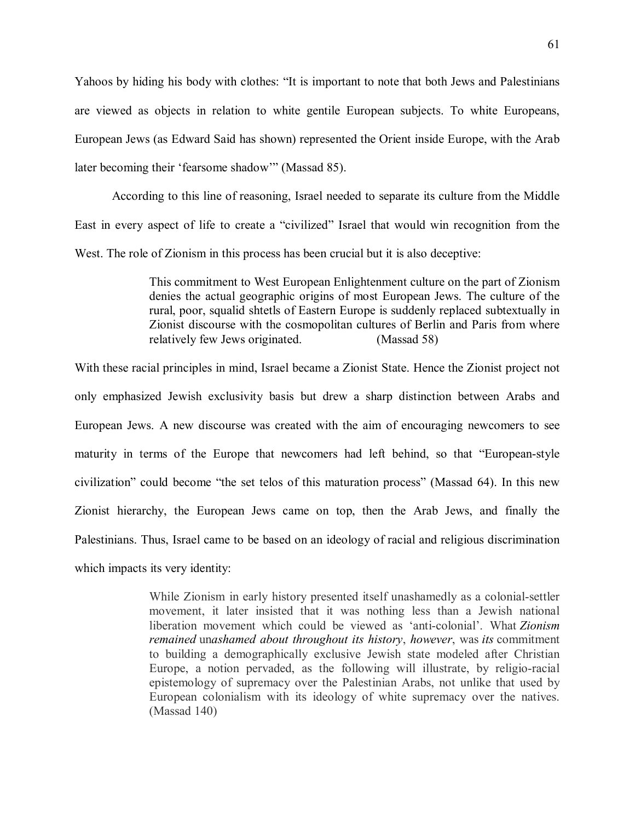Yahoos by hiding his body with clothes: "It is important to note that both Jews and Palestinians are viewed as objects in relation to white gentile European subjects. To white Europeans, European Jews (as Edward Said has shown) represented the Orient inside Europe, with the Arab later becoming their 'fearsome shadow'" (Massad 85).

According to this line of reasoning, Israel needed to separate its culture from the Middle East in every aspect of life to create a "civilized" Israel that would win recognition from the West. The role of Zionism in this process has been crucial but it is also deceptive:

> This commitment to West European Enlightenment culture on the part of Zionism denies the actual geographic origins of most European Jews. The culture of the rural, poor, squalid shtetls of Eastern Europe is suddenly replaced subtextually in Zionist discourse with the cosmopolitan cultures of Berlin and Paris from where relatively few Jews originated. (Massad 58)

With these racial principles in mind, Israel became a Zionist State. Hence the Zionist project not only emphasized Jewish exclusivity basis but drew a sharp distinction between Arabs and European Jews. A new discourse was created with the aim of encouraging newcomers to see maturity in terms of the Europe that newcomers had left behind, so that "European-style civilization" could become "the set telos of this maturation process" (Massad 64). In this new Zionist hierarchy, the European Jews came on top, then the Arab Jews, and finally the Palestinians. Thus, Israel came to be based on an ideology of racial and religious discrimination which impacts its very identity:

> While Zionism in early history presented itself unashamedly as a colonial-settler movement, it later insisted that it was nothing less than a Jewish national liberation movement which could be viewed as 'anti-colonial'. What *Zionism remained* un*ashamed about throughout its history*, *however*, was *its* commitment to building a demographically exclusive Jewish state modeled after Christian Europe, a notion pervaded, as the following will illustrate, by religio-racial epistemology of supremacy over the Palestinian Arabs, not unlike that used by European colonialism with its ideology of white supremacy over the natives. (Massad 140)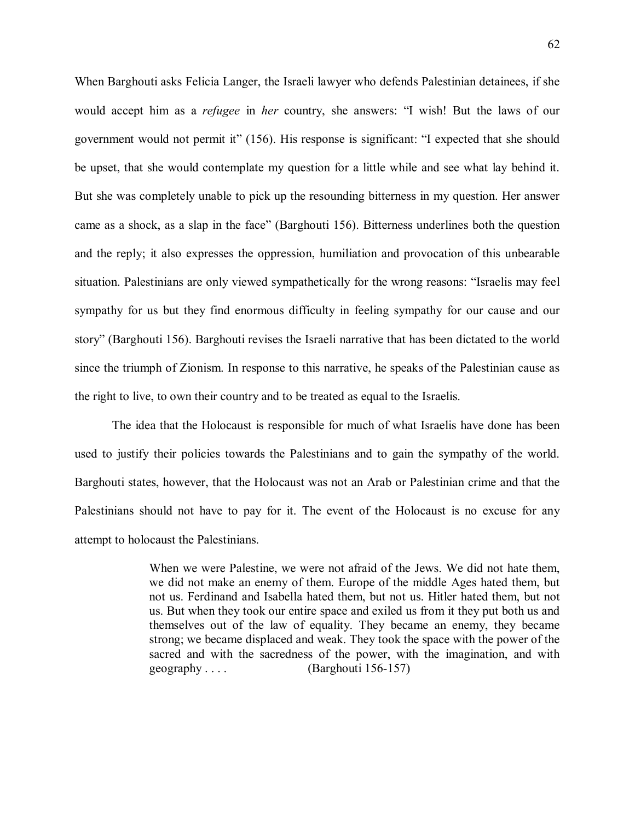When Barghouti asks Felicia Langer, the Israeli lawyer who defends Palestinian detainees, if she would accept him as a *refugee* in *her* country, she answers: "I wish! But the laws of our government would not permit it" (156). His response is significant: "I expected that she should be upset, that she would contemplate my question for a little while and see what lay behind it. But she was completely unable to pick up the resounding bitterness in my question. Her answer came as a shock, as a slap in the face" (Barghouti 156). Bitterness underlines both the question and the reply; it also expresses the oppression, humiliation and provocation of this unbearable situation. Palestinians are only viewed sympathetically for the wrong reasons: "Israelis may feel sympathy for us but they find enormous difficulty in feeling sympathy for our cause and our story" (Barghouti 156). Barghouti revises the Israeli narrative that has been dictated to the world since the triumph of Zionism. In response to this narrative, he speaks of the Palestinian cause as the right to live, to own their country and to be treated as equal to the Israelis.

The idea that the Holocaust is responsible for much of what Israelis have done has been used to justify their policies towards the Palestinians and to gain the sympathy of the world. Barghouti states, however, that the Holocaust was not an Arab or Palestinian crime and that the Palestinians should not have to pay for it. The event of the Holocaust is no excuse for any attempt to holocaust the Palestinians.

> When we were Palestine, we were not afraid of the Jews. We did not hate them, we did not make an enemy of them. Europe of the middle Ages hated them, but not us. Ferdinand and Isabella hated them, but not us. Hitler hated them, but not us. But when they took our entire space and exiled us from it they put both us and themselves out of the law of equality. They became an enemy, they became strong; we became displaced and weak. They took the space with the power of the sacred and with the sacredness of the power, with the imagination, and with geography . . . . (Barghouti 156-157)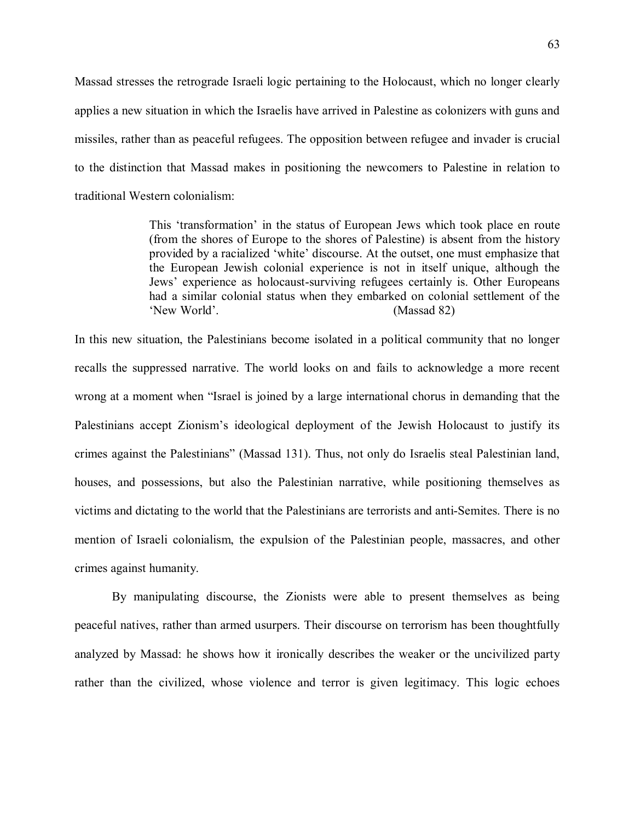Massad stresses the retrograde Israeli logic pertaining to the Holocaust, which no longer clearly applies a new situation in which the Israelis have arrived in Palestine as colonizers with guns and missiles, rather than as peaceful refugees. The opposition between refugee and invader is crucial to the distinction that Massad makes in positioning the newcomers to Palestine in relation to traditional Western colonialism:

> This 'transformation' in the status of European Jews which took place en route (from the shores of Europe to the shores of Palestine) is absent from the history provided by a racialized 'white' discourse. At the outset, one must emphasize that the European Jewish colonial experience is not in itself unique, although the Jews' experience as holocaust-surviving refugees certainly is. Other Europeans had a similar colonial status when they embarked on colonial settlement of the 'New World'. (Massad 82)

In this new situation, the Palestinians become isolated in a political community that no longer recalls the suppressed narrative. The world looks on and fails to acknowledge a more recent wrong at a moment when "Israel is joined by a large international chorus in demanding that the Palestinians accept Zionism's ideological deployment of the Jewish Holocaust to justify its crimes against the Palestinians" (Massad 131). Thus, not only do Israelis steal Palestinian land, houses, and possessions, but also the Palestinian narrative, while positioning themselves as victims and dictating to the world that the Palestinians are terrorists and anti-Semites. There is no mention of Israeli colonialism, the expulsion of the Palestinian people, massacres, and other crimes against humanity.

By manipulating discourse, the Zionists were able to present themselves as being peaceful natives, rather than armed usurpers. Their discourse on terrorism has been thoughtfully analyzed by Massad: he shows how it ironically describes the weaker or the uncivilized party rather than the civilized, whose violence and terror is given legitimacy. This logic echoes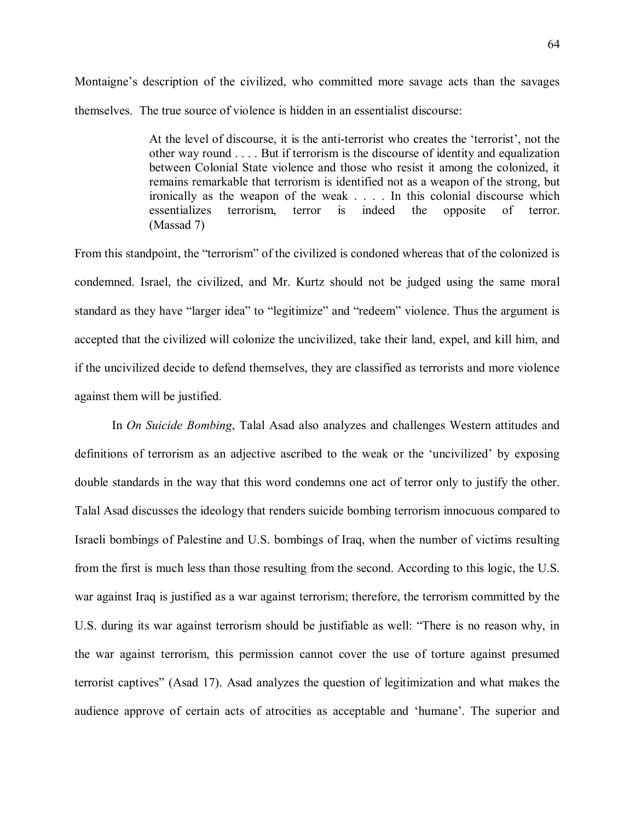Montaigne's description of the civilized, who committed more savage acts than the savages themselves. The true source of violence is hidden in an essentialist discourse:

> At the level of discourse, it is the anti-terrorist who creates the 'terrorist', not the other way round . . . . But if terrorism is the discourse of identity and equalization between Colonial State violence and those who resist it among the colonized, it remains remarkable that terrorism is identified not as a weapon of the strong, but ironically as the weapon of the weak . . . . In this colonial discourse which essentializes terrorism, terror is indeed the opposite of terror. (Massad 7)

From this standpoint, the "terrorism" of the civilized is condoned whereas that of the colonized is condemned. Israel, the civilized, and Mr. Kurtz should not be judged using the same moral standard as they have "larger idea" to "legitimize" and "redeem" violence. Thus the argument is accepted that the civilized will colonize the uncivilized, take their land, expel, and kill him, and if the uncivilized decide to defend themselves, they are classified as terrorists and more violence against them will be justified.

In *On Suicide Bombing*, Talal Asad also analyzes and challenges Western attitudes and definitions of terrorism as an adjective ascribed to the weak or the 'uncivilized' by exposing double standards in the way that this word condemns one act of terror only to justify the other. Talal Asad discusses the ideology that renders suicide bombing terrorism innocuous compared to Israeli bombings of Palestine and U.S. bombings of Iraq, when the number of victims resulting from the first is much less than those resulting from the second. According to this logic, the U.S. war against Iraq is justified as a war against terrorism; therefore, the terrorism committed by the U.S. during its war against terrorism should be justifiable as well: "There is no reason why, in the war against terrorism, this permission cannot cover the use of torture against presumed terrorist captives" (Asad 17). Asad analyzes the question of legitimization and what makes the audience approve of certain acts of atrocities as acceptable and 'humane'. The superior and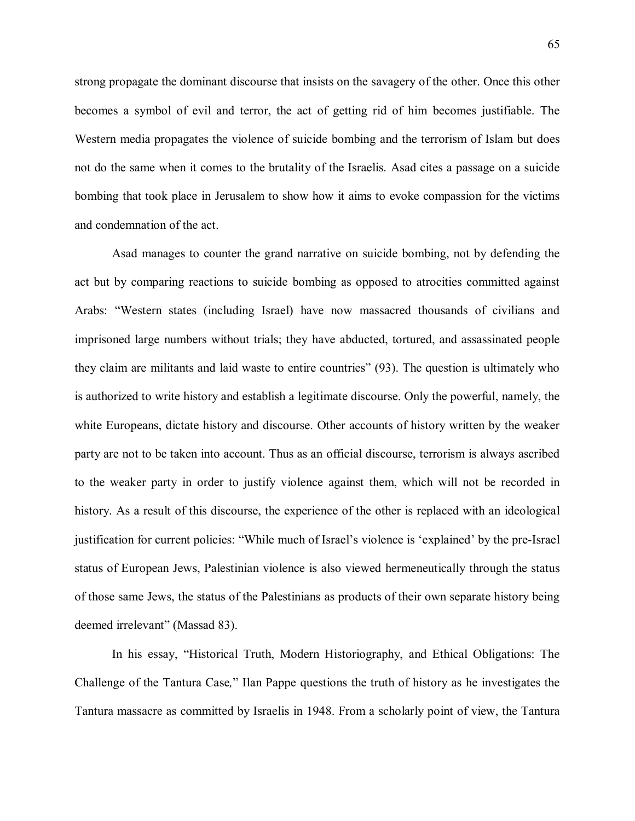strong propagate the dominant discourse that insists on the savagery of the other. Once this other becomes a symbol of evil and terror, the act of getting rid of him becomes justifiable. The Western media propagates the violence of suicide bombing and the terrorism of Islam but does not do the same when it comes to the brutality of the Israelis. Asad cites a passage on a suicide bombing that took place in Jerusalem to show how it aims to evoke compassion for the victims and condemnation of the act.

Asad manages to counter the grand narrative on suicide bombing, not by defending the act but by comparing reactions to suicide bombing as opposed to atrocities committed against Arabs: "Western states (including Israel) have now massacred thousands of civilians and imprisoned large numbers without trials; they have abducted, tortured, and assassinated people they claim are militants and laid waste to entire countries" (93). The question is ultimately who is authorized to write history and establish a legitimate discourse. Only the powerful, namely, the white Europeans, dictate history and discourse. Other accounts of history written by the weaker party are not to be taken into account. Thus as an official discourse, terrorism is always ascribed to the weaker party in order to justify violence against them, which will not be recorded in history. As a result of this discourse, the experience of the other is replaced with an ideological justification for current policies: "While much of Israel's violence is 'explained' by the pre-Israel status of European Jews, Palestinian violence is also viewed hermeneutically through the status of those same Jews, the status of the Palestinians as products of their own separate history being deemed irrelevant" (Massad 83).

In his essay, "Historical Truth, Modern Historiography, and Ethical Obligations: The Challenge of the Tantura Case*,*" Ilan Pappe questions the truth of history as he investigates the Tantura massacre as committed by Israelis in 1948. From a scholarly point of view, the Tantura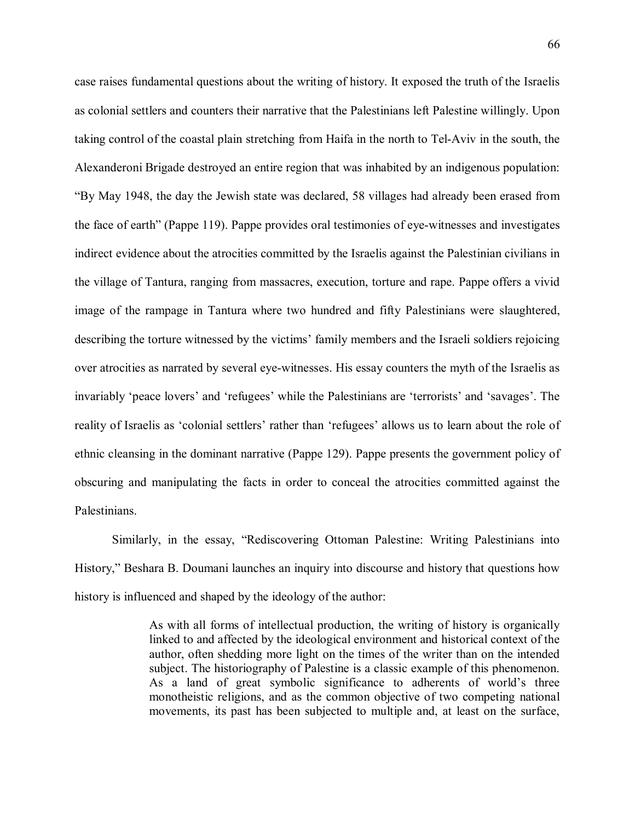case raises fundamental questions about the writing of history. It exposed the truth of the Israelis as colonial settlers and counters their narrative that the Palestinians left Palestine willingly. Upon taking control of the coastal plain stretching from Haifa in the north to Tel-Aviv in the south, the Alexanderoni Brigade destroyed an entire region that was inhabited by an indigenous population: "By May 1948, the day the Jewish state was declared, 58 villages had already been erased from the face of earth" (Pappe 119). Pappe provides oral testimonies of eye-witnesses and investigates indirect evidence about the atrocities committed by the Israelis against the Palestinian civilians in the village of Tantura, ranging from massacres, execution, torture and rape. Pappe offers a vivid image of the rampage in Tantura where two hundred and fifty Palestinians were slaughtered, describing the torture witnessed by the victims' family members and the Israeli soldiers rejoicing over atrocities as narrated by several eye-witnesses. His essay counters the myth of the Israelis as invariably 'peace lovers' and 'refugees' while the Palestinians are 'terrorists' and 'savages'. The reality of Israelis as 'colonial settlers' rather than 'refugees' allows us to learn about the role of ethnic cleansing in the dominant narrative (Pappe 129). Pappe presents the government policy of obscuring and manipulating the facts in order to conceal the atrocities committed against the Palestinians.

Similarly, in the essay, "Rediscovering Ottoman Palestine: Writing Palestinians into History," Beshara B. Doumani launches an inquiry into discourse and history that questions how history is influenced and shaped by the ideology of the author:

> As with all forms of intellectual production, the writing of history is organically linked to and affected by the ideological environment and historical context of the author, often shedding more light on the times of the writer than on the intended subject. The historiography of Palestine is a classic example of this phenomenon. As a land of great symbolic significance to adherents of world's three monotheistic religions, and as the common objective of two competing national movements, its past has been subjected to multiple and, at least on the surface,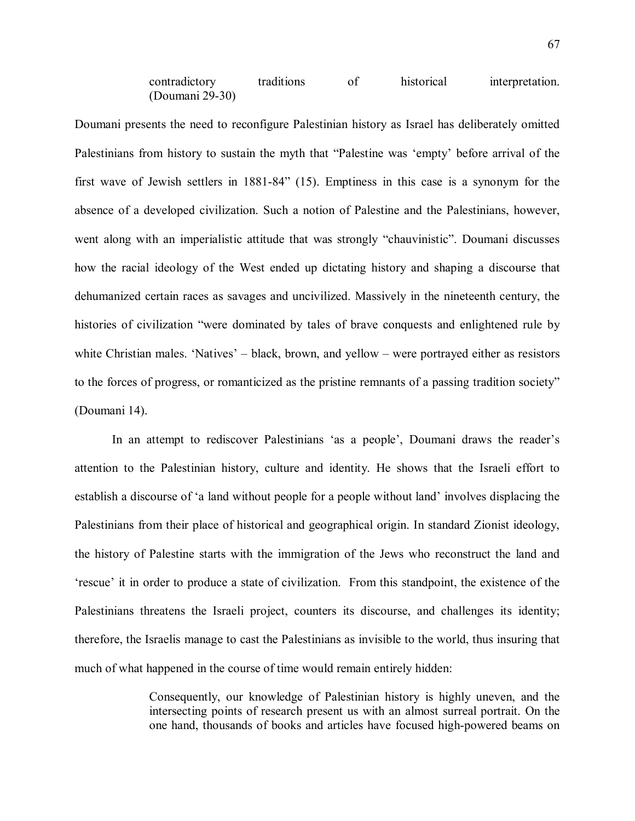contradictory traditions of historical interpretation. (Doumani 29-30)

Doumani presents the need to reconfigure Palestinian history as Israel has deliberately omitted Palestinians from history to sustain the myth that "Palestine was 'empty' before arrival of the first wave of Jewish settlers in 1881-84" (15). Emptiness in this case is a synonym for the absence of a developed civilization. Such a notion of Palestine and the Palestinians, however, went along with an imperialistic attitude that was strongly "chauvinistic". Doumani discusses how the racial ideology of the West ended up dictating history and shaping a discourse that dehumanized certain races as savages and uncivilized. Massively in the nineteenth century, the histories of civilization "were dominated by tales of brave conquests and enlightened rule by white Christian males. 'Natives' – black, brown, and yellow – were portrayed either as resistors to the forces of progress, or romanticized as the pristine remnants of a passing tradition society" (Doumani 14).

In an attempt to rediscover Palestinians 'as a people', Doumani draws the reader's attention to the Palestinian history, culture and identity. He shows that the Israeli effort to establish a discourse of 'a land without people for a people without land' involves displacing the Palestinians from their place of historical and geographical origin. In standard Zionist ideology, the history of Palestine starts with the immigration of the Jews who reconstruct the land and 'rescue' it in order to produce a state of civilization. From this standpoint, the existence of the Palestinians threatens the Israeli project, counters its discourse, and challenges its identity; therefore, the Israelis manage to cast the Palestinians as invisible to the world, thus insuring that much of what happened in the course of time would remain entirely hidden:

> Consequently, our knowledge of Palestinian history is highly uneven, and the intersecting points of research present us with an almost surreal portrait. On the one hand, thousands of books and articles have focused high-powered beams on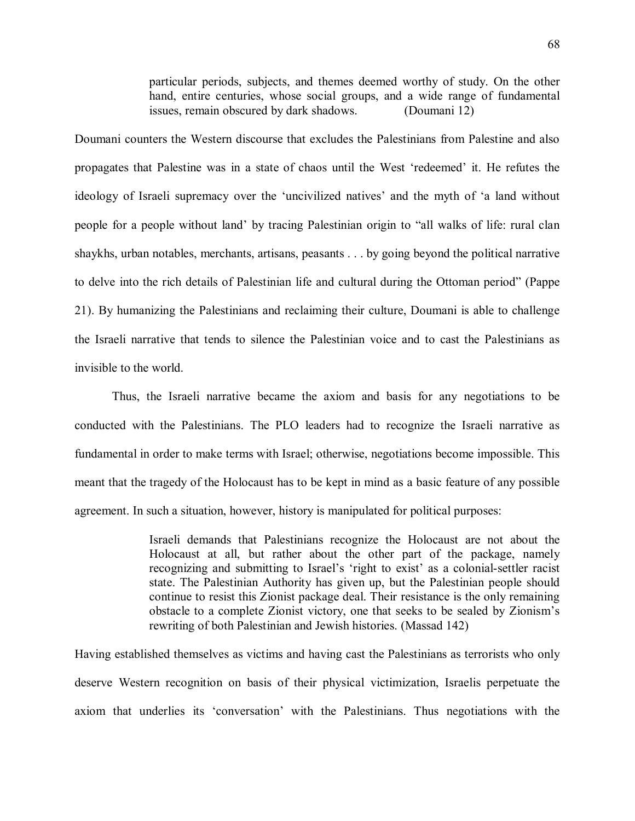particular periods, subjects, and themes deemed worthy of study. On the other hand, entire centuries, whose social groups, and a wide range of fundamental issues, remain obscured by dark shadows. (Doumani 12)

Doumani counters the Western discourse that excludes the Palestinians from Palestine and also propagates that Palestine was in a state of chaos until the West 'redeemed' it. He refutes the ideology of Israeli supremacy over the 'uncivilized natives' and the myth of 'a land without people for a people without land' by tracing Palestinian origin to "all walks of life: rural clan shaykhs, urban notables, merchants, artisans, peasants . . . by going beyond the political narrative to delve into the rich details of Palestinian life and cultural during the Ottoman period" (Pappe 21). By humanizing the Palestinians and reclaiming their culture, Doumani is able to challenge the Israeli narrative that tends to silence the Palestinian voice and to cast the Palestinians as invisible to the world.

Thus, the Israeli narrative became the axiom and basis for any negotiations to be conducted with the Palestinians. The PLO leaders had to recognize the Israeli narrative as fundamental in order to make terms with Israel; otherwise, negotiations become impossible. This meant that the tragedy of the Holocaust has to be kept in mind as a basic feature of any possible agreement. In such a situation, however, history is manipulated for political purposes:

> Israeli demands that Palestinians recognize the Holocaust are not about the Holocaust at all, but rather about the other part of the package, namely recognizing and submitting to Israel's 'right to exist' as a colonial-settler racist state. The Palestinian Authority has given up, but the Palestinian people should continue to resist this Zionist package deal. Their resistance is the only remaining obstacle to a complete Zionist victory, one that seeks to be sealed by Zionism's rewriting of both Palestinian and Jewish histories. (Massad 142)

Having established themselves as victims and having cast the Palestinians as terrorists who only deserve Western recognition on basis of their physical victimization, Israelis perpetuate the axiom that underlies its 'conversation' with the Palestinians. Thus negotiations with the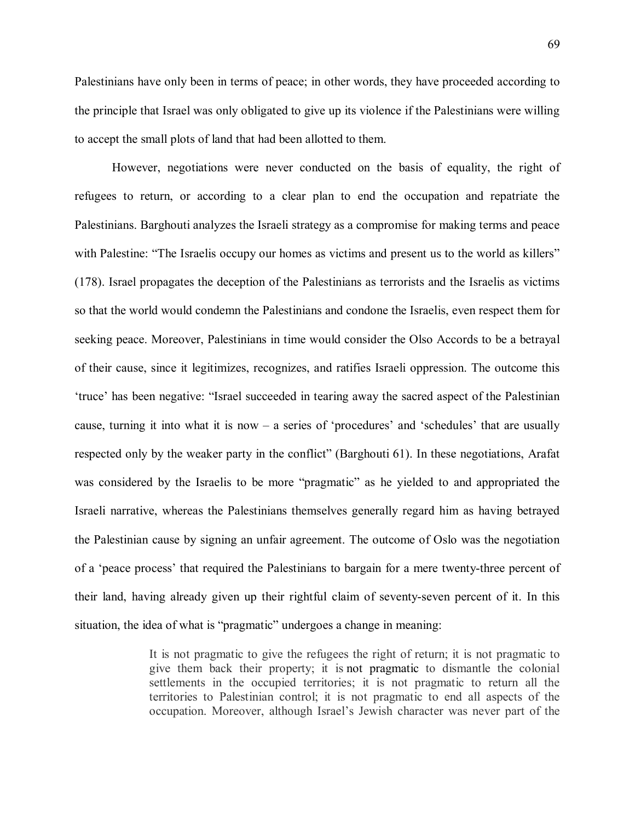Palestinians have only been in terms of peace; in other words, they have proceeded according to the principle that Israel was only obligated to give up its violence if the Palestinians were willing to accept the small plots of land that had been allotted to them.

However, negotiations were never conducted on the basis of equality, the right of refugees to return, or according to a clear plan to end the occupation and repatriate the Palestinians. Barghouti analyzes the Israeli strategy as a compromise for making terms and peace with Palestine: "The Israelis occupy our homes as victims and present us to the world as killers" (178). Israel propagates the deception of the Palestinians as terrorists and the Israelis as victims so that the world would condemn the Palestinians and condone the Israelis, even respect them for seeking peace. Moreover, Palestinians in time would consider the Olso Accords to be a betrayal of their cause, since it legitimizes, recognizes, and ratifies Israeli oppression. The outcome this 'truce' has been negative: "Israel succeeded in tearing away the sacred aspect of the Palestinian cause, turning it into what it is now – a series of 'procedures' and 'schedules' that are usually respected only by the weaker party in the conflict" (Barghouti 61). In these negotiations, Arafat was considered by the Israelis to be more "pragmatic" as he yielded to and appropriated the Israeli narrative, whereas the Palestinians themselves generally regard him as having betrayed the Palestinian cause by signing an unfair agreement. The outcome of Oslo was the negotiation of a 'peace process' that required the Palestinians to bargain for a mere twenty-three percent of their land, having already given up their rightful claim of seventy-seven percent of it. In this situation, the idea of what is "pragmatic" undergoes a change in meaning:

> It is not pragmatic to give the refugees the right of return; it is not pragmatic to give them back their property; it is not pragmatic to dismantle the colonial settlements in the occupied territories; it is not pragmatic to return all the territories to Palestinian control; it is not pragmatic to end all aspects of the occupation. Moreover, although Israel's Jewish character was never part of the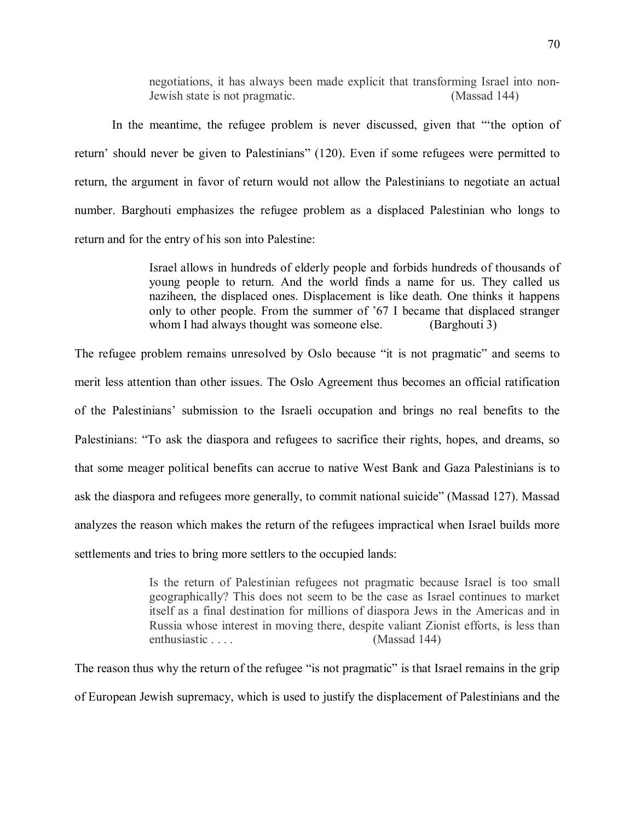negotiations, it has always been made explicit that transforming Israel into non-Jewish state is not pragmatic. (Massad 144)

In the meantime, the refugee problem is never discussed, given that "'the option of return' should never be given to Palestinians" (120). Even if some refugees were permitted to return, the argument in favor of return would not allow the Palestinians to negotiate an actual number. Barghouti emphasizes the refugee problem as a displaced Palestinian who longs to return and for the entry of his son into Palestine:

> Israel allows in hundreds of elderly people and forbids hundreds of thousands of young people to return. And the world finds a name for us. They called us naziheen, the displaced ones. Displacement is like death. One thinks it happens only to other people. From the summer of '67 I became that displaced stranger whom I had always thought was someone else. (Barghouti 3)

The refugee problem remains unresolved by Oslo because "it is not pragmatic" and seems to merit less attention than other issues. The Oslo Agreement thus becomes an official ratification of the Palestinians' submission to the Israeli occupation and brings no real benefits to the Palestinians: "To ask the diaspora and refugees to sacrifice their rights, hopes, and dreams, so that some meager political benefits can accrue to native West Bank and Gaza Palestinians is to ask the diaspora and refugees more generally, to commit national suicide" (Massad 127). Massad analyzes the reason which makes the return of the refugees impractical when Israel builds more settlements and tries to bring more settlers to the occupied lands:

> Is the return of Palestinian refugees not pragmatic because Israel is too small geographically? This does not seem to be the case as Israel continues to market itself as a final destination for millions of diaspora Jews in the Americas and in Russia whose interest in moving there, despite valiant Zionist efforts, is less than enthusiastic . . . . (Massad 144)

The reason thus why the return of the refugee "is not pragmatic" is that Israel remains in the grip of European Jewish supremacy, which is used to justify the displacement of Palestinians and the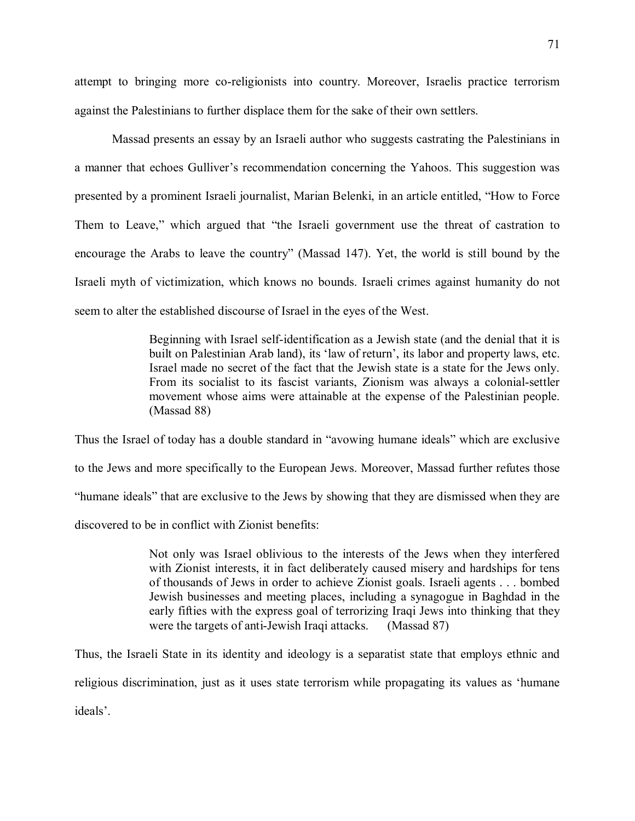attempt to bringing more co-religionists into country. Moreover, Israelis practice terrorism against the Palestinians to further displace them for the sake of their own settlers.

Massad presents an essay by an Israeli author who suggests castrating the Palestinians in a manner that echoes Gulliver's recommendation concerning the Yahoos. This suggestion was presented by a prominent Israeli journalist, Marian Belenki, in an article entitled, "How to Force Them to Leave," which argued that "the Israeli government use the threat of castration to encourage the Arabs to leave the country" (Massad 147). Yet, the world is still bound by the Israeli myth of victimization, which knows no bounds. Israeli crimes against humanity do not seem to alter the established discourse of Israel in the eyes of the West.

> Beginning with Israel self-identification as a Jewish state (and the denial that it is built on Palestinian Arab land), its 'law of return', its labor and property laws, etc. Israel made no secret of the fact that the Jewish state is a state for the Jews only. From its socialist to its fascist variants, Zionism was always a colonial-settler movement whose aims were attainable at the expense of the Palestinian people. (Massad 88)

Thus the Israel of today has a double standard in "avowing humane ideals" which are exclusive to the Jews and more specifically to the European Jews. Moreover, Massad further refutes those "humane ideals" that are exclusive to the Jews by showing that they are dismissed when they are discovered to be in conflict with Zionist benefits:

> Not only was Israel oblivious to the interests of the Jews when they interfered with Zionist interests, it in fact deliberately caused misery and hardships for tens of thousands of Jews in order to achieve Zionist goals. Israeli agents . . . bombed Jewish businesses and meeting places, including a synagogue in Baghdad in the early fifties with the express goal of terrorizing Iraqi Jews into thinking that they were the targets of anti-Jewish Iraqi attacks. (Massad 87)

Thus, the Israeli State in its identity and ideology is a separatist state that employs ethnic and religious discrimination, just as it uses state terrorism while propagating its values as 'humane ideals'.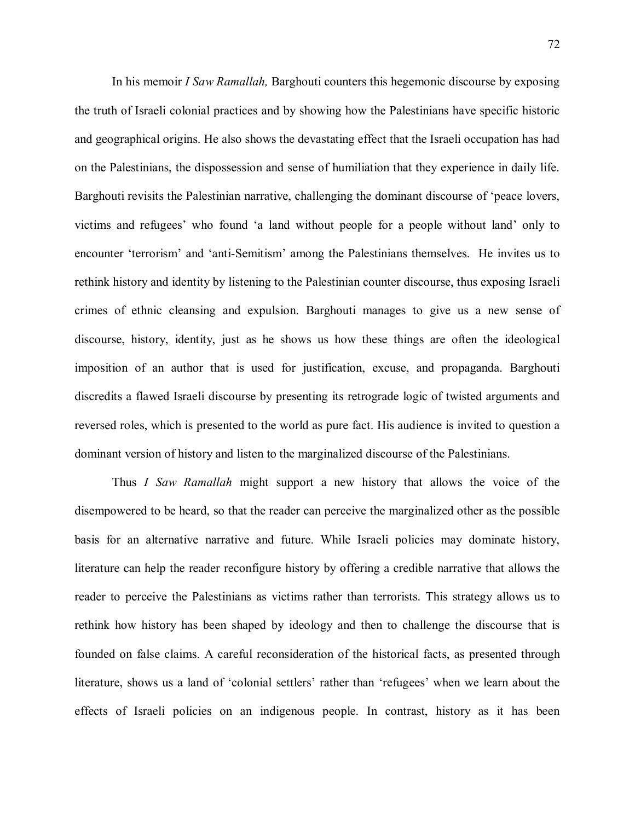In his memoir *I Saw Ramallah,* Barghouti counters this hegemonic discourse by exposing the truth of Israeli colonial practices and by showing how the Palestinians have specific historic and geographical origins. He also shows the devastating effect that the Israeli occupation has had on the Palestinians, the dispossession and sense of humiliation that they experience in daily life. Barghouti revisits the Palestinian narrative, challenging the dominant discourse of 'peace lovers, victims and refugees' who found 'a land without people for a people without land' only to encounter 'terrorism' and 'anti-Semitism' among the Palestinians themselves. He invites us to rethink history and identity by listening to the Palestinian counter discourse, thus exposing Israeli crimes of ethnic cleansing and expulsion. Barghouti manages to give us a new sense of discourse, history, identity, just as he shows us how these things are often the ideological imposition of an author that is used for justification, excuse, and propaganda. Barghouti discredits a flawed Israeli discourse by presenting its retrograde logic of twisted arguments and reversed roles, which is presented to the world as pure fact. His audience is invited to question a dominant version of history and listen to the marginalized discourse of the Palestinians.

Thus *I Saw Ramallah* might support a new history that allows the voice of the disempowered to be heard, so that the reader can perceive the marginalized other as the possible basis for an alternative narrative and future. While Israeli policies may dominate history, literature can help the reader reconfigure history by offering a credible narrative that allows the reader to perceive the Palestinians as victims rather than terrorists. This strategy allows us to rethink how history has been shaped by ideology and then to challenge the discourse that is founded on false claims. A careful reconsideration of the historical facts, as presented through literature, shows us a land of 'colonial settlers' rather than 'refugees' when we learn about the effects of Israeli policies on an indigenous people. In contrast, history as it has been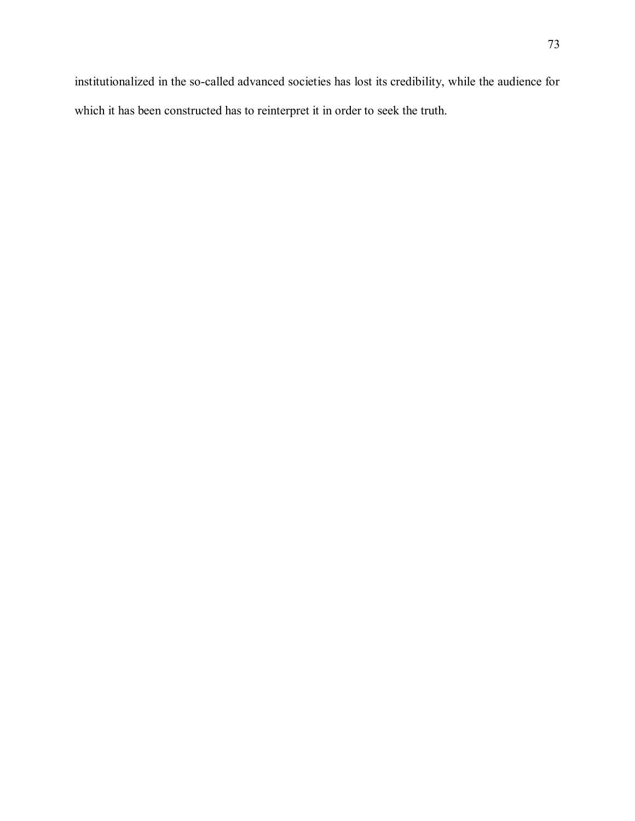institutionalized in the so-called advanced societies has lost its credibility, while the audience for which it has been constructed has to reinterpret it in order to seek the truth.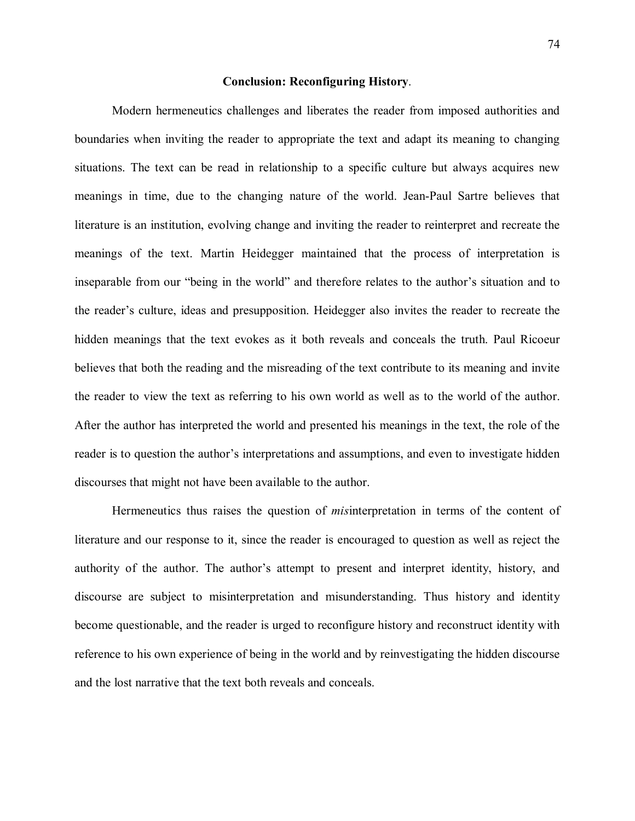## **Conclusion: Reconfiguring History**.

Modern hermeneutics challenges and liberates the reader from imposed authorities and boundaries when inviting the reader to appropriate the text and adapt its meaning to changing situations. The text can be read in relationship to a specific culture but always acquires new meanings in time, due to the changing nature of the world. Jean-Paul Sartre believes that literature is an institution, evolving change and inviting the reader to reinterpret and recreate the meanings of the text. Martin Heidegger maintained that the process of interpretation is inseparable from our "being in the world" and therefore relates to the author's situation and to the reader's culture, ideas and presupposition. Heidegger also invites the reader to recreate the hidden meanings that the text evokes as it both reveals and conceals the truth. Paul Ricoeur believes that both the reading and the misreading of the text contribute to its meaning and invite the reader to view the text as referring to his own world as well as to the world of the author. After the author has interpreted the world and presented his meanings in the text, the role of the reader is to question the author's interpretations and assumptions, and even to investigate hidden discourses that might not have been available to the author.

Hermeneutics thus raises the question of *mis*interpretation in terms of the content of literature and our response to it, since the reader is encouraged to question as well as reject the authority of the author. The author's attempt to present and interpret identity, history, and discourse are subject to misinterpretation and misunderstanding. Thus history and identity become questionable, and the reader is urged to reconfigure history and reconstruct identity with reference to his own experience of being in the world and by reinvestigating the hidden discourse and the lost narrative that the text both reveals and conceals.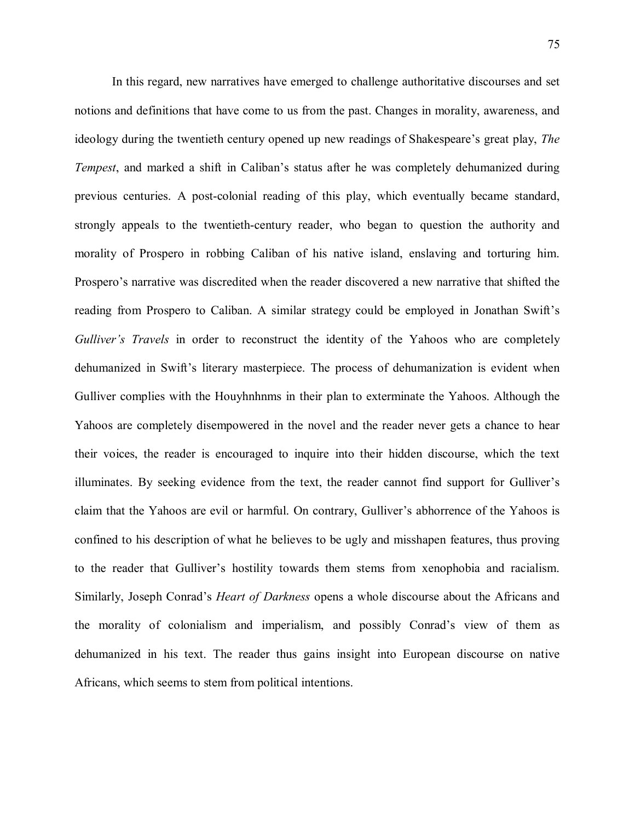In this regard, new narratives have emerged to challenge authoritative discourses and set notions and definitions that have come to us from the past. Changes in morality, awareness, and ideology during the twentieth century opened up new readings of Shakespeare's great play, *The Tempest*, and marked a shift in Caliban's status after he was completely dehumanized during previous centuries. A post-colonial reading of this play, which eventually became standard, strongly appeals to the twentieth-century reader, who began to question the authority and morality of Prospero in robbing Caliban of his native island, enslaving and torturing him. Prospero's narrative was discredited when the reader discovered a new narrative that shifted the reading from Prospero to Caliban. A similar strategy could be employed in Jonathan Swift's *Gulliver's Travels* in order to reconstruct the identity of the Yahoos who are completely dehumanized in Swift's literary masterpiece. The process of dehumanization is evident when Gulliver complies with the Houyhnhnms in their plan to exterminate the Yahoos. Although the Yahoos are completely disempowered in the novel and the reader never gets a chance to hear their voices, the reader is encouraged to inquire into their hidden discourse, which the text illuminates. By seeking evidence from the text, the reader cannot find support for Gulliver's claim that the Yahoos are evil or harmful. On contrary, Gulliver's abhorrence of the Yahoos is confined to his description of what he believes to be ugly and misshapen features, thus proving to the reader that Gulliver's hostility towards them stems from xenophobia and racialism. Similarly, Joseph Conrad's *Heart of Darkness* opens a whole discourse about the Africans and the morality of colonialism and imperialism, and possibly Conrad's view of them as dehumanized in his text. The reader thus gains insight into European discourse on native Africans, which seems to stem from political intentions.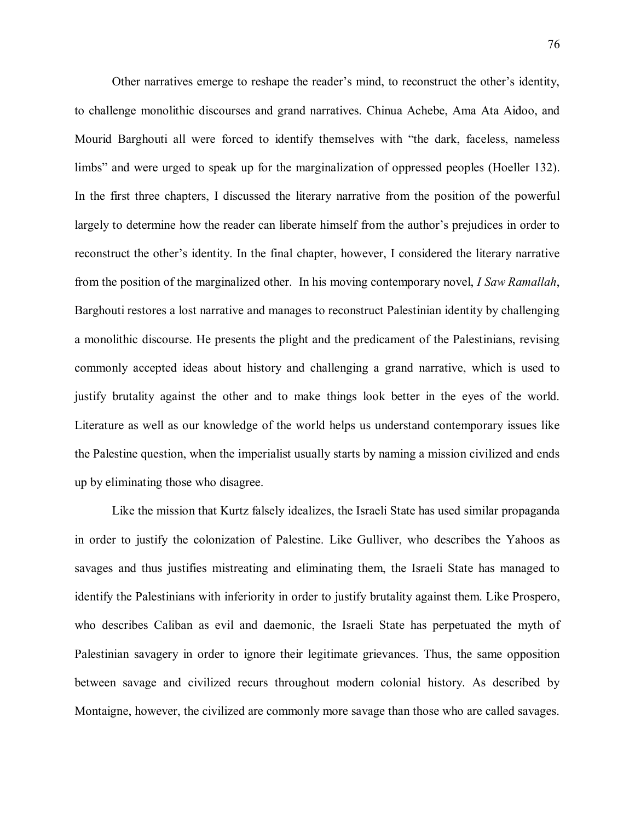Other narratives emerge to reshape the reader's mind, to reconstruct the other's identity, to challenge monolithic discourses and grand narratives. Chinua Achebe, Ama Ata Aidoo, and Mourid Barghouti all were forced to identify themselves with "the dark, faceless, nameless limbs" and were urged to speak up for the marginalization of oppressed peoples (Hoeller 132). In the first three chapters, I discussed the literary narrative from the position of the powerful largely to determine how the reader can liberate himself from the author's prejudices in order to reconstruct the other's identity. In the final chapter, however, I considered the literary narrative from the position of the marginalized other. In his moving contemporary novel, *I Saw Ramallah*, Barghouti restores a lost narrative and manages to reconstruct Palestinian identity by challenging a monolithic discourse. He presents the plight and the predicament of the Palestinians, revising commonly accepted ideas about history and challenging a grand narrative, which is used to justify brutality against the other and to make things look better in the eyes of the world. Literature as well as our knowledge of the world helps us understand contemporary issues like the Palestine question, when the imperialist usually starts by naming a mission civilized and ends up by eliminating those who disagree.

Like the mission that Kurtz falsely idealizes, the Israeli State has used similar propaganda in order to justify the colonization of Palestine. Like Gulliver, who describes the Yahoos as savages and thus justifies mistreating and eliminating them, the Israeli State has managed to identify the Palestinians with inferiority in order to justify brutality against them. Like Prospero, who describes Caliban as evil and daemonic, the Israeli State has perpetuated the myth of Palestinian savagery in order to ignore their legitimate grievances. Thus, the same opposition between savage and civilized recurs throughout modern colonial history. As described by Montaigne, however, the civilized are commonly more savage than those who are called savages.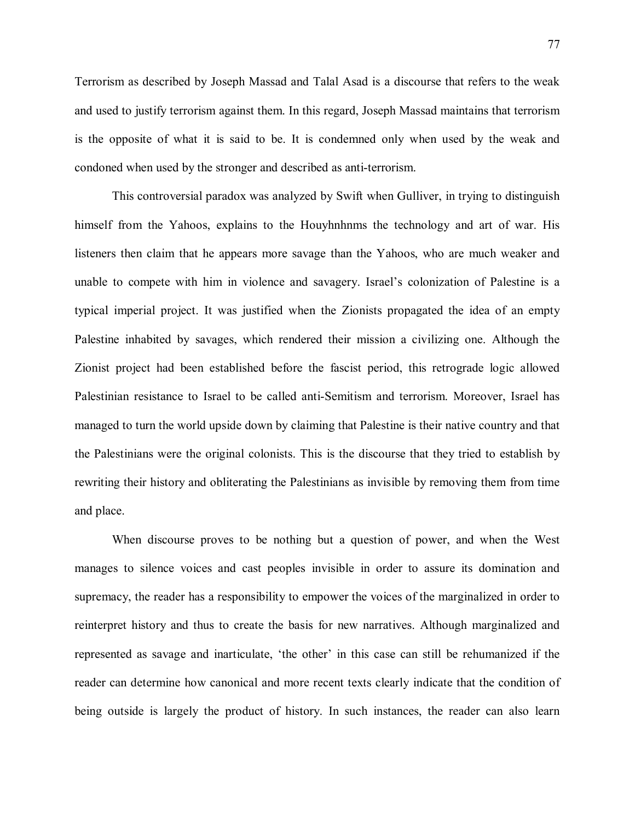Terrorism as described by Joseph Massad and Talal Asad is a discourse that refers to the weak and used to justify terrorism against them. In this regard, Joseph Massad maintains that terrorism is the opposite of what it is said to be. It is condemned only when used by the weak and condoned when used by the stronger and described as anti-terrorism.

This controversial paradox was analyzed by Swift when Gulliver, in trying to distinguish himself from the Yahoos, explains to the Houyhnhnms the technology and art of war. His listeners then claim that he appears more savage than the Yahoos, who are much weaker and unable to compete with him in violence and savagery. Israel's colonization of Palestine is a typical imperial project. It was justified when the Zionists propagated the idea of an empty Palestine inhabited by savages, which rendered their mission a civilizing one. Although the Zionist project had been established before the fascist period, this retrograde logic allowed Palestinian resistance to Israel to be called anti-Semitism and terrorism. Moreover, Israel has managed to turn the world upside down by claiming that Palestine is their native country and that the Palestinians were the original colonists. This is the discourse that they tried to establish by rewriting their history and obliterating the Palestinians as invisible by removing them from time and place.

When discourse proves to be nothing but a question of power, and when the West manages to silence voices and cast peoples invisible in order to assure its domination and supremacy, the reader has a responsibility to empower the voices of the marginalized in order to reinterpret history and thus to create the basis for new narratives. Although marginalized and represented as savage and inarticulate, 'the other' in this case can still be rehumanized if the reader can determine how canonical and more recent texts clearly indicate that the condition of being outside is largely the product of history. In such instances, the reader can also learn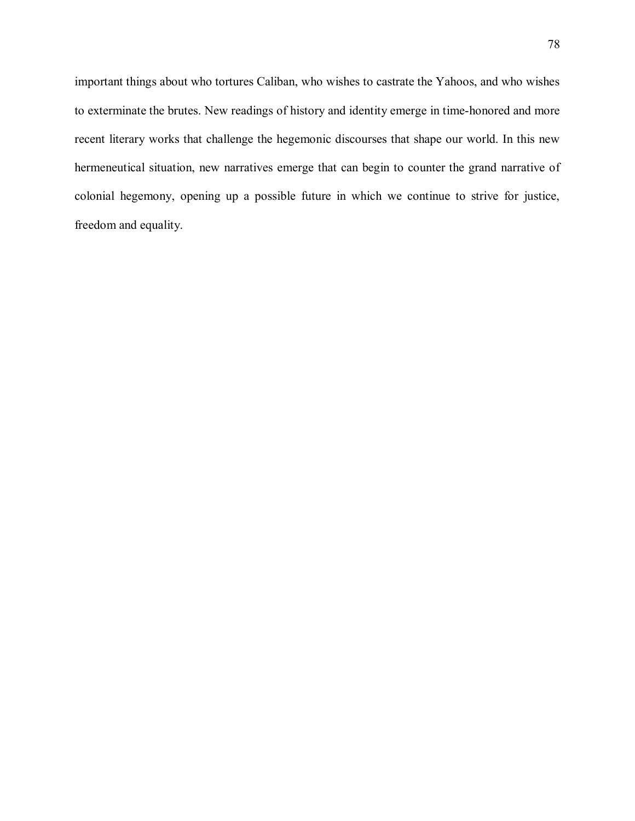important things about who tortures Caliban, who wishes to castrate the Yahoos, and who wishes to exterminate the brutes. New readings of history and identity emerge in time-honored and more recent literary works that challenge the hegemonic discourses that shape our world. In this new hermeneutical situation, new narratives emerge that can begin to counter the grand narrative of colonial hegemony, opening up a possible future in which we continue to strive for justice, freedom and equality.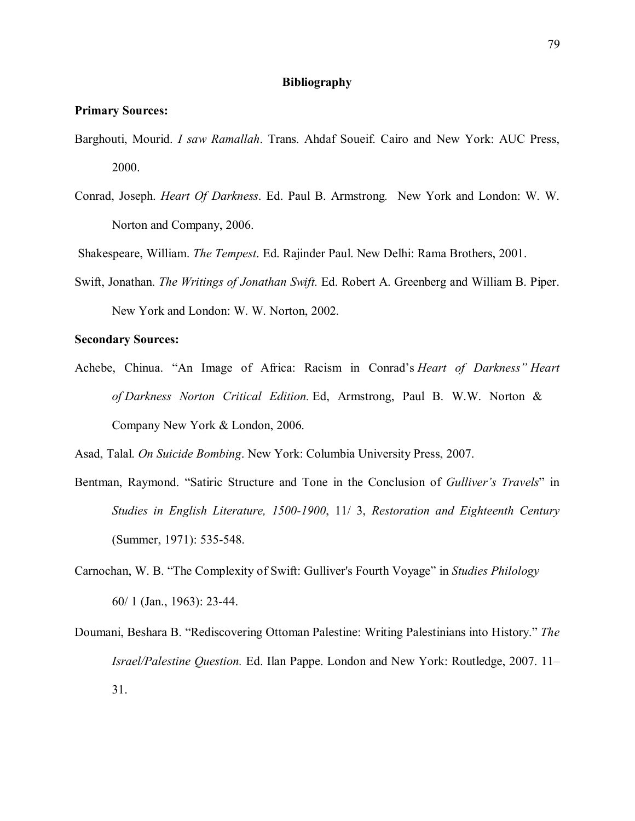## **Bibliography**

## **Primary Sources:**

- Barghouti, Mourid. *I saw Ramallah*. Trans. Ahdaf Soueif. Cairo and New York: AUC Press, 2000.
- Conrad, Joseph. *Heart Of Darkness*. Ed. Paul B. Armstrong*.* New York and London: W. W. Norton and Company, 2006.

Shakespeare, William. *The Tempest*. Ed. Rajinder Paul. New Delhi: Rama Brothers, 2001.

Swift, Jonathan. *The Writings of Jonathan Swift.* Ed. Robert A. Greenberg and William B. Piper. New York and London: W. W. Norton, 2002.

## **Secondary Sources:**

Achebe, Chinua. "An Image of Africa: Racism in Conrad's *Heart of Darkness" Heart of Darkness Norton Critical Edition.* Ed, Armstrong, Paul B. W.W. Norton & Company New York & London, 2006.

Asad, Talal. *On Suicide Bombing*. New York: Columbia University Press, 2007.

- Bentman, Raymond. "Satiric Structure and Tone in the Conclusion of *Gulliver's Travels*" in *Studies in English Literature, 1500-1900*, 11/ 3, *Restoration and Eighteenth Century* (Summer, 1971): 535-548.
- Carnochan, W. B. "The Complexity of Swift: Gulliver's Fourth Voyage" in *Studies Philology* 60/ 1 (Jan., 1963): 23-44.
- Doumani, Beshara B. "Rediscovering Ottoman Palestine: Writing Palestinians into History." *The Israel/Palestine Question.* Ed. Ilan Pappe. London and New York: Routledge, 2007. 11– 31.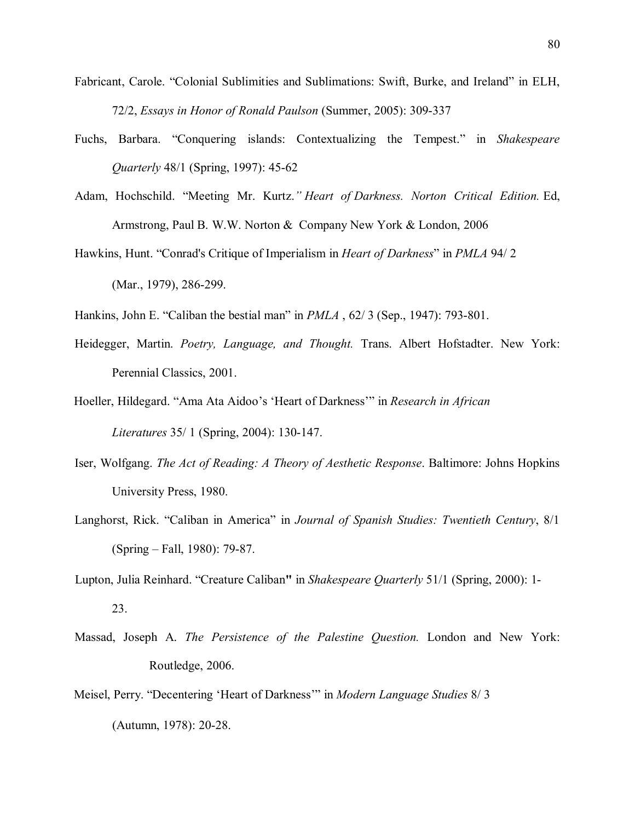- Fabricant, Carole. "Colonial Sublimities and Sublimations: Swift, Burke, and Ireland" in ELH, 72/2, *Essays in Honor of Ronald Paulson* (Summer, 2005): 309-337
- Fuchs, Barbara. "Conquering islands: Contextualizing the Tempest." in *Shakespeare Quarterly* 48/1 (Spring, 1997): 45-62
- Adam, Hochschild. "Meeting Mr. Kurtz.*" Heart of Darkness. Norton Critical Edition.* Ed, Armstrong, Paul B. W.W. Norton & Company New York & London, 2006
- Hawkins, Hunt. "Conrad's Critique of Imperialism in *Heart of Darkness*" in *PMLA* 94/ 2 (Mar., 1979), 286-299.
- Hankins, John E. "Caliban the bestial man" in *PMLA* , 62/ 3 (Sep., 1947): 793-801.
- Heidegger, Martin. *Poetry, Language, and Thought.* Trans. Albert Hofstadter. New York: Perennial Classics, 2001.
- Hoeller, Hildegard. "Ama Ata Aidoo's 'Heart of Darkness'" in *Research in African Literatures* 35/ 1 (Spring, 2004): 130-147.
- Iser, Wolfgang. *The Act of Reading: A Theory of Aesthetic Response*. Baltimore: Johns Hopkins University Press, 1980.
- Langhorst, Rick. "Caliban in America" in *Journal of Spanish Studies: Twentieth Century*, 8/1 (Spring – Fall, 1980): 79-87.
- Lupton, Julia Reinhard. "Creature Caliban**"** in *Shakespeare Quarterly* 51/1 (Spring, 2000): 1- 23.
- Massad, Joseph A. *The Persistence of the Palestine Question.* London and New York: Routledge, 2006.
- Meisel, Perry. "Decentering 'Heart of Darkness'" in *Modern Language Studies* 8/ 3 (Autumn, 1978): 20-28.